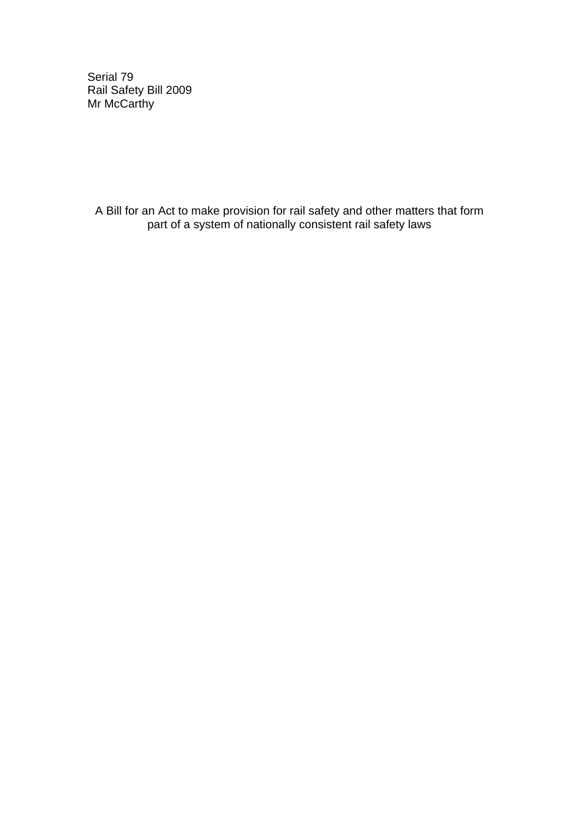Serial 79 Rail Safety Bill 2009 Mr McCarthy

A Bill for an Act to make provision for rail safety and other matters that form part of a system of nationally consistent rail safety laws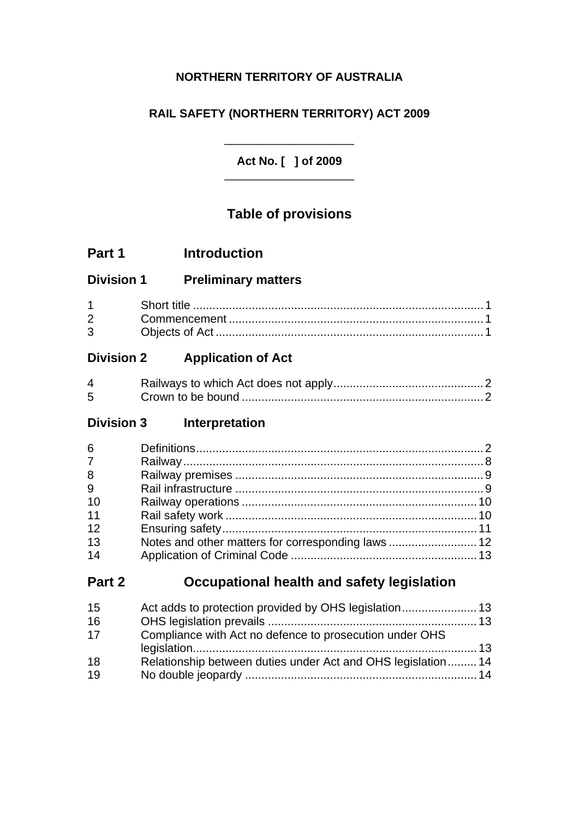## **NORTHERN TERRITORY OF AUSTRALIA**

## **RAIL SAFETY (NORTHERN TERRITORY) ACT 2009**

### **Act No. [ ] of 2009**  \_\_\_\_\_\_\_\_\_\_\_\_\_\_\_\_\_\_\_\_

\_\_\_\_\_\_\_\_\_\_\_\_\_\_\_\_\_\_\_\_

# **Table of provisions**

# **Part 1 Introduction**

## **Division 1 Preliminary matters**

| $3^{\circ}$ |  |
|-------------|--|

# **Division 2 Application of Act**

| $\overline{4}$ |  |
|----------------|--|
| 5 <sup>5</sup> |  |

# **Division 3 Interpretation**

| 6              |  |
|----------------|--|
| 7 <sup>7</sup> |  |
| 8              |  |
| 9              |  |
| 10             |  |
| 11             |  |
| 12             |  |
| 13             |  |
| 14             |  |

# **Part 2 Occupational health and safety legislation**

| 15 |                                                             |  |
|----|-------------------------------------------------------------|--|
| 16 |                                                             |  |
| 17 | Compliance with Act no defence to prosecution under OHS     |  |
|    |                                                             |  |
| 18 | Relationship between duties under Act and OHS legislation14 |  |
| 19 |                                                             |  |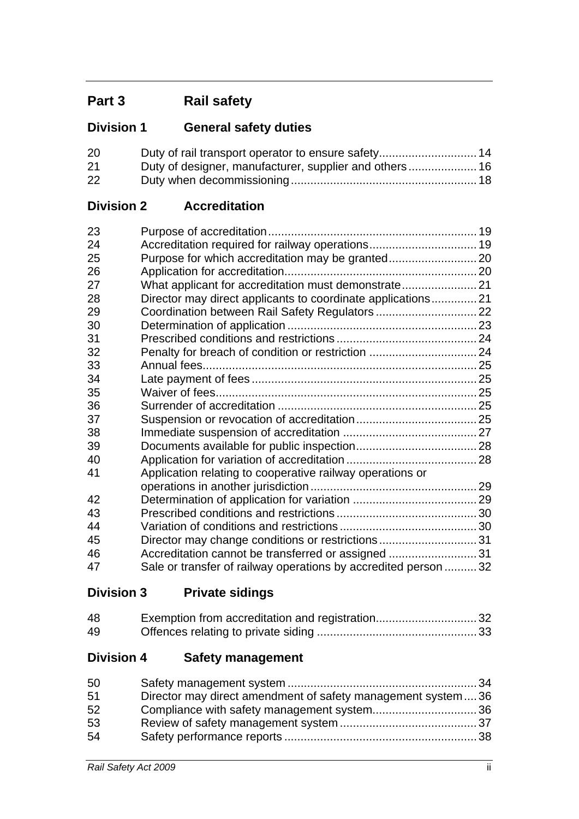# **Part 3 Rail safety**

# **Division 1 General safety duties**

| 20 |  |
|----|--|
| 21 |  |
| 22 |  |

## **Division 2 Accreditation**

| 23 |                                                                 |  |
|----|-----------------------------------------------------------------|--|
| 24 |                                                                 |  |
| 25 |                                                                 |  |
| 26 |                                                                 |  |
| 27 | What applicant for accreditation must demonstrate 21            |  |
| 28 | Director may direct applicants to coordinate applications21     |  |
| 29 |                                                                 |  |
| 30 |                                                                 |  |
| 31 |                                                                 |  |
| 32 |                                                                 |  |
| 33 |                                                                 |  |
| 34 |                                                                 |  |
| 35 |                                                                 |  |
| 36 |                                                                 |  |
| 37 |                                                                 |  |
| 38 |                                                                 |  |
| 39 |                                                                 |  |
| 40 |                                                                 |  |
| 41 | Application relating to cooperative railway operations or       |  |
|    |                                                                 |  |
| 42 |                                                                 |  |
| 43 |                                                                 |  |
| 44 |                                                                 |  |
| 45 | Director may change conditions or restrictions31                |  |
| 46 | Accreditation cannot be transferred or assigned 31              |  |
| 47 | Sale or transfer of railway operations by accredited person  32 |  |

# **Division 3 Private sidings**

| 48  | Exemption from accreditation and registration32 |  |
|-----|-------------------------------------------------|--|
| -49 |                                                 |  |

# **Division 4 Safety management**

| 50 |                                                             |  |
|----|-------------------------------------------------------------|--|
| 51 | Director may direct amendment of safety management system36 |  |
| 52 |                                                             |  |
| 53 |                                                             |  |
| 54 |                                                             |  |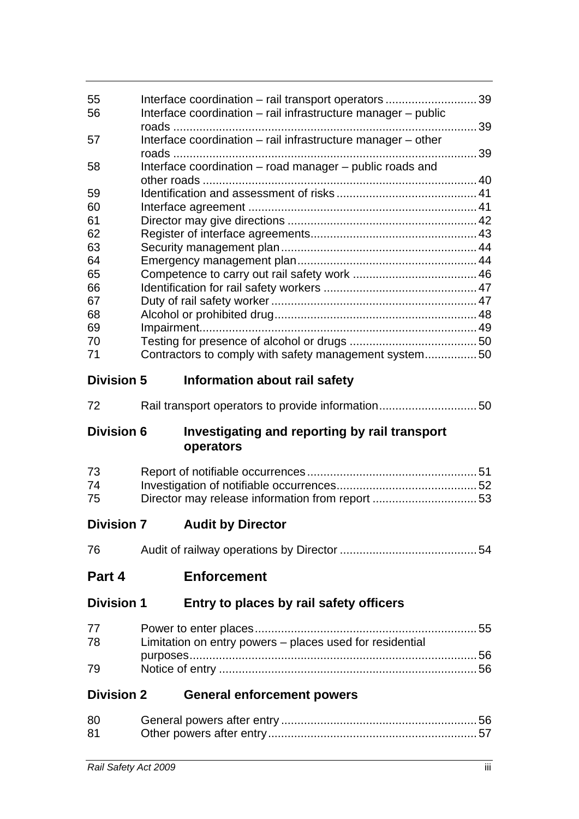| 55<br>56          | Interface coordination - rail transport operators 39<br>Interface coordination - rail infrastructure manager - public |  |
|-------------------|-----------------------------------------------------------------------------------------------------------------------|--|
|                   |                                                                                                                       |  |
| 57                | Interface coordination - rail infrastructure manager - other                                                          |  |
| 58                | Interface coordination - road manager - public roads and                                                              |  |
|                   |                                                                                                                       |  |
| 59                |                                                                                                                       |  |
| 60                |                                                                                                                       |  |
| 61                |                                                                                                                       |  |
| 62                |                                                                                                                       |  |
| 63                |                                                                                                                       |  |
| 64                |                                                                                                                       |  |
| 65                |                                                                                                                       |  |
| 66                |                                                                                                                       |  |
| 67                |                                                                                                                       |  |
| 68                |                                                                                                                       |  |
| 69                |                                                                                                                       |  |
| 70                |                                                                                                                       |  |
| 71                | Contractors to comply with safety management system 50                                                                |  |
| <b>Division 5</b> | Information about rail safety                                                                                         |  |
| 72                | Rail transport operators to provide information50                                                                     |  |
|                   |                                                                                                                       |  |
| <b>Division 6</b> | Investigating and reporting by rail transport<br>operators                                                            |  |
|                   |                                                                                                                       |  |
| 73                |                                                                                                                       |  |
| 74<br>75          | Director may release information from report 53                                                                       |  |
| <b>Division 7</b> | <b>Audit by Director</b>                                                                                              |  |
| 76                |                                                                                                                       |  |
| Part 4            | <b>Enforcement</b>                                                                                                    |  |
| <b>Division 1</b> | Entry to places by rail safety officers                                                                               |  |
| 77                |                                                                                                                       |  |
|                   |                                                                                                                       |  |
| 78                | Limitation on entry powers – places used for residential                                                              |  |
| 79                |                                                                                                                       |  |
| <b>Division 2</b> | <b>General enforcement powers</b>                                                                                     |  |
|                   |                                                                                                                       |  |
| 80<br>81          |                                                                                                                       |  |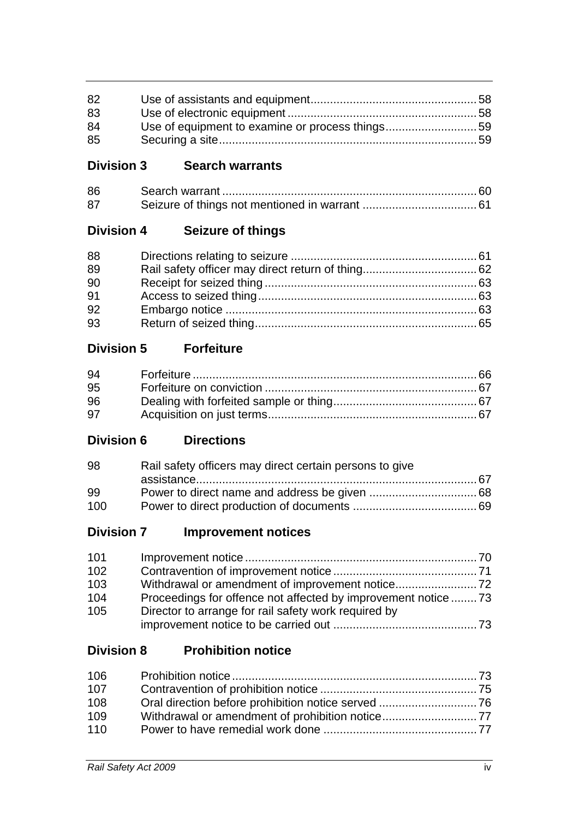| 82 |  |
|----|--|
| 83 |  |
| 84 |  |
| 85 |  |

# **Division 3 Search warrants**

| 86 |  |
|----|--|
| 87 |  |

# **Division 4 Seizure of things**

| 88 |  |
|----|--|
| 89 |  |
| 90 |  |
| 91 |  |
| 92 |  |
| 93 |  |

# **Division 5 Forfeiture**

| 94 |  |
|----|--|
| 95 |  |
| 96 |  |
| 97 |  |

## **Division 6 Directions**

| 98  | Rail safety officers may direct certain persons to give |  |
|-----|---------------------------------------------------------|--|
|     |                                                         |  |
| 99  |                                                         |  |
| 100 |                                                         |  |

# **Division 7 Improvement notices**

| 101 |                                                                |  |
|-----|----------------------------------------------------------------|--|
| 102 |                                                                |  |
| 103 |                                                                |  |
| 104 | Proceedings for offence not affected by improvement notice  73 |  |
| 105 | Director to arrange for rail safety work required by           |  |
|     |                                                                |  |

# **Division 8 Prohibition notice**

| 106 |  |
|-----|--|
| 107 |  |
| 108 |  |
| 109 |  |
| 110 |  |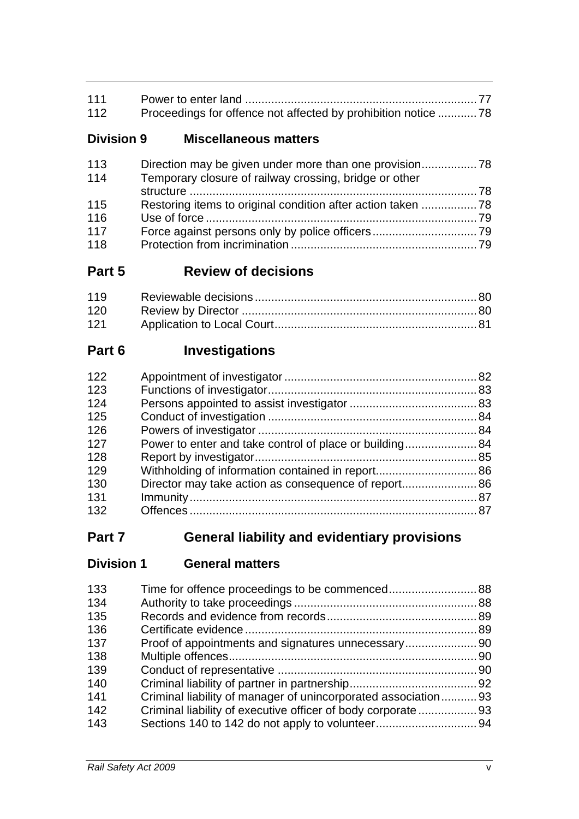| 111 |  |
|-----|--|
| 112 |  |
|     |  |

## **Division 9 Miscellaneous matters**

| 113 |                                                        |  |
|-----|--------------------------------------------------------|--|
| 114 | Temporary closure of railway crossing, bridge or other |  |
|     |                                                        |  |
| 115 |                                                        |  |
| 116 |                                                        |  |
| 117 |                                                        |  |
| 118 |                                                        |  |

# **Part 5 Review of decisions**

| 121 |  |
|-----|--|

# **Part 6 Investigations**

| 122 |                                                         |  |
|-----|---------------------------------------------------------|--|
| 123 |                                                         |  |
| 124 |                                                         |  |
| 125 |                                                         |  |
| 126 |                                                         |  |
| 127 | Power to enter and take control of place or building 84 |  |
| 128 |                                                         |  |
| 129 |                                                         |  |
| 130 |                                                         |  |
| 131 |                                                         |  |
| 132 |                                                         |  |

# **Part 7 General liability and evidentiary provisions**

# **Division 1 General matters**

| 133 |                                                                |  |
|-----|----------------------------------------------------------------|--|
| 134 |                                                                |  |
| 135 |                                                                |  |
| 136 |                                                                |  |
| 137 |                                                                |  |
| 138 |                                                                |  |
| 139 |                                                                |  |
| 140 |                                                                |  |
| 141 | Criminal liability of manager of unincorporated association 93 |  |
| 142 |                                                                |  |
| 143 |                                                                |  |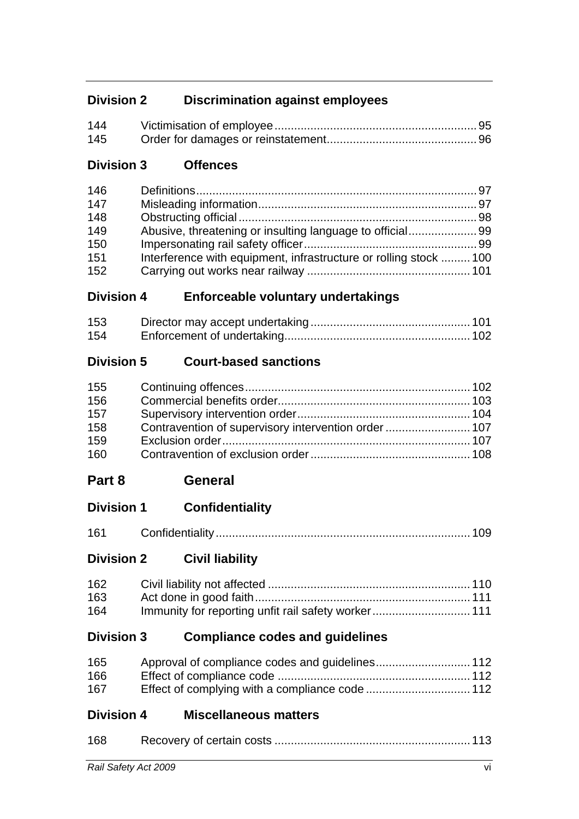# **Division 2 Discrimination against employees**

| 144 |  |
|-----|--|
| 145 |  |

# **Division 3 Offences**

| 146 |                                                                  |  |
|-----|------------------------------------------------------------------|--|
| 147 |                                                                  |  |
| 148 |                                                                  |  |
| 149 |                                                                  |  |
| 150 |                                                                  |  |
| 151 | Interference with equipment, infrastructure or rolling stock 100 |  |
| 152 |                                                                  |  |

## **Division 4 Enforceable voluntary undertakings**

| 153 |  |
|-----|--|
| 154 |  |

# **Division 5 Court-based sanctions**

| 155 |  |
|-----|--|
| 156 |  |
| 157 |  |
| 158 |  |
| 159 |  |
| 160 |  |

# **Part 8 General**

# **Division 1 Confidentiality**

| 161 |  |  |  |  |
|-----|--|--|--|--|
|-----|--|--|--|--|

# **Division 2 Civil liability**

| 162 |  |
|-----|--|
| 163 |  |
| 164 |  |

## **Division 3 Compliance codes and guidelines**

| 165 |  |
|-----|--|
| 166 |  |
| 167 |  |

## **Division 4 Miscellaneous matters**

| 168 |  |
|-----|--|
|     |  |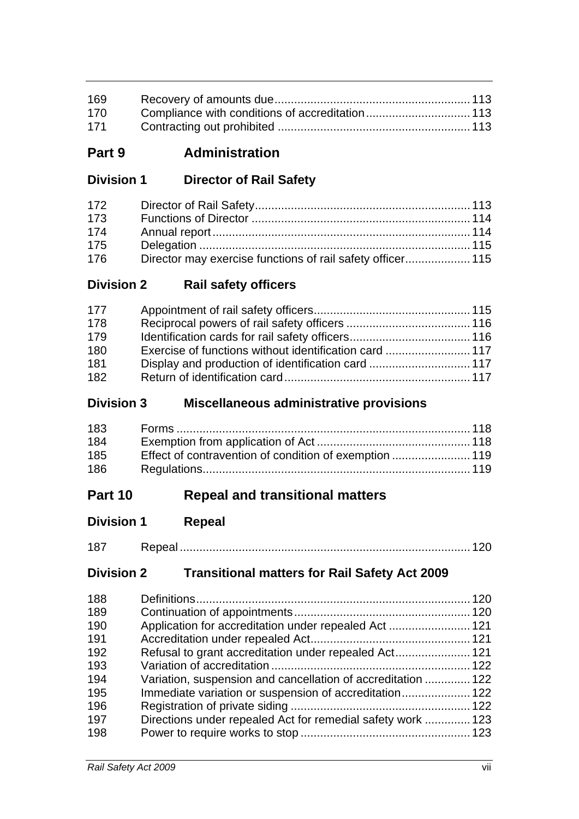| 169 |  |
|-----|--|
| 170 |  |
| 171 |  |

# **Part 9 Administration**

# **Division 1 Director of Rail Safety**

| 172 |  |
|-----|--|
| 173 |  |
| 174 |  |
| 175 |  |
| 176 |  |

## **Division 2 Rail safety officers**

| 177 |  |
|-----|--|
| 178 |  |
| 179 |  |
| 180 |  |
| 181 |  |
| 182 |  |

### **Division 3 Miscellaneous administrative provisions**

| 183 |  |
|-----|--|
| 184 |  |
| 185 |  |
| 186 |  |

# **Part 10 Repeal and transitional matters**

# **Division 1 Repeal**

| 1 O T |  |
|-------|--|
|       |  |

# **Division 2 Transitional matters for Rail Safety Act 2009**

| 188 |                                                              |  |
|-----|--------------------------------------------------------------|--|
| 189 |                                                              |  |
| 190 | Application for accreditation under repealed Act  121        |  |
| 191 |                                                              |  |
| 192 | Refusal to grant accreditation under repealed Act 121        |  |
| 193 |                                                              |  |
| 194 | Variation, suspension and cancellation of accreditation  122 |  |
| 195 | Immediate variation or suspension of accreditation 122       |  |
| 196 |                                                              |  |
| 197 | Directions under repealed Act for remedial safety work  123  |  |
| 198 |                                                              |  |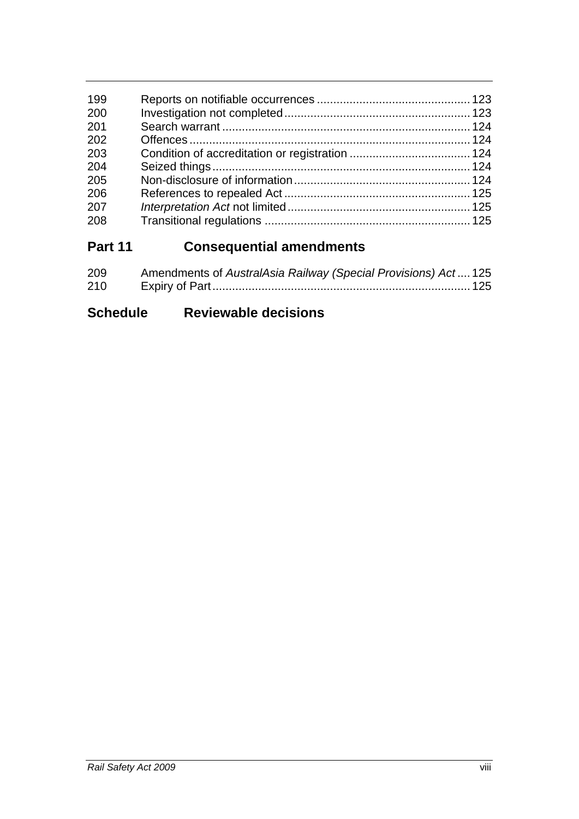| 199 |  |
|-----|--|
| 200 |  |
| 201 |  |
| 202 |  |
| 203 |  |
| 204 |  |
| 205 |  |
| 206 |  |
| 207 |  |
| 208 |  |
|     |  |

# **Part 11 Consequential amendments**

| 209 | Amendments of AustralAsia Railway (Special Provisions) Act 125 |  |
|-----|----------------------------------------------------------------|--|
| 210 |                                                                |  |

# **Schedule Reviewable decisions**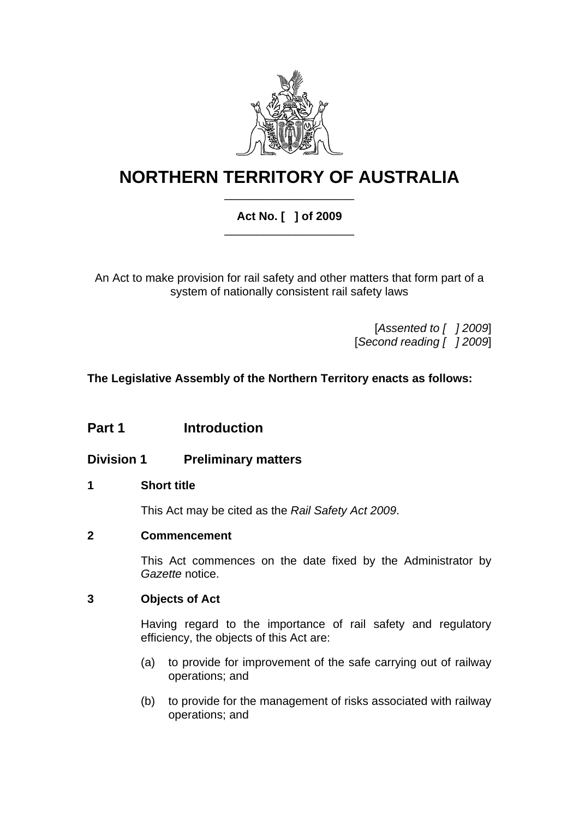

# **NORTHERN TERRITORY OF AUSTRALIA** \_\_\_\_\_\_\_\_\_\_\_\_\_\_\_\_\_\_\_\_

### **Act No. [ ] of 2009**  \_\_\_\_\_\_\_\_\_\_\_\_\_\_\_\_\_\_\_\_

An Act to make provision for rail safety and other matters that form part of a system of nationally consistent rail safety laws

> [*Assented to [ ] 2009*] [*Second reading [ ] 2009*]

**The Legislative Assembly of the Northern Territory enacts as follows:** 

# **Part 1 Introduction**

**Division 1 Preliminary matters** 

### <span id="page-9-0"></span>**1 Short title**

This Act may be cited as the *Rail Safety Act 2009*.

### <span id="page-9-1"></span>**2 Commencement**

This Act commences on the date fixed by the Administrator by *Gazette* notice.

### <span id="page-9-2"></span>**3 Objects of Act**

Having regard to the importance of rail safety and regulatory efficiency, the objects of this Act are:

- (a) to provide for improvement of the safe carrying out of railway operations; and
- (b) to provide for the management of risks associated with railway operations; and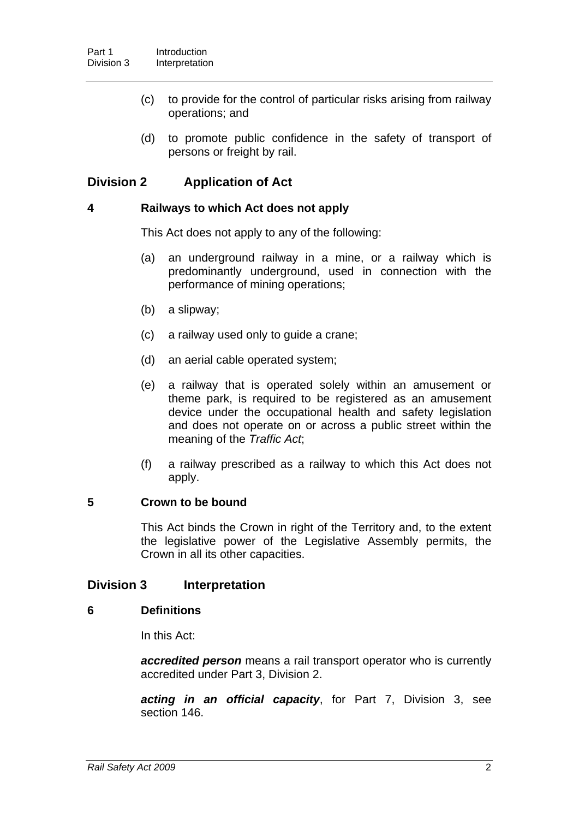- (c) to provide for the control of particular risks arising from railway operations; and
- (d) to promote public confidence in the safety of transport of persons or freight by rail.

### **Division 2 Application of Act**

#### <span id="page-10-0"></span>**4 Railways to which Act does not apply**

This Act does not apply to any of the following:

- (a) an underground railway in a mine, or a railway which is predominantly underground, used in connection with the performance of mining operations;
- (b) a slipway;
- (c) a railway used only to guide a crane;
- (d) an aerial cable operated system;
- (e) a railway that is operated solely within an amusement or theme park, is required to be registered as an amusement device under the occupational health and safety legislation and does not operate on or across a public street within the meaning of the *Traffic Act*;
- (f) a railway prescribed as a railway to which this Act does not apply.

### <span id="page-10-1"></span>**5 Crown to be bound**

This Act binds the Crown in right of the Territory and, to the extent the legislative power of the Legislative Assembly permits, the Crown in all its other capacities.

### **Division 3 Interpretation**

#### <span id="page-10-2"></span>**6 Definitions**

In this Act:

*accredited person* means a rail transport operator who is currently accredited under Part 3, Division 2.

*acting in an official capacity*, for Part 7, Division 3, see section [146](#page-105-0).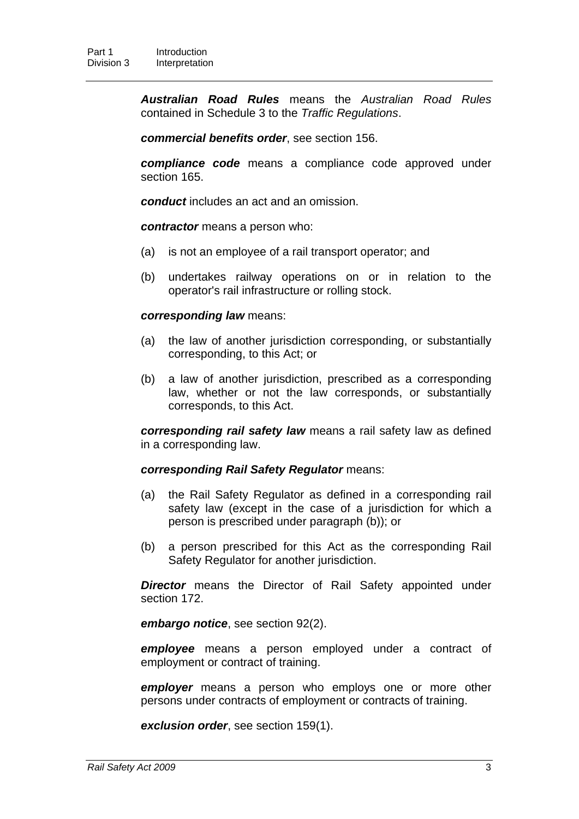*Australian Road Rules* means the *Australian Road Rules* contained in Schedule 3 to the *Traffic Regulations*.

*commercial benefits order*, see section [156.](#page-111-0)

*compliance code* means a compliance code approved under section [165](#page-120-0).

*conduct* includes an act and an omission.

*contractor* means a person who:

- (a) is not an employee of a rail transport operator; and
- (b) undertakes railway operations on or in relation to the operator's rail infrastructure or rolling stock.

#### *corresponding law* means:

- (a) the law of another jurisdiction corresponding, or substantially corresponding, to this Act; or
- (b) a law of another jurisdiction, prescribed as a corresponding law, whether or not the law corresponds, or substantially corresponds, to this Act.

*corresponding rail safety law* means a rail safety law as defined in a corresponding law.

#### *corresponding Rail Safety Regulator* means:

- (a) the Rail Safety Regulator as defined in a corresponding rail safety law (except in the case of a jurisdiction for which a person is prescribed under paragraph (b)); or
- (b) a person prescribed for this Act as the corresponding Rail Safety Regulator for another jurisdiction.

*Director* means the Director of Rail Safety appointed under section [172](#page-121-4).

*embargo notice*, see section [92](#page-71-2)(2).

*employee* means a person employed under a contract of employment or contract of training.

*employer* means a person who employs one or more other persons under contracts of employment or contracts of training.

*exclusion order*, see section [159\(](#page-115-1)1).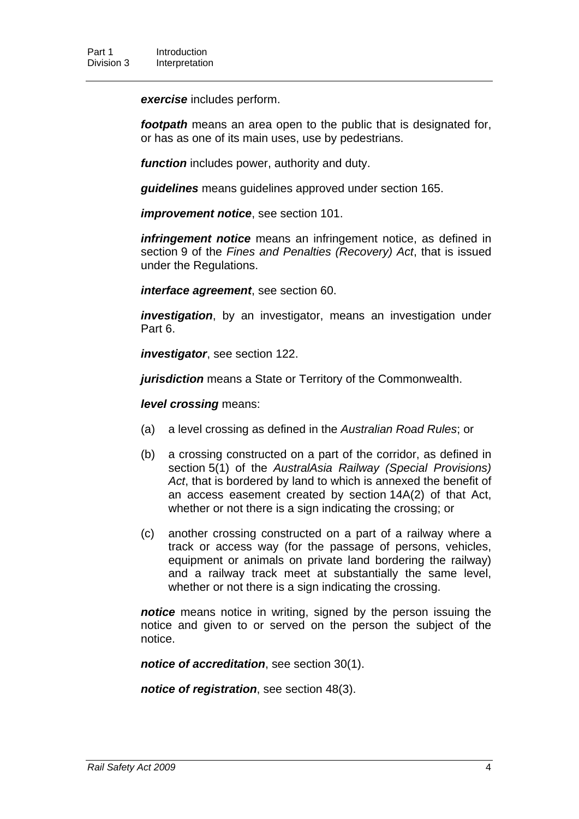*exercise* includes perform.

*footpath* means an area open to the public that is designated for, or has as one of its main uses, use by pedestrians.

*function* includes power, authority and duty.

*guidelines* means guidelines approved under section [165](#page-120-0).

*improvement notice*, see section [101.](#page-78-0)

*infringement notice* means an infringement notice, as defined in section 9 of the *Fines and Penalties (Recovery) Act*, that is issued under the Regulations.

*interface agreement*, see section [60.](#page-49-1)

*investigation*, by an investigator, means an investigation under Part 6.

*investigator*, see section [122.](#page-90-0)

*jurisdiction* means a State or Territory of the Commonwealth.

*level crossing* means:

- (a) a level crossing as defined in the *Australian Road Rules*; or
- (b) a crossing constructed on a part of the corridor, as defined in section 5(1) of the *AustralAsia Railway (Special Provisions) Act*, that is bordered by land to which is annexed the benefit of an access easement created by section 14A(2) of that Act, whether or not there is a sign indicating the crossing: or
- (c) another crossing constructed on a part of a railway where a track or access way (for the passage of persons, vehicles, equipment or animals on private land bordering the railway) and a railway track meet at substantially the same level, whether or not there is a sign indicating the crossing.

*notice* means notice in writing, signed by the person issuing the notice and given to or served on the person the subject of the notice.

*notice of accreditation*, see section [30\(](#page-31-0)1).

*notice of registration*, see section [48](#page-40-1)(3).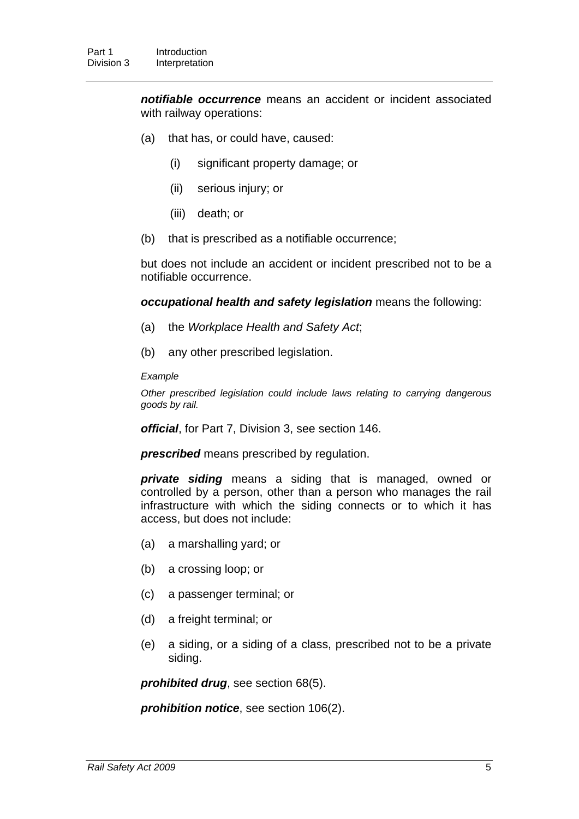*notifiable occurrence* means an accident or incident associated with railway operations:

- (a) that has, or could have, caused:
	- (i) significant property damage; or
	- (ii) serious injury; or
	- (iii) death; or
- (b) that is prescribed as a notifiable occurrence;

but does not include an accident or incident prescribed not to be a notifiable occurrence.

#### *occupational health and safety legislation* means the following:

- (a) the *Workplace Health and Safety Act*;
- (b) any other prescribed legislation.

#### *Example*

*Other prescribed legislation could include laws relating to carrying dangerous goods by rail.* 

*official*, for Part 7, Division 3, see section [146.](#page-105-0)

*prescribed* means prescribed by regulation.

*private siding* means a siding that is managed, owned or controlled by a person, other than a person who manages the rail infrastructure with which the siding connects or to which it has access, but does not include:

- (a) a marshalling yard; or
- (b) a crossing loop; or
- (c) a passenger terminal; or
- (d) a freight terminal; or
- (e) a siding, or a siding of a class, prescribed not to be a private siding.

*prohibited drug*, see section [68\(](#page-56-0)5).

*prohibition notice*, see section [106\(](#page-81-2)2).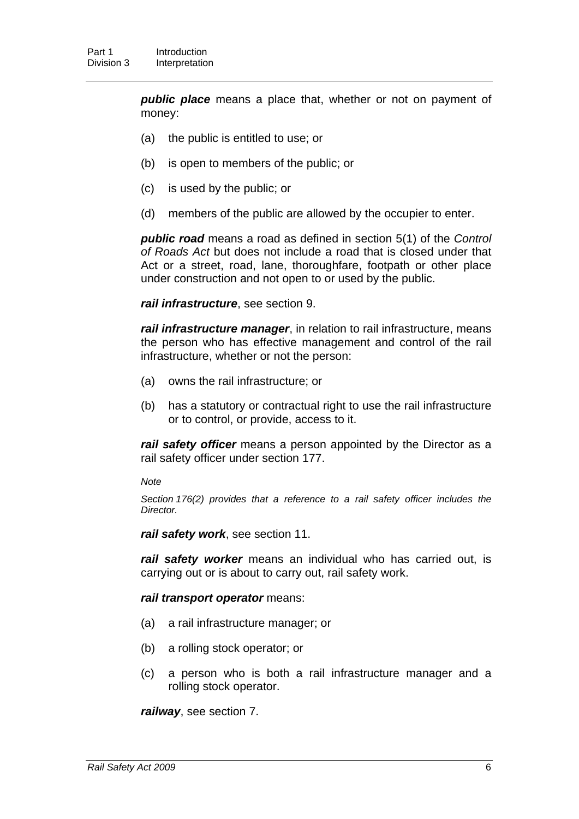*public place* means a place that, whether or not on payment of money:

- (a) the public is entitled to use; or
- (b) is open to members of the public; or
- (c) is used by the public; or
- (d) members of the public are allowed by the occupier to enter.

*public road* means a road as defined in section 5(1) of the *Control of Roads Act* but does not include a road that is closed under that Act or a street, road, lane, thoroughfare, footpath or other place under construction and not open to or used by the public.

*rail infrastructure*, see section [9.](#page-17-1)

*rail infrastructure manager*, in relation to rail infrastructure, means the person who has effective management and control of the rail infrastructure, whether or not the person:

- (a) owns the rail infrastructure; or
- (b) has a statutory or contractual right to use the rail infrastructure or to control, or provide, access to it.

*rail safety officer* means a person appointed by the Director as a rail safety officer under section [177.](#page-123-2)

*Note* 

*Section [176\(](#page-123-1)2) provides that a reference to a rail safety officer includes the Director.* 

*rail safety work*, see section [11](#page-18-1).

*rail safety worker* means an individual who has carried out, is carrying out or is about to carry out, rail safety work.

#### *rail transport operator* means:

- (a) a rail infrastructure manager; or
- (b) a rolling stock operator; or
- (c) a person who is both a rail infrastructure manager and a rolling stock operator.

*railway*, see section [7.](#page-16-0)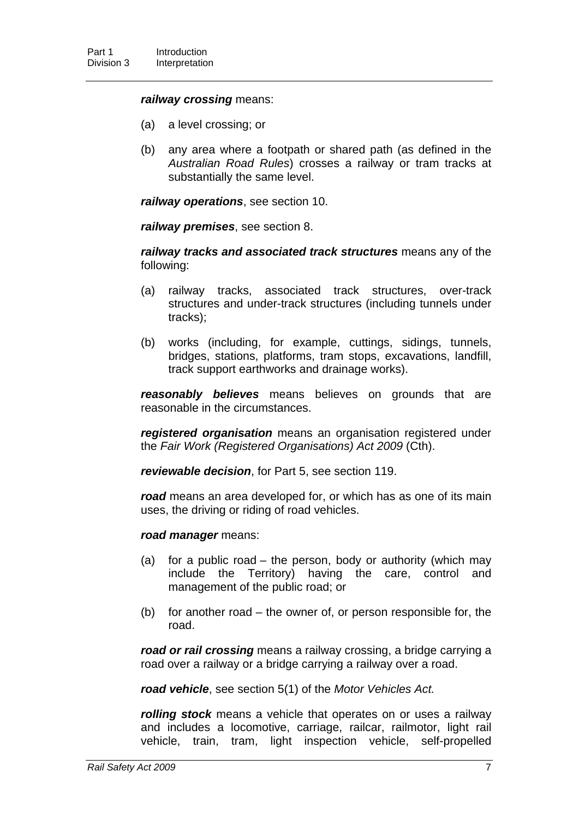#### *railway crossing* means:

- (a) a level crossing; or
- (b) any area where a footpath or shared path (as defined in the *Australian Road Rules*) crosses a railway or tram tracks at substantially the same level.

*railway operations*, see section [10](#page-18-0).

*railway premises*, see section [8](#page-17-0).

*railway tracks and associated track structures* means any of the following:

- (a) railway tracks, associated track structures, over-track structures and under-track structures (including tunnels under tracks);
- (b) works (including, for example, cuttings, sidings, tunnels, bridges, stations, platforms, tram stops, excavations, landfill, track support earthworks and drainage works).

*reasonably believes* means believes on grounds that are reasonable in the circumstances.

*registered organisation* means an organisation registered under the *Fair Work (Registered Organisations) Act 2009* (Cth).

*reviewable decision*, for Part 5, see section [119](#page-88-0).

*road* means an area developed for, or which has as one of its main uses, the driving or riding of road vehicles.

*road manager* means:

- (a) for a public road the person, body or authority (which may include the Territory) having the care, control and management of the public road; or
- (b) for another road the owner of, or person responsible for, the road.

*road or rail crossing* means a railway crossing, a bridge carrying a road over a railway or a bridge carrying a railway over a road.

*road vehicle*, see section 5(1) of the *Motor Vehicles Act.*

*rolling stock* means a vehicle that operates on or uses a railway and includes a locomotive, carriage, railcar, railmotor, light rail vehicle, train, tram, light inspection vehicle, self-propelled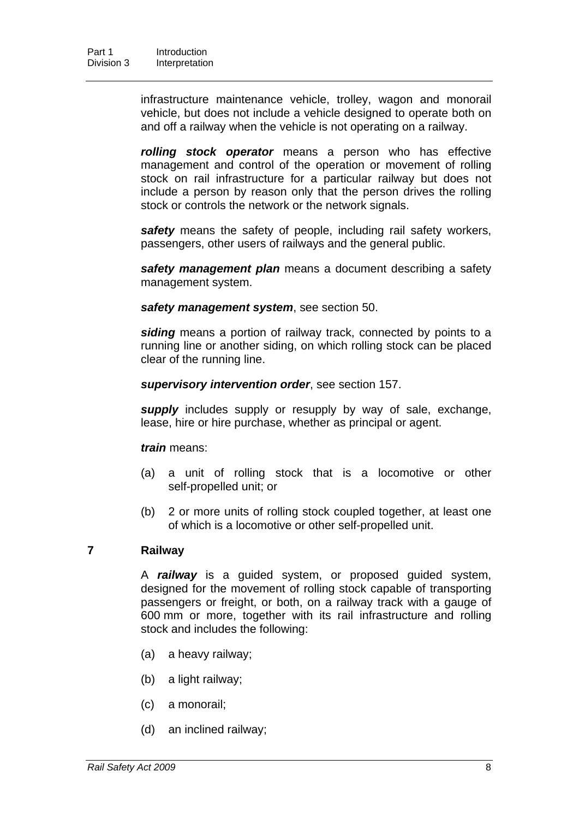infrastructure maintenance vehicle, trolley, wagon and monorail vehicle, but does not include a vehicle designed to operate both on and off a railway when the vehicle is not operating on a railway.

*rolling stock operator* means a person who has effective management and control of the operation or movement of rolling stock on rail infrastructure for a particular railway but does not include a person by reason only that the person drives the rolling stock or controls the network or the network signals.

safety means the safety of people, including rail safety workers, passengers, other users of railways and the general public.

*safety management plan* means a document describing a safety management system.

*safety management system*, see section [50.](#page-42-0)

*siding* means a portion of railway track, connected by points to a running line or another siding, on which rolling stock can be placed clear of the running line.

*supervisory intervention order*, see section [157.](#page-112-0)

*supply* includes supply or resupply by way of sale, exchange, lease, hire or hire purchase, whether as principal or agent.

*train* means:

- (a) a unit of rolling stock that is a locomotive or other self-propelled unit; or
- (b) 2 or more units of rolling stock coupled together, at least one of which is a locomotive or other self-propelled unit.

### <span id="page-16-0"></span>**7 Railway**

A *railway* is a guided system, or proposed guided system, designed for the movement of rolling stock capable of transporting passengers or freight, or both, on a railway track with a gauge of 600 mm or more, together with its rail infrastructure and rolling stock and includes the following:

- (a) a heavy railway;
- (b) a light railway;
- (c) a monorail;
- (d) an inclined railway;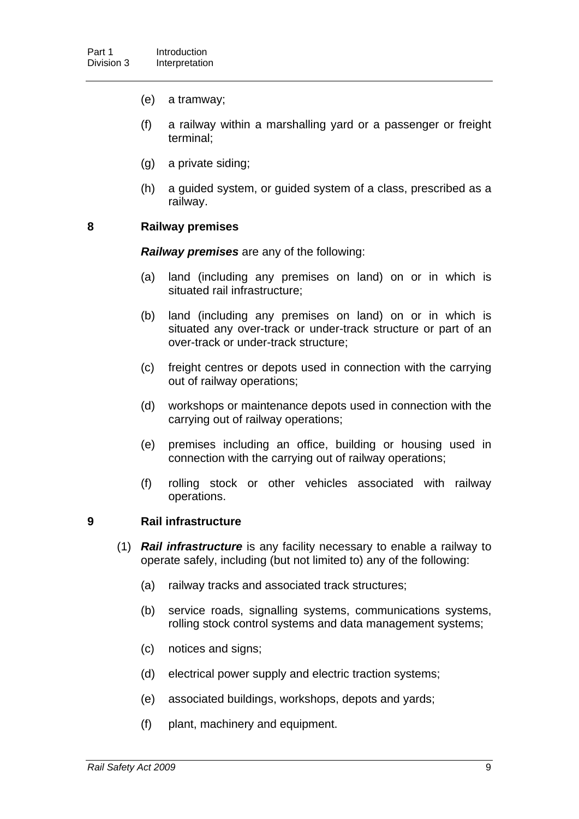- (e) a tramway;
- (f) a railway within a marshalling yard or a passenger or freight terminal;
- (g) a private siding;
- (h) a guided system, or guided system of a class, prescribed as a railway.

### <span id="page-17-0"></span>**8 Railway premises**

*Railway premises* are any of the following:

- (a) land (including any premises on land) on or in which is situated rail infrastructure;
- (b) land (including any premises on land) on or in which is situated any over-track or under-track structure or part of an over-track or under-track structure;
- (c) freight centres or depots used in connection with the carrying out of railway operations;
- (d) workshops or maintenance depots used in connection with the carrying out of railway operations;
- (e) premises including an office, building or housing used in connection with the carrying out of railway operations;
- (f) rolling stock or other vehicles associated with railway operations.

### <span id="page-17-1"></span>**9 Rail infrastructure**

- (1) *Rail infrastructure* is any facility necessary to enable a railway to operate safely, including (but not limited to) any of the following:
	- (a) railway tracks and associated track structures;
	- (b) service roads, signalling systems, communications systems, rolling stock control systems and data management systems;
	- (c) notices and signs;
	- (d) electrical power supply and electric traction systems;
	- (e) associated buildings, workshops, depots and yards;
	- (f) plant, machinery and equipment.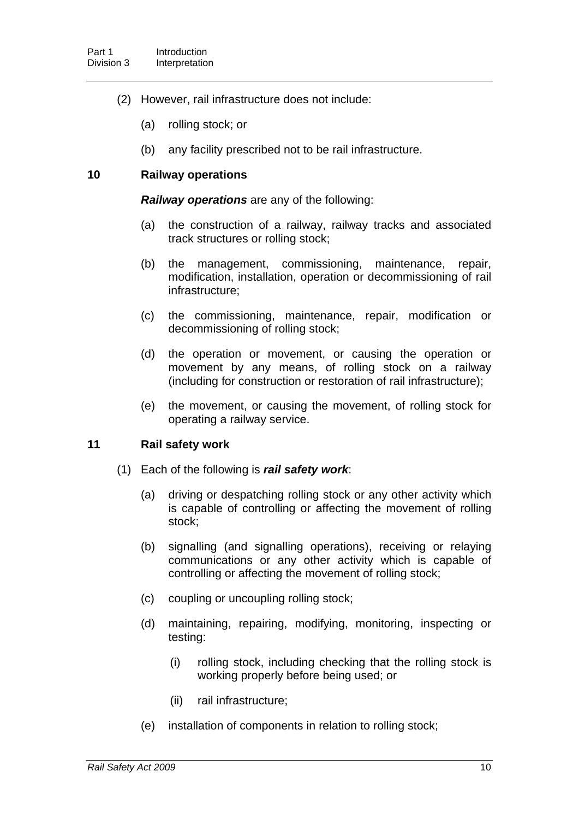- (2) However, rail infrastructure does not include:
	- (a) rolling stock; or
	- (b) any facility prescribed not to be rail infrastructure.

### <span id="page-18-0"></span>**10 Railway operations**

*Railway operations* are any of the following:

- (a) the construction of a railway, railway tracks and associated track structures or rolling stock;
- (b) the management, commissioning, maintenance, repair, modification, installation, operation or decommissioning of rail infrastructure;
- (c) the commissioning, maintenance, repair, modification or decommissioning of rolling stock;
- (d) the operation or movement, or causing the operation or movement by any means, of rolling stock on a railway (including for construction or restoration of rail infrastructure);
- (e) the movement, or causing the movement, of rolling stock for operating a railway service.

### <span id="page-18-1"></span>**11 Rail safety work**

- (1) Each of the following is *rail safety work*:
	- (a) driving or despatching rolling stock or any other activity which is capable of controlling or affecting the movement of rolling stock;
	- (b) signalling (and signalling operations), receiving or relaying communications or any other activity which is capable of controlling or affecting the movement of rolling stock;
	- (c) coupling or uncoupling rolling stock;
	- (d) maintaining, repairing, modifying, monitoring, inspecting or testing:
		- (i) rolling stock, including checking that the rolling stock is working properly before being used; or
		- (ii) rail infrastructure;
	- (e) installation of components in relation to rolling stock;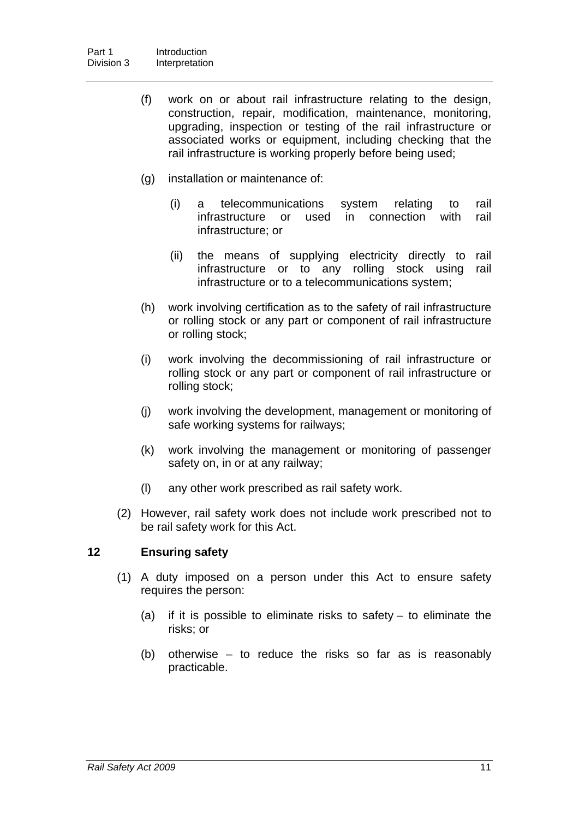- (f) work on or about rail infrastructure relating to the design, construction, repair, modification, maintenance, monitoring, upgrading, inspection or testing of the rail infrastructure or associated works or equipment, including checking that the rail infrastructure is working properly before being used;
- (g) installation or maintenance of:
	- (i) a telecommunications system relating to rail infrastructure or used in connection with rail infrastructure; or
	- (ii) the means of supplying electricity directly to rail infrastructure or to any rolling stock using rail infrastructure or to a telecommunications system;
- (h) work involving certification as to the safety of rail infrastructure or rolling stock or any part or component of rail infrastructure or rolling stock;
- (i) work involving the decommissioning of rail infrastructure or rolling stock or any part or component of rail infrastructure or rolling stock;
- (j) work involving the development, management or monitoring of safe working systems for railways;
- (k) work involving the management or monitoring of passenger safety on, in or at any railway;
- (l) any other work prescribed as rail safety work.
- (2) However, rail safety work does not include work prescribed not to be rail safety work for this Act.

### <span id="page-19-0"></span>**12 Ensuring safety**

- (1) A duty imposed on a person under this Act to ensure safety requires the person:
	- (a) if it is possible to eliminate risks to safety  $-$  to eliminate the risks; or
	- (b) otherwise to reduce the risks so far as is reasonably practicable.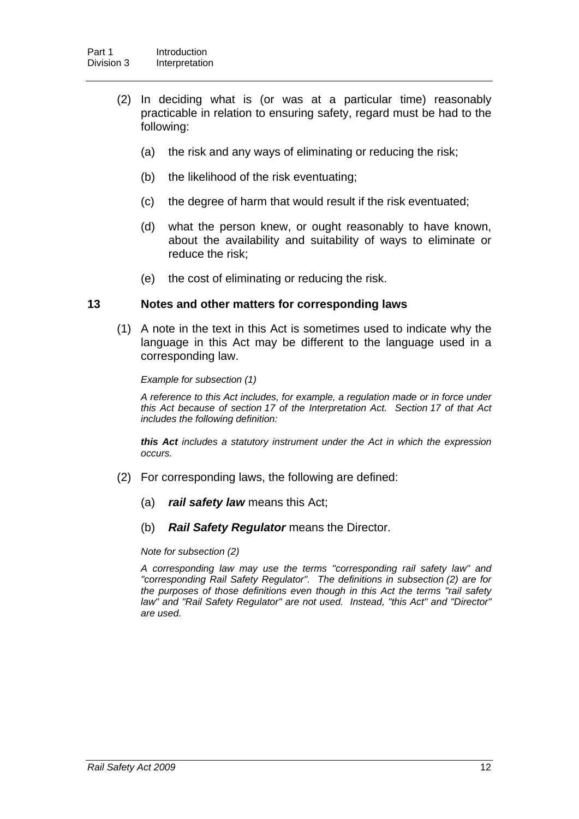- (2) In deciding what is (or was at a particular time) reasonably practicable in relation to ensuring safety, regard must be had to the following:
	- (a) the risk and any ways of eliminating or reducing the risk;
	- (b) the likelihood of the risk eventuating;
	- (c) the degree of harm that would result if the risk eventuated;
	- (d) what the person knew, or ought reasonably to have known, about the availability and suitability of ways to eliminate or reduce the risk;
	- (e) the cost of eliminating or reducing the risk.

#### <span id="page-20-0"></span>**13 Notes and other matters for corresponding laws**

 (1) A note in the text in this Act is sometimes used to indicate why the language in this Act may be different to the language used in a corresponding law.

*Example for subsection (1)* 

*A reference to this Act includes, for example, a regulation made or in force under this Act because of section 17 of the Interpretation Act. Section 17 of that Act includes the following definition:* 

*this Act includes a statutory instrument under the Act in which the expression occurs.* 

- (2) For corresponding laws, the following are defined:
	- (a) *rail safety law* means this Act;
	- (b) *Rail Safety Regulator* means the Director.

*Note for subsection (2)* 

*A corresponding law may use the terms "corresponding rail safety law" and "corresponding Rail Safety Regulator". The definitions in subsection (2) are for the purposes of those definitions even though in this Act the terms "rail safety law" and "Rail Safety Regulator" are not used. Instead, "this Act" and "Director" are used.*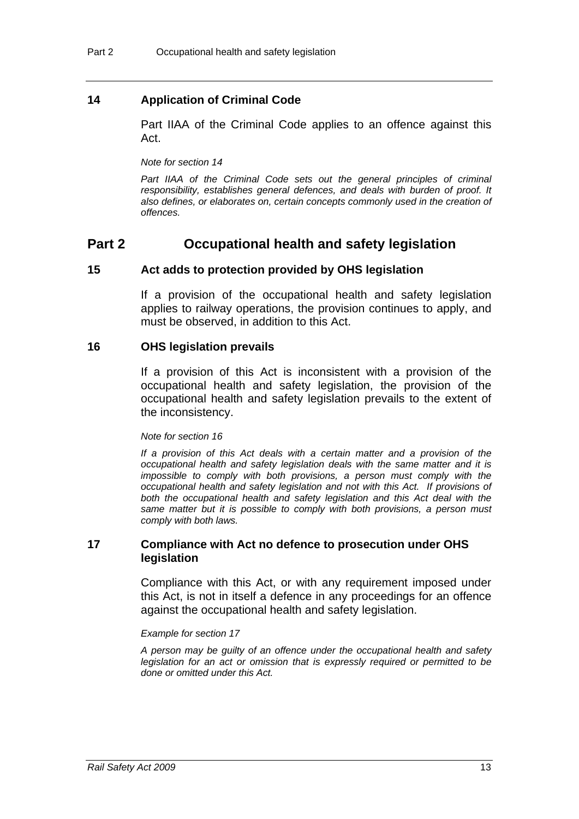### <span id="page-21-0"></span>**14 Application of Criminal Code**

Part IIAA of the Criminal Code applies to an offence against this Act.

*Note for section [14](#page-21-0)* 

Part IIAA of the Criminal Code sets out the general principles of criminal *responsibility, establishes general defences, and deals with burden of proof. It also defines, or elaborates on, certain concepts commonly used in the creation of offences.* 

### **Part 2 Occupational health and safety legislation**

#### <span id="page-21-1"></span>**15 Act adds to protection provided by OHS legislation**

If a provision of the occupational health and safety legislation applies to railway operations, the provision continues to apply, and must be observed, in addition to this Act.

#### <span id="page-21-2"></span>**16 OHS legislation prevails**

If a provision of this Act is inconsistent with a provision of the occupational health and safety legislation, the provision of the occupational health and safety legislation prevails to the extent of the inconsistency.

#### *Note for section [16](#page-21-2)*

*If a provision of this Act deals with a certain matter and a provision of the occupational health and safety legislation deals with the same matter and it is impossible to comply with both provisions, a person must comply with the occupational health and safety legislation and not with this Act. If provisions of*  both the occupational health and safety legislation and this Act deal with the *same matter but it is possible to comply with both provisions, a person must comply with both laws.* 

#### <span id="page-21-3"></span>**17 Compliance with Act no defence to prosecution under OHS legislation**

Compliance with this Act, or with any requirement imposed under this Act, is not in itself a defence in any proceedings for an offence against the occupational health and safety legislation.

#### *Example for section [17](#page-21-3)*

*A person may be guilty of an offence under the occupational health and safety legislation for an act or omission that is expressly required or permitted to be done or omitted under this Act.*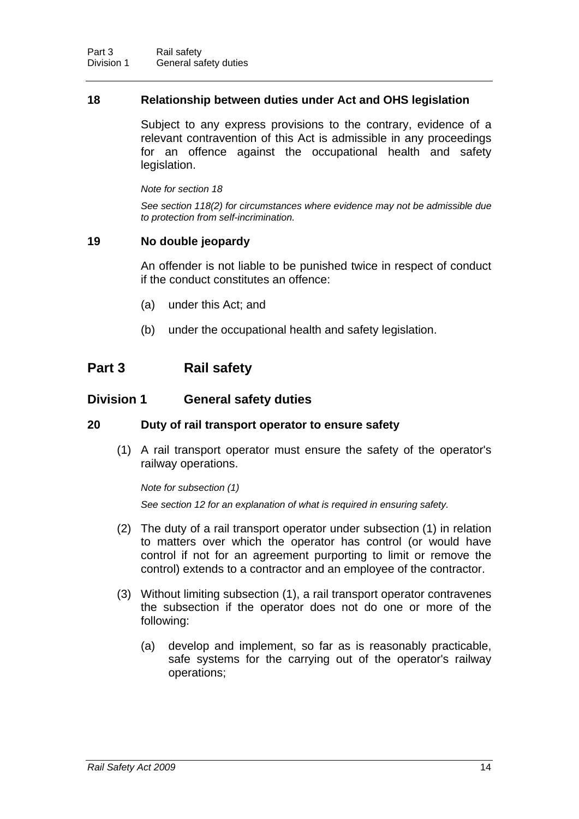#### <span id="page-22-0"></span>**18 Relationship between duties under Act and OHS legislation**

Subject to any express provisions to the contrary, evidence of a relevant contravention of this Act is admissible in any proceedings for an offence against the occupational health and safety legislation.

*Note for section [18](#page-22-0)* 

*See section [118\(](#page-87-2)2) for circumstances where evidence may not be admissible due to protection from self-incrimination.* 

#### <span id="page-22-1"></span>**19 No double jeopardy**

An offender is not liable to be punished twice in respect of conduct if the conduct constitutes an offence:

- (a) under this Act; and
- (b) under the occupational health and safety legislation.

### **Part 3 Rail safety**

#### **Division 1 General safety duties**

### <span id="page-22-2"></span>**20 Duty of rail transport operator to ensure safety**

 (1) A rail transport operator must ensure the safety of the operator's railway operations.

*Note for subsection (1)* 

*See section [12](#page-19-0) for an explanation of what is required in ensuring safety.* 

- (2) The duty of a rail transport operator under subsection (1) in relation to matters over which the operator has control (or would have control if not for an agreement purporting to limit or remove the control) extends to a contractor and an employee of the contractor.
- (3) Without limiting subsection (1), a rail transport operator contravenes the subsection if the operator does not do one or more of the following:
	- (a) develop and implement, so far as is reasonably practicable, safe systems for the carrying out of the operator's railway operations;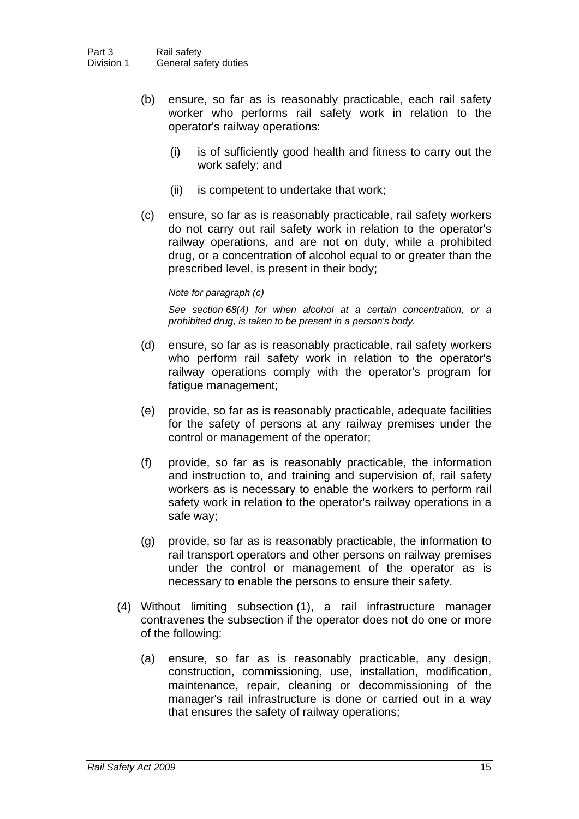- (b) ensure, so far as is reasonably practicable, each rail safety worker who performs rail safety work in relation to the operator's railway operations:
	- (i) is of sufficiently good health and fitness to carry out the work safely; and
	- (ii) is competent to undertake that work;
- (c) ensure, so far as is reasonably practicable, rail safety workers do not carry out rail safety work in relation to the operator's railway operations, and are not on duty, while a prohibited drug, or a concentration of alcohol equal to or greater than the prescribed level, is present in their body;

#### *Note for paragraph (c)*

*See section [68](#page-56-0)(4) for when alcohol at a certain concentration, or a prohibited drug, is taken to be present in a person's body.* 

- (d) ensure, so far as is reasonably practicable, rail safety workers who perform rail safety work in relation to the operator's railway operations comply with the operator's program for fatigue management;
- (e) provide, so far as is reasonably practicable, adequate facilities for the safety of persons at any railway premises under the control or management of the operator;
- (f) provide, so far as is reasonably practicable, the information and instruction to, and training and supervision of, rail safety workers as is necessary to enable the workers to perform rail safety work in relation to the operator's railway operations in a safe way;
- (g) provide, so far as is reasonably practicable, the information to rail transport operators and other persons on railway premises under the control or management of the operator as is necessary to enable the persons to ensure their safety.
- (4) Without limiting subsection (1), a rail infrastructure manager contravenes the subsection if the operator does not do one or more of the following:
	- (a) ensure, so far as is reasonably practicable, any design, construction, commissioning, use, installation, modification, maintenance, repair, cleaning or decommissioning of the manager's rail infrastructure is done or carried out in a way that ensures the safety of railway operations;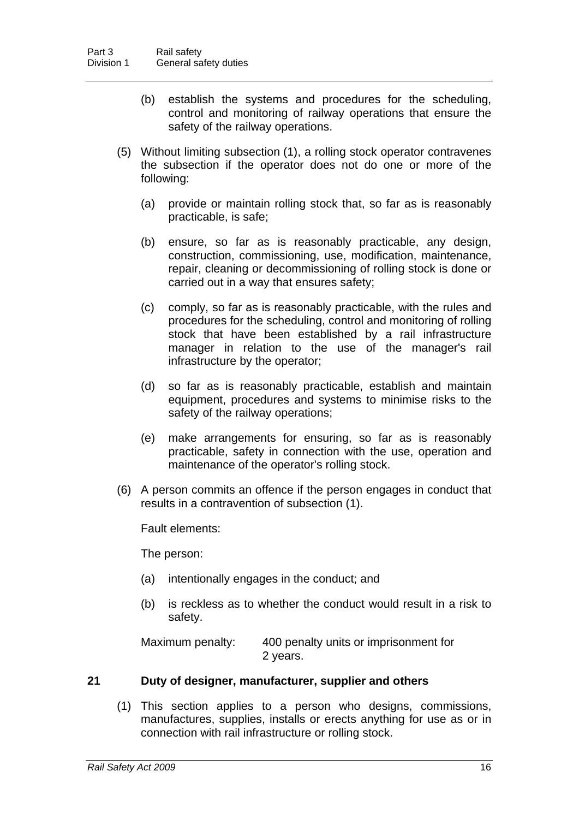- (b) establish the systems and procedures for the scheduling, control and monitoring of railway operations that ensure the safety of the railway operations.
- (5) Without limiting subsection (1), a rolling stock operator contravenes the subsection if the operator does not do one or more of the following:
	- (a) provide or maintain rolling stock that, so far as is reasonably practicable, is safe;
	- (b) ensure, so far as is reasonably practicable, any design, construction, commissioning, use, modification, maintenance, repair, cleaning or decommissioning of rolling stock is done or carried out in a way that ensures safety;
	- (c) comply, so far as is reasonably practicable, with the rules and procedures for the scheduling, control and monitoring of rolling stock that have been established by a rail infrastructure manager in relation to the use of the manager's rail infrastructure by the operator;
	- (d) so far as is reasonably practicable, establish and maintain equipment, procedures and systems to minimise risks to the safety of the railway operations;
	- (e) make arrangements for ensuring, so far as is reasonably practicable, safety in connection with the use, operation and maintenance of the operator's rolling stock.
- (6) A person commits an offence if the person engages in conduct that results in a contravention of subsection (1).

Fault elements:

The person:

- (a) intentionally engages in the conduct; and
- (b) is reckless as to whether the conduct would result in a risk to safety.

Maximum penalty: 400 penalty units or imprisonment for 2 years.

### <span id="page-24-0"></span>**21 Duty of designer, manufacturer, supplier and others**

 (1) This section applies to a person who designs, commissions, manufactures, supplies, installs or erects anything for use as or in connection with rail infrastructure or rolling stock.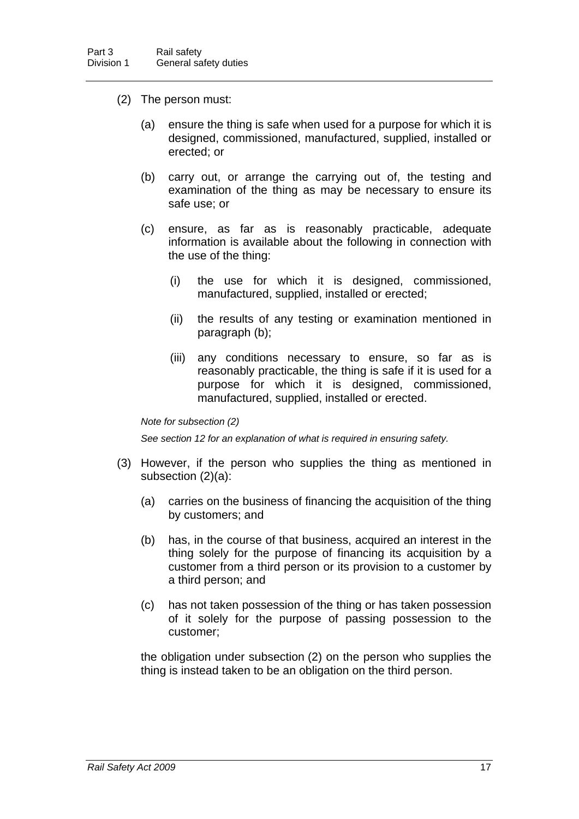- (2) The person must:
	- (a) ensure the thing is safe when used for a purpose for which it is designed, commissioned, manufactured, supplied, installed or erected; or
	- (b) carry out, or arrange the carrying out of, the testing and examination of the thing as may be necessary to ensure its safe use; or
	- (c) ensure, as far as is reasonably practicable, adequate information is available about the following in connection with the use of the thing:
		- (i) the use for which it is designed, commissioned, manufactured, supplied, installed or erected;
		- (ii) the results of any testing or examination mentioned in paragraph (b);
		- (iii) any conditions necessary to ensure, so far as is reasonably practicable, the thing is safe if it is used for a purpose for which it is designed, commissioned, manufactured, supplied, installed or erected.

#### *Note for subsection (2)*

*See section [12](#page-19-0) for an explanation of what is required in ensuring safety.* 

- (3) However, if the person who supplies the thing as mentioned in subsection (2)(a):
	- (a) carries on the business of financing the acquisition of the thing by customers; and
	- (b) has, in the course of that business, acquired an interest in the thing solely for the purpose of financing its acquisition by a customer from a third person or its provision to a customer by a third person; and
	- (c) has not taken possession of the thing or has taken possession of it solely for the purpose of passing possession to the customer;

the obligation under subsection (2) on the person who supplies the thing is instead taken to be an obligation on the third person.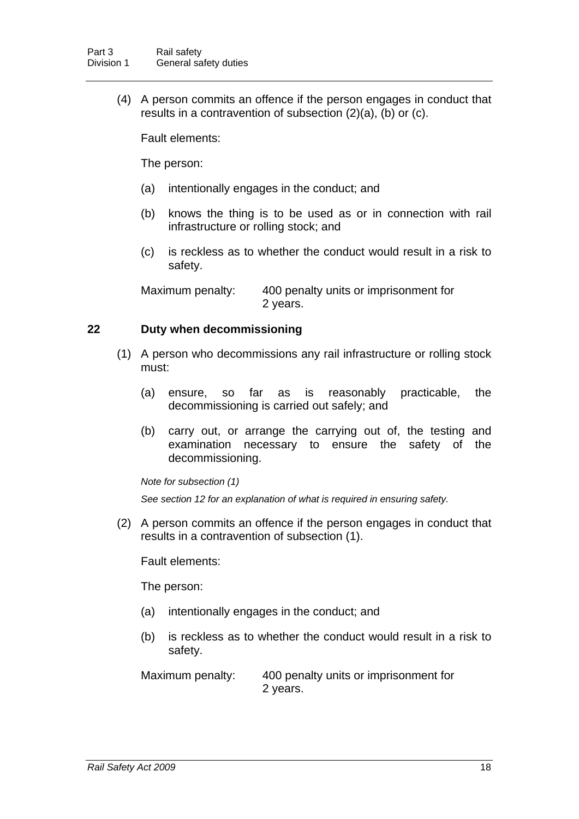(4) A person commits an offence if the person engages in conduct that results in a contravention of subsection (2)(a), (b) or (c).

Fault elements:

The person:

- (a) intentionally engages in the conduct; and
- (b) knows the thing is to be used as or in connection with rail infrastructure or rolling stock; and
- (c) is reckless as to whether the conduct would result in a risk to safety.

Maximum penalty: 400 penalty units or imprisonment for 2 years.

### <span id="page-26-0"></span>**22 Duty when decommissioning**

- (1) A person who decommissions any rail infrastructure or rolling stock must:
	- (a) ensure, so far as is reasonably practicable, the decommissioning is carried out safely; and
	- (b) carry out, or arrange the carrying out of, the testing and examination necessary to ensure the safety of the decommissioning.

*Note for subsection (1)* 

*See section [12](#page-19-0) for an explanation of what is required in ensuring safety.* 

 (2) A person commits an offence if the person engages in conduct that results in a contravention of subsection (1).

Fault elements:

The person:

- (a) intentionally engages in the conduct; and
- (b) is reckless as to whether the conduct would result in a risk to safety.

Maximum penalty: 400 penalty units or imprisonment for 2 years.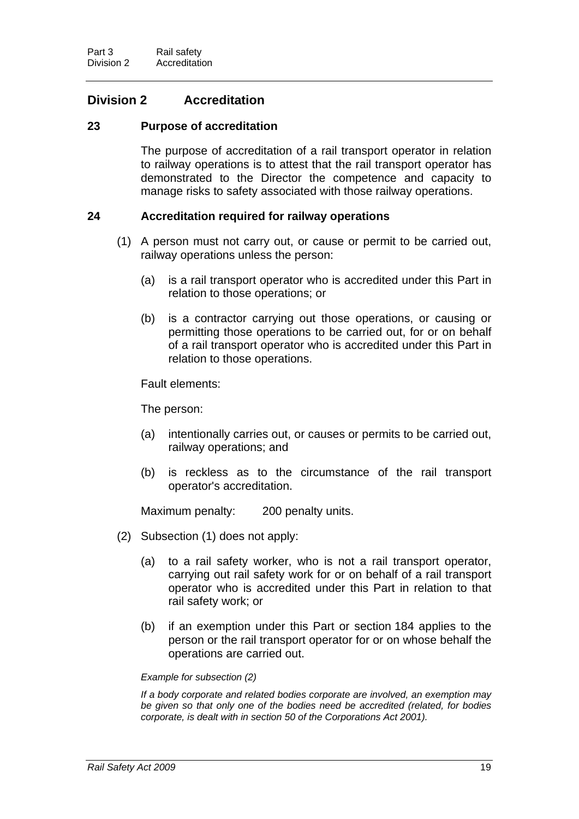### **Division 2 Accreditation**

### <span id="page-27-0"></span>**23 Purpose of accreditation**

The purpose of accreditation of a rail transport operator in relation to railway operations is to attest that the rail transport operator has demonstrated to the Director the competence and capacity to manage risks to safety associated with those railway operations.

#### <span id="page-27-1"></span>**24 Accreditation required for railway operations**

- (1) A person must not carry out, or cause or permit to be carried out, railway operations unless the person:
	- (a) is a rail transport operator who is accredited under this Part in relation to those operations; or
	- (b) is a contractor carrying out those operations, or causing or permitting those operations to be carried out, for or on behalf of a rail transport operator who is accredited under this Part in relation to those operations.

Fault elements:

The person:

- (a) intentionally carries out, or causes or permits to be carried out, railway operations; and
- (b) is reckless as to the circumstance of the rail transport operator's accreditation.

Maximum penalty: 200 penalty units.

- (2) Subsection (1) does not apply:
	- (a) to a rail safety worker, who is not a rail transport operator, carrying out rail safety work for or on behalf of a rail transport operator who is accredited under this Part in relation to that rail safety work; or
	- (b) if an exemption under this Part or section [184](#page-126-1) applies to the person or the rail transport operator for or on whose behalf the operations are carried out.

#### *Example for subsection (2)*

*If a body corporate and related bodies corporate are involved, an exemption may be given so that only one of the bodies need be accredited (related, for bodies corporate, is dealt with in section 50 of the Corporations Act 2001).*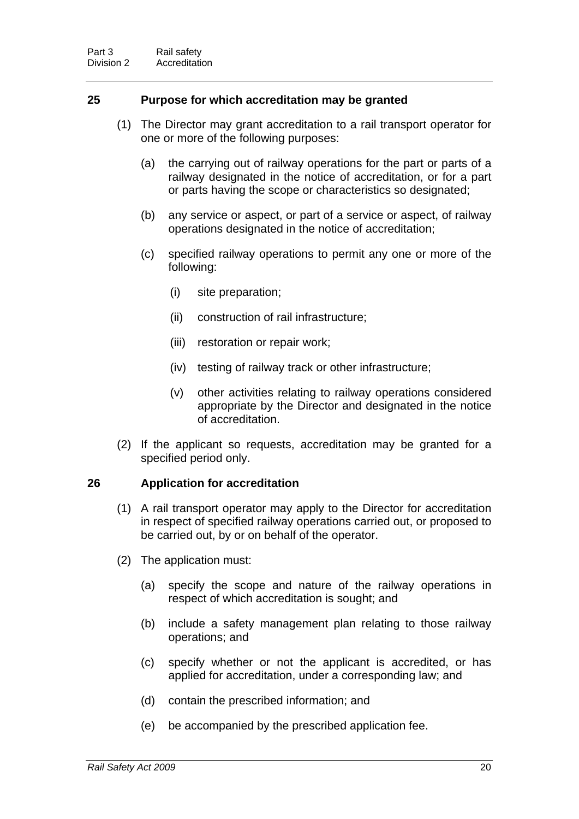### <span id="page-28-0"></span>**25 Purpose for which accreditation may be granted**

- (1) The Director may grant accreditation to a rail transport operator for one or more of the following purposes:
	- (a) the carrying out of railway operations for the part or parts of a railway designated in the notice of accreditation, or for a part or parts having the scope or characteristics so designated;
	- (b) any service or aspect, or part of a service or aspect, of railway operations designated in the notice of accreditation;
	- (c) specified railway operations to permit any one or more of the following:
		- (i) site preparation;
		- (ii) construction of rail infrastructure;
		- (iii) restoration or repair work;
		- (iv) testing of railway track or other infrastructure;
		- (v) other activities relating to railway operations considered appropriate by the Director and designated in the notice of accreditation.
- (2) If the applicant so requests, accreditation may be granted for a specified period only.

#### <span id="page-28-1"></span>**26 Application for accreditation**

- (1) A rail transport operator may apply to the Director for accreditation in respect of specified railway operations carried out, or proposed to be carried out, by or on behalf of the operator.
- (2) The application must:
	- (a) specify the scope and nature of the railway operations in respect of which accreditation is sought; and
	- (b) include a safety management plan relating to those railway operations; and
	- (c) specify whether or not the applicant is accredited, or has applied for accreditation, under a corresponding law; and
	- (d) contain the prescribed information; and
	- (e) be accompanied by the prescribed application fee.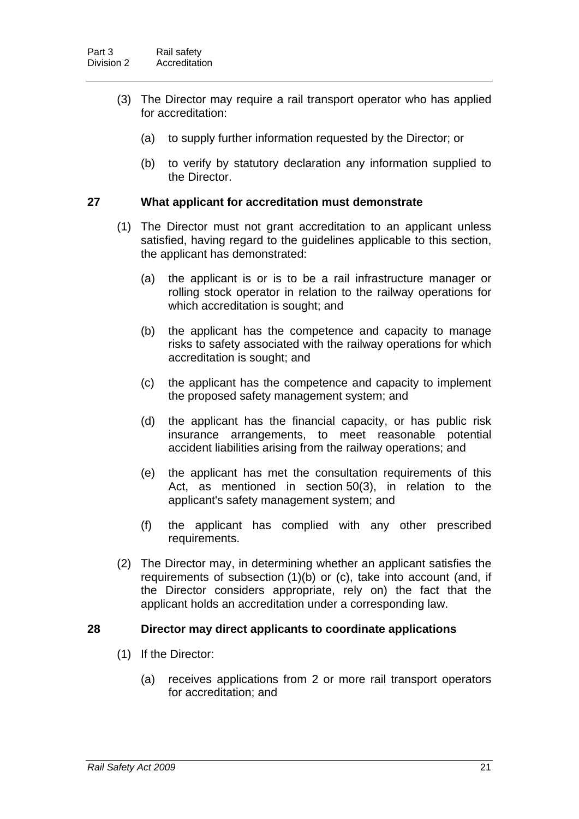- (3) The Director may require a rail transport operator who has applied for accreditation:
	- (a) to supply further information requested by the Director; or
	- (b) to verify by statutory declaration any information supplied to the Director.

#### <span id="page-29-0"></span>**27 What applicant for accreditation must demonstrate**

- (1) The Director must not grant accreditation to an applicant unless satisfied, having regard to the guidelines applicable to this section, the applicant has demonstrated:
	- (a) the applicant is or is to be a rail infrastructure manager or rolling stock operator in relation to the railway operations for which accreditation is sought; and
	- (b) the applicant has the competence and capacity to manage risks to safety associated with the railway operations for which accreditation is sought; and
	- (c) the applicant has the competence and capacity to implement the proposed safety management system; and
	- (d) the applicant has the financial capacity, or has public risk insurance arrangements, to meet reasonable potential accident liabilities arising from the railway operations; and
	- (e) the applicant has met the consultation requirements of this Act, as mentioned in section [50](#page-42-0)(3), in relation to the applicant's safety management system; and
	- (f) the applicant has complied with any other prescribed requirements.
- (2) The Director may, in determining whether an applicant satisfies the requirements of subsection (1)(b) or (c), take into account (and, if the Director considers appropriate, rely on) the fact that the applicant holds an accreditation under a corresponding law.

#### <span id="page-29-1"></span>**28 Director may direct applicants to coordinate applications**

- (1) If the Director:
	- (a) receives applications from 2 or more rail transport operators for accreditation; and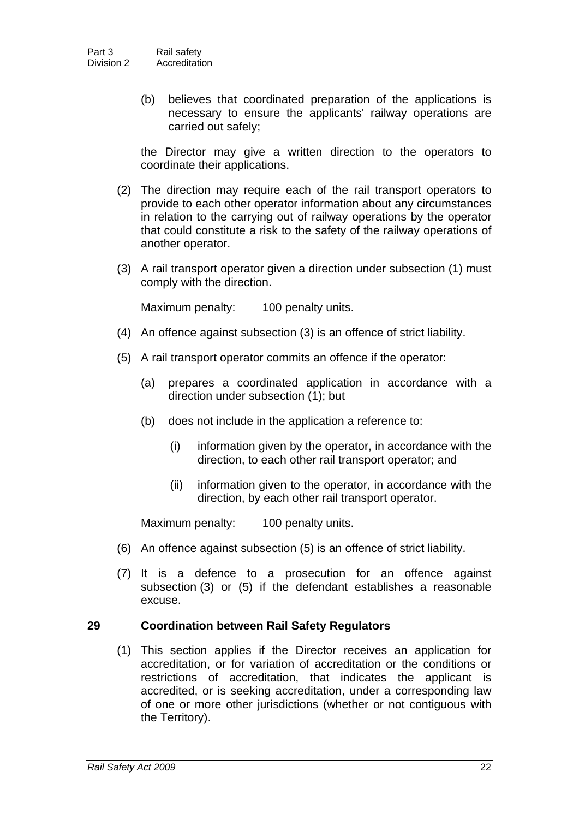(b) believes that coordinated preparation of the applications is necessary to ensure the applicants' railway operations are carried out safely;

the Director may give a written direction to the operators to coordinate their applications.

- (2) The direction may require each of the rail transport operators to provide to each other operator information about any circumstances in relation to the carrying out of railway operations by the operator that could constitute a risk to the safety of the railway operations of another operator.
- (3) A rail transport operator given a direction under subsection (1) must comply with the direction.

Maximum penalty: 100 penalty units.

- (4) An offence against subsection (3) is an offence of strict liability.
- (5) A rail transport operator commits an offence if the operator:
	- (a) prepares a coordinated application in accordance with a direction under subsection (1); but
	- (b) does not include in the application a reference to:
		- (i) information given by the operator, in accordance with the direction, to each other rail transport operator; and
		- (ii) information given to the operator, in accordance with the direction, by each other rail transport operator.

Maximum penalty: 100 penalty units.

- (6) An offence against subsection (5) is an offence of strict liability.
- (7) It is a defence to a prosecution for an offence against subsection (3) or (5) if the defendant establishes a reasonable excuse.

#### <span id="page-30-0"></span>**29 Coordination between Rail Safety Regulators**

 (1) This section applies if the Director receives an application for accreditation, or for variation of accreditation or the conditions or restrictions of accreditation, that indicates the applicant is accredited, or is seeking accreditation, under a corresponding law of one or more other jurisdictions (whether or not contiguous with the Territory).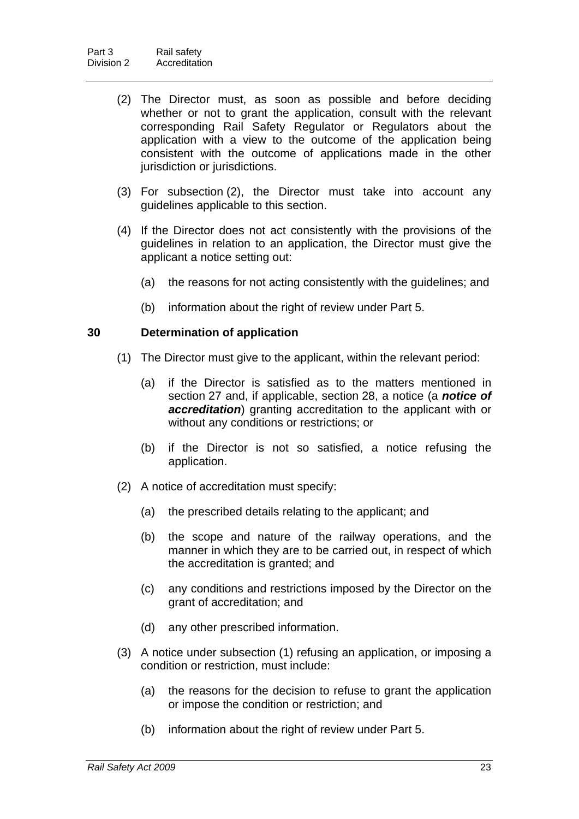- (2) The Director must, as soon as possible and before deciding whether or not to grant the application, consult with the relevant corresponding Rail Safety Regulator or Regulators about the application with a view to the outcome of the application being consistent with the outcome of applications made in the other jurisdiction or jurisdictions.
- (3) For subsection (2), the Director must take into account any guidelines applicable to this section.
- (4) If the Director does not act consistently with the provisions of the guidelines in relation to an application, the Director must give the applicant a notice setting out:
	- (a) the reasons for not acting consistently with the guidelines; and
	- (b) information about the right of review under Part 5.

#### <span id="page-31-0"></span>**30 Determination of application**

- (1) The Director must give to the applicant, within the relevant period:
	- (a) if the Director is satisfied as to the matters mentioned in section [27](#page-29-0) and, if applicable, section [28,](#page-29-1) a notice (a *notice of accreditation*) granting accreditation to the applicant with or without any conditions or restrictions; or
	- (b) if the Director is not so satisfied, a notice refusing the application.
- (2) A notice of accreditation must specify:
	- (a) the prescribed details relating to the applicant; and
	- (b) the scope and nature of the railway operations, and the manner in which they are to be carried out, in respect of which the accreditation is granted; and
	- (c) any conditions and restrictions imposed by the Director on the grant of accreditation; and
	- (d) any other prescribed information.
- (3) A notice under subsection (1) refusing an application, or imposing a condition or restriction, must include:
	- (a) the reasons for the decision to refuse to grant the application or impose the condition or restriction; and
	- (b) information about the right of review under Part 5.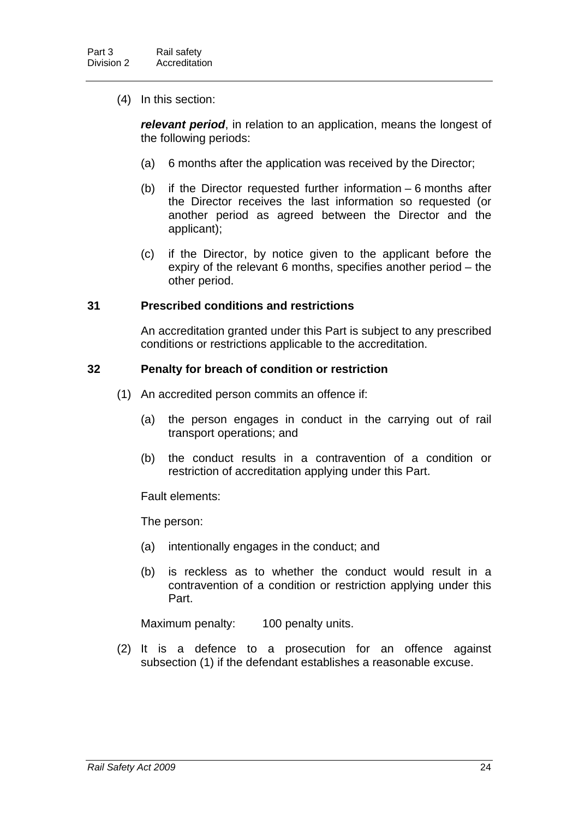(4) In this section:

*relevant period*, in relation to an application, means the longest of the following periods:

- (a) 6 months after the application was received by the Director;
- (b) if the Director requested further information 6 months after the Director receives the last information so requested (or another period as agreed between the Director and the applicant);
- (c) if the Director, by notice given to the applicant before the expiry of the relevant 6 months, specifies another period – the other period.

#### <span id="page-32-0"></span>**31 Prescribed conditions and restrictions**

An accreditation granted under this Part is subject to any prescribed conditions or restrictions applicable to the accreditation.

#### <span id="page-32-1"></span>**32 Penalty for breach of condition or restriction**

- (1) An accredited person commits an offence if:
	- (a) the person engages in conduct in the carrying out of rail transport operations; and
	- (b) the conduct results in a contravention of a condition or restriction of accreditation applying under this Part.

Fault elements:

The person:

- (a) intentionally engages in the conduct; and
- (b) is reckless as to whether the conduct would result in a contravention of a condition or restriction applying under this Part.

Maximum penalty: 100 penalty units.

 (2) It is a defence to a prosecution for an offence against subsection (1) if the defendant establishes a reasonable excuse.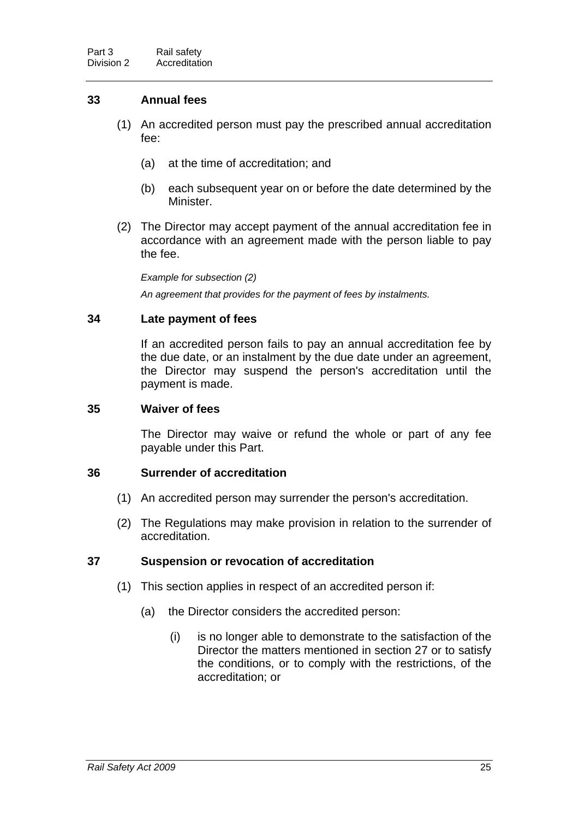### <span id="page-33-0"></span>**33 Annual fees**

- (1) An accredited person must pay the prescribed annual accreditation fee:
	- (a) at the time of accreditation; and
	- (b) each subsequent year on or before the date determined by the Minister.
- (2) The Director may accept payment of the annual accreditation fee in accordance with an agreement made with the person liable to pay the fee.

*Example for subsection (2)* 

*An agreement that provides for the payment of fees by instalments.* 

### <span id="page-33-1"></span>**34 Late payment of fees**

If an accredited person fails to pay an annual accreditation fee by the due date, or an instalment by the due date under an agreement, the Director may suspend the person's accreditation until the payment is made.

#### <span id="page-33-2"></span>**35 Waiver of fees**

The Director may waive or refund the whole or part of any fee payable under this Part.

#### <span id="page-33-3"></span>**36 Surrender of accreditation**

- (1) An accredited person may surrender the person's accreditation.
- (2) The Regulations may make provision in relation to the surrender of accreditation.

### <span id="page-33-4"></span>**37 Suspension or revocation of accreditation**

- (1) This section applies in respect of an accredited person if:
	- (a) the Director considers the accredited person:
		- (i) is no longer able to demonstrate to the satisfaction of the Director the matters mentioned in section [27](#page-29-0) or to satisfy the conditions, or to comply with the restrictions, of the accreditation; or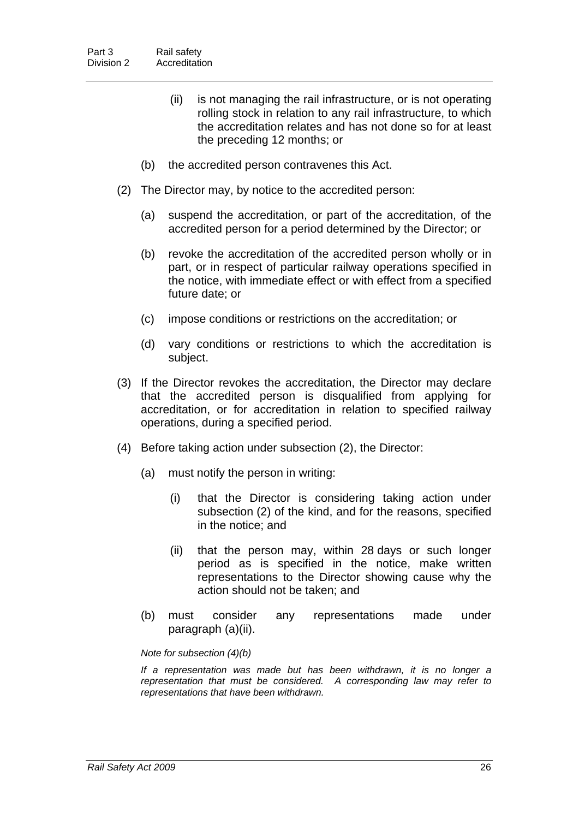- (ii) is not managing the rail infrastructure, or is not operating rolling stock in relation to any rail infrastructure, to which the accreditation relates and has not done so for at least the preceding 12 months; or
- (b) the accredited person contravenes this Act.
- (2) The Director may, by notice to the accredited person:
	- (a) suspend the accreditation, or part of the accreditation, of the accredited person for a period determined by the Director; or
	- (b) revoke the accreditation of the accredited person wholly or in part, or in respect of particular railway operations specified in the notice, with immediate effect or with effect from a specified future date; or
	- (c) impose conditions or restrictions on the accreditation; or
	- (d) vary conditions or restrictions to which the accreditation is subject.
- (3) If the Director revokes the accreditation, the Director may declare that the accredited person is disqualified from applying for accreditation, or for accreditation in relation to specified railway operations, during a specified period.
- (4) Before taking action under subsection (2), the Director:
	- (a) must notify the person in writing:
		- (i) that the Director is considering taking action under subsection (2) of the kind, and for the reasons, specified in the notice; and
		- (ii) that the person may, within 28 days or such longer period as is specified in the notice, make written representations to the Director showing cause why the action should not be taken; and
	- (b) must consider any representations made under paragraph (a)(ii).

*Note for subsection (4)(b)* 

*If a representation was made but has been withdrawn, it is no longer a representation that must be considered. A corresponding law may refer to representations that have been withdrawn.*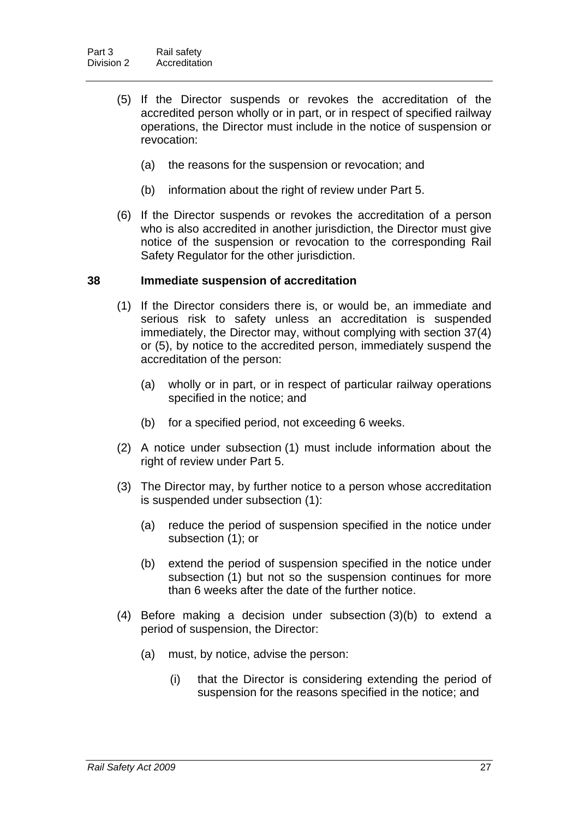- (5) If the Director suspends or revokes the accreditation of the accredited person wholly or in part, or in respect of specified railway operations, the Director must include in the notice of suspension or revocation:
	- (a) the reasons for the suspension or revocation; and
	- (b) information about the right of review under Part 5.
- (6) If the Director suspends or revokes the accreditation of a person who is also accredited in another jurisdiction, the Director must give notice of the suspension or revocation to the corresponding Rail Safety Regulator for the other jurisdiction.

#### <span id="page-35-0"></span>**38 Immediate suspension of accreditation**

- (1) If the Director considers there is, or would be, an immediate and serious risk to safety unless an accreditation is suspended immediately, the Director may, without complying with section [37\(](#page-33-4)4) or (5), by notice to the accredited person, immediately suspend the accreditation of the person:
	- (a) wholly or in part, or in respect of particular railway operations specified in the notice; and
	- (b) for a specified period, not exceeding 6 weeks.
- (2) A notice under subsection (1) must include information about the right of review under Part 5.
- (3) The Director may, by further notice to a person whose accreditation is suspended under subsection (1):
	- (a) reduce the period of suspension specified in the notice under subsection (1); or
	- (b) extend the period of suspension specified in the notice under subsection (1) but not so the suspension continues for more than 6 weeks after the date of the further notice.
- (4) Before making a decision under subsection (3)(b) to extend a period of suspension, the Director:
	- (a) must, by notice, advise the person:
		- (i) that the Director is considering extending the period of suspension for the reasons specified in the notice; and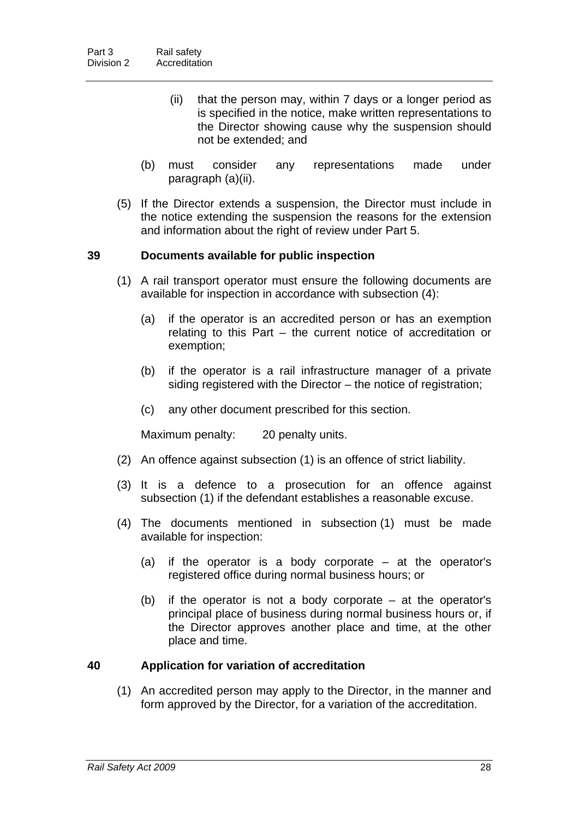- (ii) that the person may, within 7 days or a longer period as is specified in the notice, make written representations to the Director showing cause why the suspension should not be extended; and
- (b) must consider any representations made under paragraph (a)(ii).
- (5) If the Director extends a suspension, the Director must include in the notice extending the suspension the reasons for the extension and information about the right of review under Part 5.

# **39 Documents available for public inspection**

- (1) A rail transport operator must ensure the following documents are available for inspection in accordance with subsection (4):
	- (a) if the operator is an accredited person or has an exemption relating to this Part – the current notice of accreditation or exemption;
	- (b) if the operator is a rail infrastructure manager of a private siding registered with the Director – the notice of registration;
	- (c) any other document prescribed for this section.

Maximum penalty: 20 penalty units.

- (2) An offence against subsection (1) is an offence of strict liability.
- (3) It is a defence to a prosecution for an offence against subsection (1) if the defendant establishes a reasonable excuse.
- (4) The documents mentioned in subsection (1) must be made available for inspection:
	- (a) if the operator is a body corporate at the operator's registered office during normal business hours; or
	- (b) if the operator is not a body corporate at the operator's principal place of business during normal business hours or, if the Director approves another place and time, at the other place and time.

# <span id="page-36-0"></span>**40 Application for variation of accreditation**

 (1) An accredited person may apply to the Director, in the manner and form approved by the Director, for a variation of the accreditation.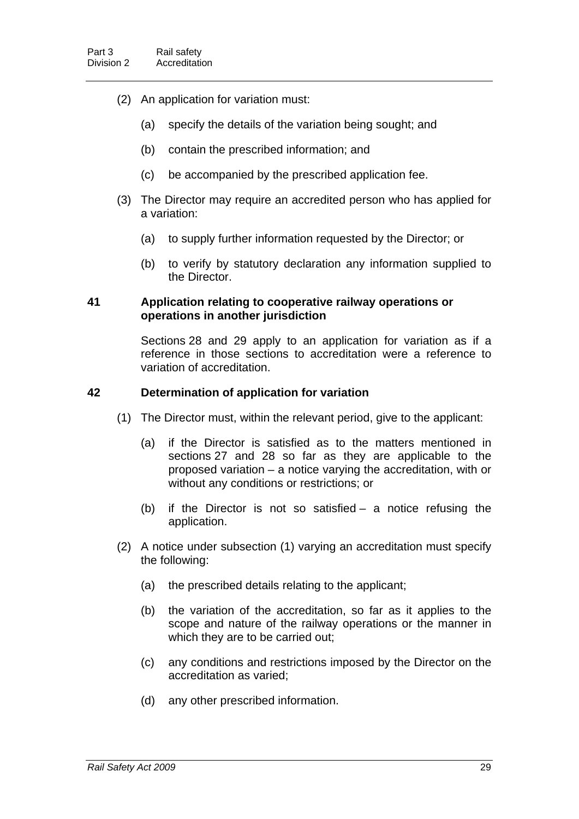- (2) An application for variation must:
	- (a) specify the details of the variation being sought; and
	- (b) contain the prescribed information; and
	- (c) be accompanied by the prescribed application fee.
- (3) The Director may require an accredited person who has applied for a variation:
	- (a) to supply further information requested by the Director; or
	- (b) to verify by statutory declaration any information supplied to the Director.

## **41 Application relating to cooperative railway operations or operations in another jurisdiction**

Sections [28](#page-29-0) and [29](#page-30-0) apply to an application for variation as if a reference in those sections to accreditation were a reference to variation of accreditation.

## **42 Determination of application for variation**

- (1) The Director must, within the relevant period, give to the applicant:
	- (a) if the Director is satisfied as to the matters mentioned in sections [27](#page-29-1) and [28](#page-29-0) so far as they are applicable to the proposed variation – a notice varying the accreditation, with or without any conditions or restrictions; or
	- (b) if the Director is not so satisfied a notice refusing the application.
- (2) A notice under subsection (1) varying an accreditation must specify the following:
	- (a) the prescribed details relating to the applicant;
	- (b) the variation of the accreditation, so far as it applies to the scope and nature of the railway operations or the manner in which they are to be carried out;
	- (c) any conditions and restrictions imposed by the Director on the accreditation as varied;
	- (d) any other prescribed information.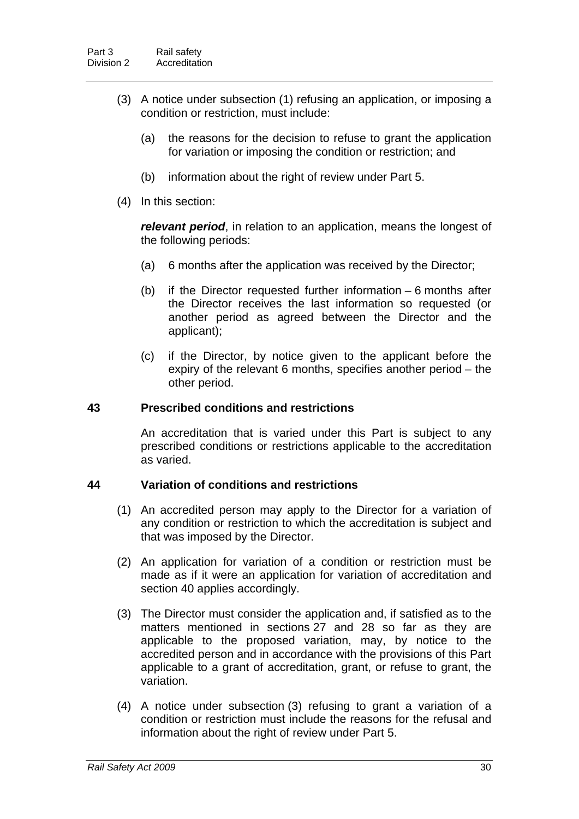- (3) A notice under subsection (1) refusing an application, or imposing a condition or restriction, must include:
	- (a) the reasons for the decision to refuse to grant the application for variation or imposing the condition or restriction; and
	- (b) information about the right of review under Part 5.
- (4) In this section:

*relevant period*, in relation to an application, means the longest of the following periods:

- (a) 6 months after the application was received by the Director;
- (b) if the Director requested further information 6 months after the Director receives the last information so requested (or another period as agreed between the Director and the applicant);
- (c) if the Director, by notice given to the applicant before the expiry of the relevant 6 months, specifies another period – the other period.

#### **43 Prescribed conditions and restrictions**

An accreditation that is varied under this Part is subject to any prescribed conditions or restrictions applicable to the accreditation as varied.

#### **44 Variation of conditions and restrictions**

- (1) An accredited person may apply to the Director for a variation of any condition or restriction to which the accreditation is subject and that was imposed by the Director.
- (2) An application for variation of a condition or restriction must be made as if it were an application for variation of accreditation and section [40](#page-36-0) applies accordingly.
- (3) The Director must consider the application and, if satisfied as to the matters mentioned in sections [27](#page-29-1) and [28](#page-29-0) so far as they are applicable to the proposed variation, may, by notice to the accredited person and in accordance with the provisions of this Part applicable to a grant of accreditation, grant, or refuse to grant, the variation.
- (4) A notice under subsection (3) refusing to grant a variation of a condition or restriction must include the reasons for the refusal and information about the right of review under Part 5.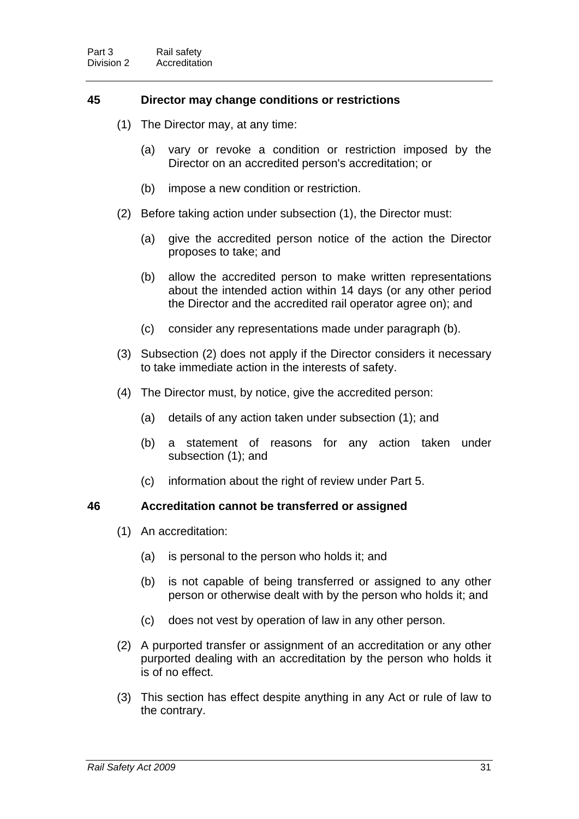# **45 Director may change conditions or restrictions**

- (1) The Director may, at any time:
	- (a) vary or revoke a condition or restriction imposed by the Director on an accredited person's accreditation; or
	- (b) impose a new condition or restriction.
- (2) Before taking action under subsection (1), the Director must:
	- (a) give the accredited person notice of the action the Director proposes to take; and
	- (b) allow the accredited person to make written representations about the intended action within 14 days (or any other period the Director and the accredited rail operator agree on); and
	- (c) consider any representations made under paragraph (b).
- (3) Subsection (2) does not apply if the Director considers it necessary to take immediate action in the interests of safety.
- (4) The Director must, by notice, give the accredited person:
	- (a) details of any action taken under subsection (1); and
	- (b) a statement of reasons for any action taken under subsection (1); and
	- (c) information about the right of review under Part 5.

# **46 Accreditation cannot be transferred or assigned**

- (1) An accreditation:
	- (a) is personal to the person who holds it; and
	- (b) is not capable of being transferred or assigned to any other person or otherwise dealt with by the person who holds it; and
	- (c) does not vest by operation of law in any other person.
- (2) A purported transfer or assignment of an accreditation or any other purported dealing with an accreditation by the person who holds it is of no effect.
- (3) This section has effect despite anything in any Act or rule of law to the contrary.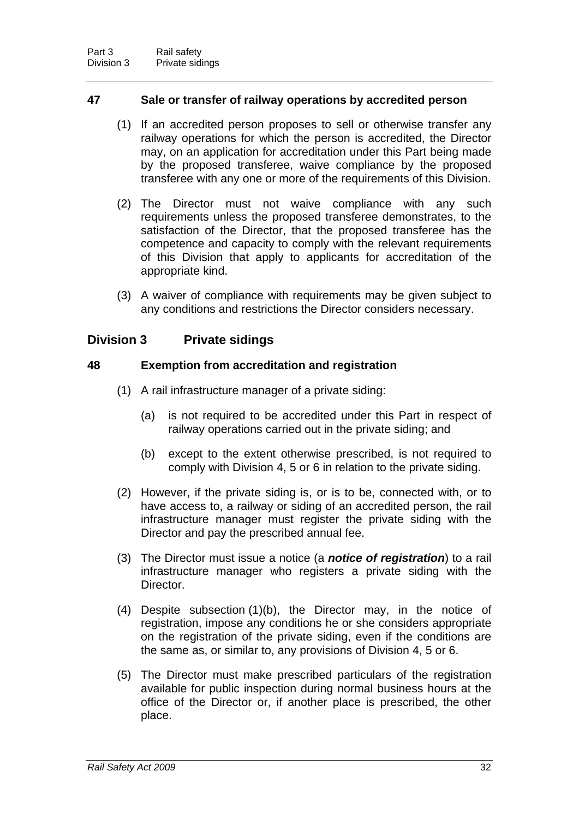# **47 Sale or transfer of railway operations by accredited person**

- (1) If an accredited person proposes to sell or otherwise transfer any railway operations for which the person is accredited, the Director may, on an application for accreditation under this Part being made by the proposed transferee, waive compliance by the proposed transferee with any one or more of the requirements of this Division.
- (2) The Director must not waive compliance with any such requirements unless the proposed transferee demonstrates, to the satisfaction of the Director, that the proposed transferee has the competence and capacity to comply with the relevant requirements of this Division that apply to applicants for accreditation of the appropriate kind.
- (3) A waiver of compliance with requirements may be given subject to any conditions and restrictions the Director considers necessary.

# **Division 3 Private sidings**

# **48 Exemption from accreditation and registration**

- (1) A rail infrastructure manager of a private siding:
	- (a) is not required to be accredited under this Part in respect of railway operations carried out in the private siding; and
	- (b) except to the extent otherwise prescribed, is not required to comply with Division 4, 5 or 6 in relation to the private siding.
- (2) However, if the private siding is, or is to be, connected with, or to have access to, a railway or siding of an accredited person, the rail infrastructure manager must register the private siding with the Director and pay the prescribed annual fee.
- (3) The Director must issue a notice (a *notice of registration*) to a rail infrastructure manager who registers a private siding with the **Director**
- (4) Despite subsection (1)(b), the Director may, in the notice of registration, impose any conditions he or she considers appropriate on the registration of the private siding, even if the conditions are the same as, or similar to, any provisions of Division 4, 5 or 6.
- (5) The Director must make prescribed particulars of the registration available for public inspection during normal business hours at the office of the Director or, if another place is prescribed, the other place.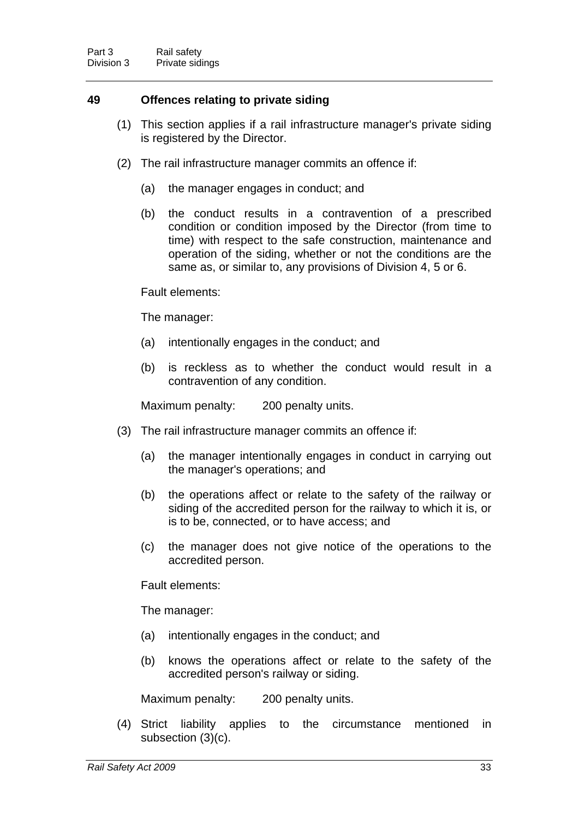# **49 Offences relating to private siding**

- (1) This section applies if a rail infrastructure manager's private siding is registered by the Director.
- (2) The rail infrastructure manager commits an offence if:
	- (a) the manager engages in conduct; and
	- (b) the conduct results in a contravention of a prescribed condition or condition imposed by the Director (from time to time) with respect to the safe construction, maintenance and operation of the siding, whether or not the conditions are the same as, or similar to, any provisions of Division 4, 5 or 6.

#### Fault elements:

The manager:

- (a) intentionally engages in the conduct; and
- (b) is reckless as to whether the conduct would result in a contravention of any condition.

Maximum penalty: 200 penalty units.

- (3) The rail infrastructure manager commits an offence if:
	- (a) the manager intentionally engages in conduct in carrying out the manager's operations; and
	- (b) the operations affect or relate to the safety of the railway or siding of the accredited person for the railway to which it is, or is to be, connected, or to have access; and
	- (c) the manager does not give notice of the operations to the accredited person.

Fault elements:

The manager:

- (a) intentionally engages in the conduct; and
- (b) knows the operations affect or relate to the safety of the accredited person's railway or siding.

Maximum penalty: 200 penalty units.

 (4) Strict liability applies to the circumstance mentioned in subsection (3)(c).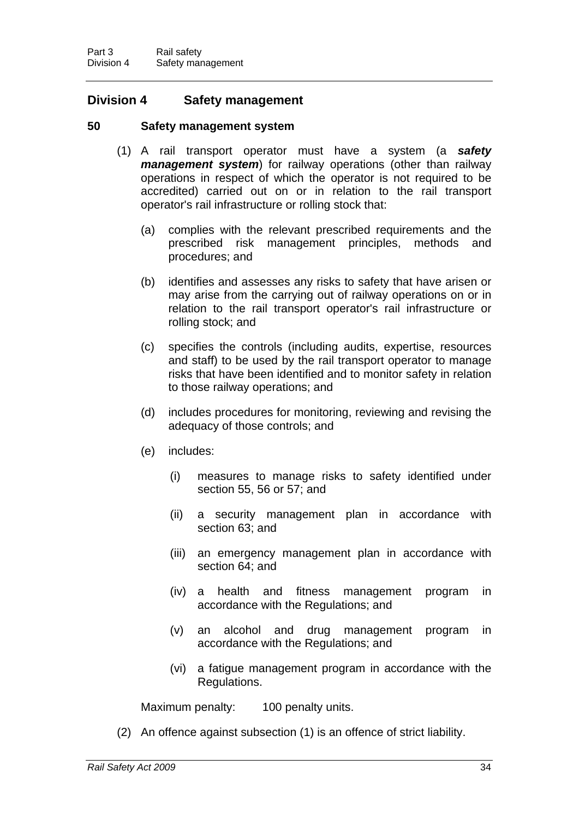# **Division 4 Safety management**

# **50 Safety management system**

- (1) A rail transport operator must have a system (a *safety management system*) for railway operations (other than railway operations in respect of which the operator is not required to be accredited) carried out on or in relation to the rail transport operator's rail infrastructure or rolling stock that:
	- (a) complies with the relevant prescribed requirements and the prescribed risk management principles, methods and procedures; and
	- (b) identifies and assesses any risks to safety that have arisen or may arise from the carrying out of railway operations on or in relation to the rail transport operator's rail infrastructure or rolling stock; and
	- (c) specifies the controls (including audits, expertise, resources and staff) to be used by the rail transport operator to manage risks that have been identified and to monitor safety in relation to those railway operations; and
	- (d) includes procedures for monitoring, reviewing and revising the adequacy of those controls; and
	- (e) includes:
		- (i) measures to manage risks to safety identified under section [55,](#page-47-0) [56](#page-47-1) or [57;](#page-47-2) and
		- (ii) a security management plan in accordance with section [63;](#page-52-0) and
		- (iii) an emergency management plan in accordance with section [64;](#page-52-1) and
		- (iv) a health and fitness management program in accordance with the Regulations; and
		- (v) an alcohol and drug management program in accordance with the Regulations; and
		- (vi) a fatigue management program in accordance with the Regulations.

Maximum penalty: 100 penalty units.

(2) An offence against subsection (1) is an offence of strict liability.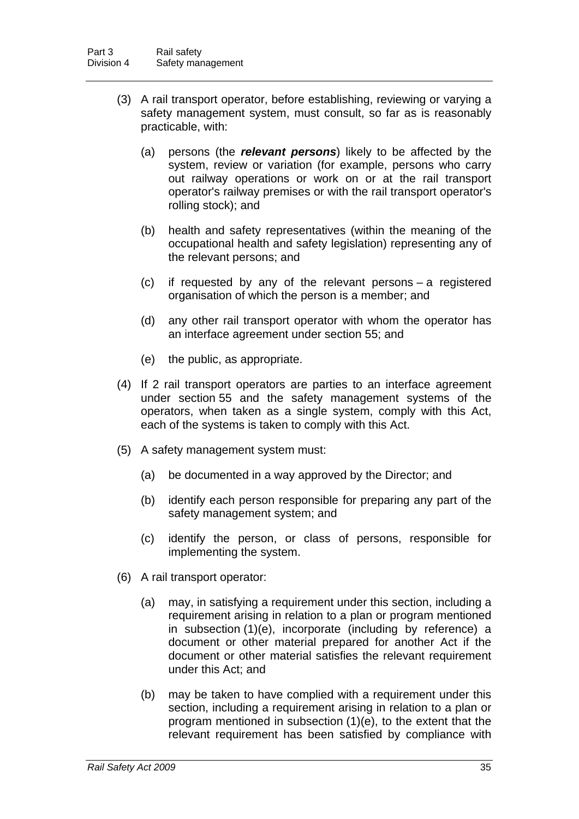- (3) A rail transport operator, before establishing, reviewing or varying a safety management system, must consult, so far as is reasonably practicable, with:
	- (a) persons (the *relevant persons*) likely to be affected by the system, review or variation (for example, persons who carry out railway operations or work on or at the rail transport operator's railway premises or with the rail transport operator's rolling stock); and
	- (b) health and safety representatives (within the meaning of the occupational health and safety legislation) representing any of the relevant persons; and
	- (c) if requested by any of the relevant persons a registered organisation of which the person is a member; and
	- (d) any other rail transport operator with whom the operator has an interface agreement under section [55;](#page-47-0) and
	- (e) the public, as appropriate.
- (4) If 2 rail transport operators are parties to an interface agreement under section [55](#page-47-0) and the safety management systems of the operators, when taken as a single system, comply with this Act, each of the systems is taken to comply with this Act.
- (5) A safety management system must:
	- (a) be documented in a way approved by the Director; and
	- (b) identify each person responsible for preparing any part of the safety management system; and
	- (c) identify the person, or class of persons, responsible for implementing the system.
- (6) A rail transport operator:
	- (a) may, in satisfying a requirement under this section, including a requirement arising in relation to a plan or program mentioned in subsection (1)(e), incorporate (including by reference) a document or other material prepared for another Act if the document or other material satisfies the relevant requirement under this Act; and
	- (b) may be taken to have complied with a requirement under this section, including a requirement arising in relation to a plan or program mentioned in subsection (1)(e), to the extent that the relevant requirement has been satisfied by compliance with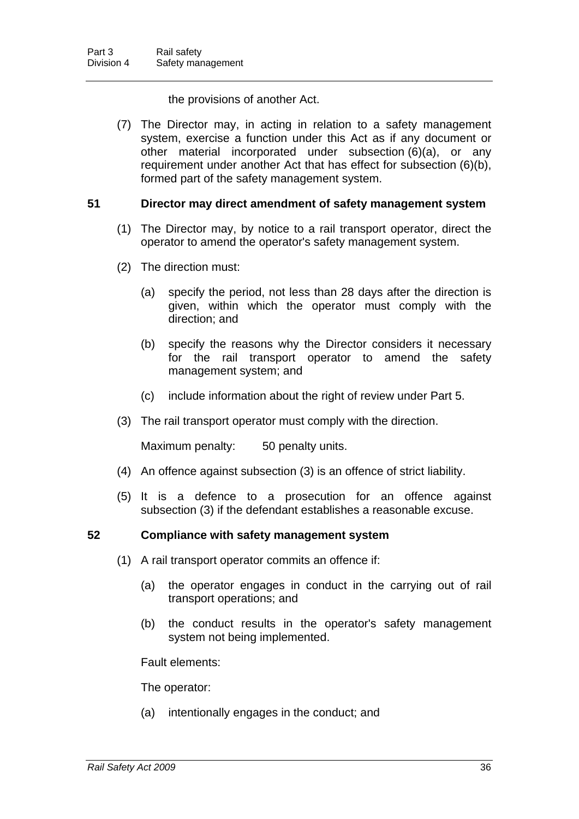the provisions of another Act.

 (7) The Director may, in acting in relation to a safety management system, exercise a function under this Act as if any document or other material incorporated under subsection (6)(a), or any requirement under another Act that has effect for subsection (6)(b), formed part of the safety management system.

# **51 Director may direct amendment of safety management system**

- (1) The Director may, by notice to a rail transport operator, direct the operator to amend the operator's safety management system.
- (2) The direction must:
	- (a) specify the period, not less than 28 days after the direction is given, within which the operator must comply with the direction; and
	- (b) specify the reasons why the Director considers it necessary for the rail transport operator to amend the safety management system; and
	- (c) include information about the right of review under Part 5.
- (3) The rail transport operator must comply with the direction.

Maximum penalty: 50 penalty units.

- (4) An offence against subsection (3) is an offence of strict liability.
- (5) It is a defence to a prosecution for an offence against subsection (3) if the defendant establishes a reasonable excuse.

# **52 Compliance with safety management system**

- (1) A rail transport operator commits an offence if:
	- (a) the operator engages in conduct in the carrying out of rail transport operations; and
	- (b) the conduct results in the operator's safety management system not being implemented.

Fault elements:

The operator:

(a) intentionally engages in the conduct; and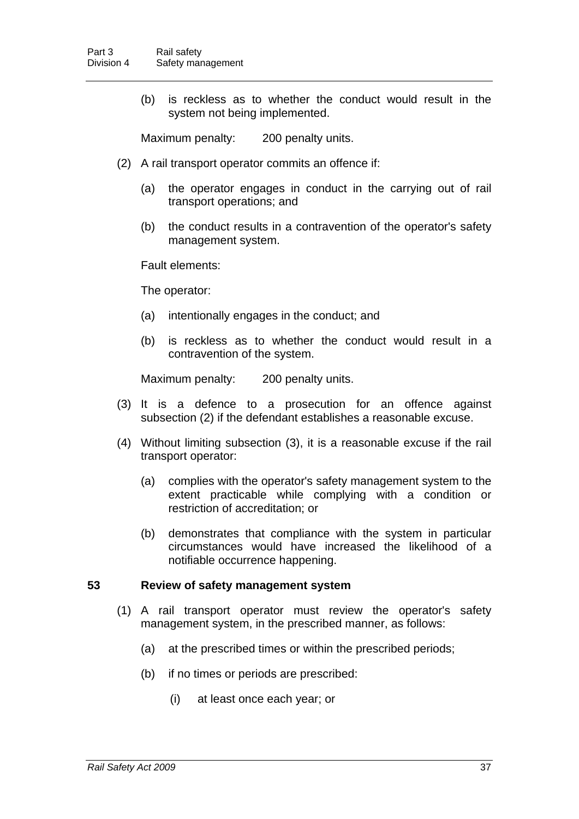(b) is reckless as to whether the conduct would result in the system not being implemented.

Maximum penalty: 200 penalty units.

- (2) A rail transport operator commits an offence if:
	- (a) the operator engages in conduct in the carrying out of rail transport operations; and
	- (b) the conduct results in a contravention of the operator's safety management system.

Fault elements:

The operator:

- (a) intentionally engages in the conduct; and
- (b) is reckless as to whether the conduct would result in a contravention of the system.

Maximum penalty: 200 penalty units.

- (3) It is a defence to a prosecution for an offence against subsection (2) if the defendant establishes a reasonable excuse.
- (4) Without limiting subsection (3), it is a reasonable excuse if the rail transport operator:
	- (a) complies with the operator's safety management system to the extent practicable while complying with a condition or restriction of accreditation; or
	- (b) demonstrates that compliance with the system in particular circumstances would have increased the likelihood of a notifiable occurrence happening.

#### **53 Review of safety management system**

- (1) A rail transport operator must review the operator's safety management system, in the prescribed manner, as follows:
	- (a) at the prescribed times or within the prescribed periods;
	- (b) if no times or periods are prescribed:
		- (i) at least once each year; or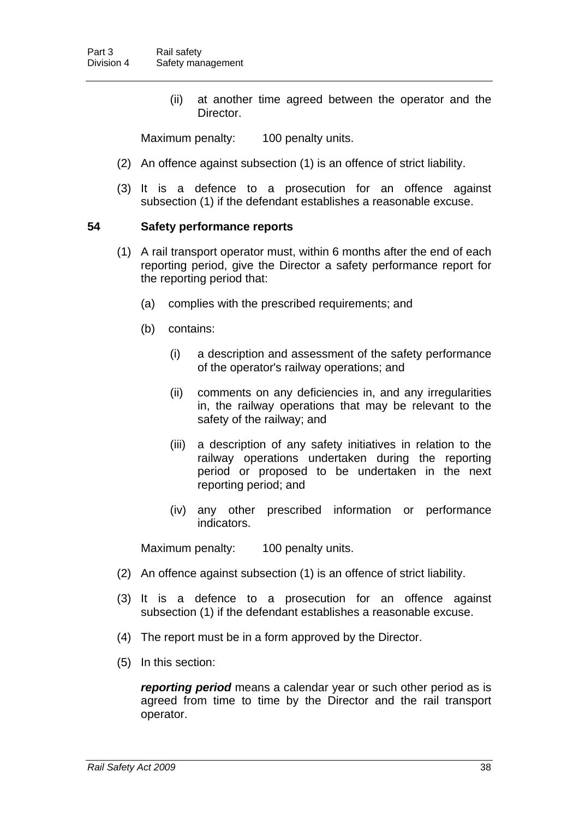(ii) at another time agreed between the operator and the Director.

Maximum penalty: 100 penalty units.

- (2) An offence against subsection (1) is an offence of strict liability.
- (3) It is a defence to a prosecution for an offence against subsection (1) if the defendant establishes a reasonable excuse.

## **54 Safety performance reports**

- (1) A rail transport operator must, within 6 months after the end of each reporting period, give the Director a safety performance report for the reporting period that:
	- (a) complies with the prescribed requirements; and
	- (b) contains:
		- (i) a description and assessment of the safety performance of the operator's railway operations; and
		- (ii) comments on any deficiencies in, and any irregularities in, the railway operations that may be relevant to the safety of the railway; and
		- (iii) a description of any safety initiatives in relation to the railway operations undertaken during the reporting period or proposed to be undertaken in the next reporting period; and
		- (iv) any other prescribed information or performance indicators.

Maximum penalty: 100 penalty units.

- (2) An offence against subsection (1) is an offence of strict liability.
- (3) It is a defence to a prosecution for an offence against subsection (1) if the defendant establishes a reasonable excuse.
- (4) The report must be in a form approved by the Director.
- (5) In this section:

*reporting period* means a calendar year or such other period as is agreed from time to time by the Director and the rail transport operator.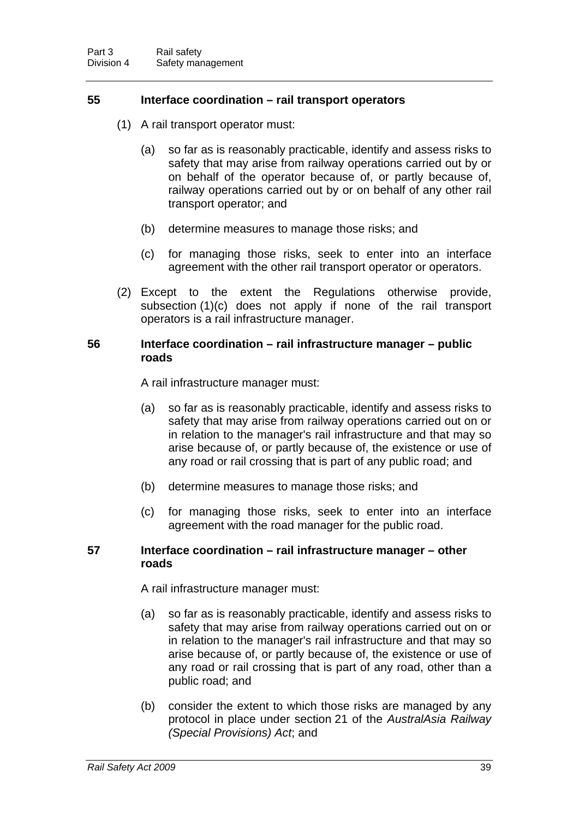## <span id="page-47-0"></span>**55 Interface coordination – rail transport operators**

- (1) A rail transport operator must:
	- (a) so far as is reasonably practicable, identify and assess risks to safety that may arise from railway operations carried out by or on behalf of the operator because of, or partly because of, railway operations carried out by or on behalf of any other rail transport operator; and
	- (b) determine measures to manage those risks; and
	- (c) for managing those risks, seek to enter into an interface agreement with the other rail transport operator or operators.
- (2) Except to the extent the Regulations otherwise provide, subsection (1)(c) does not apply if none of the rail transport operators is a rail infrastructure manager.

#### <span id="page-47-1"></span>**56 Interface coordination – rail infrastructure manager – public roads**

A rail infrastructure manager must:

- (a) so far as is reasonably practicable, identify and assess risks to safety that may arise from railway operations carried out on or in relation to the manager's rail infrastructure and that may so arise because of, or partly because of, the existence or use of any road or rail crossing that is part of any public road; and
- (b) determine measures to manage those risks; and
- (c) for managing those risks, seek to enter into an interface agreement with the road manager for the public road.

#### <span id="page-47-2"></span>**57 Interface coordination – rail infrastructure manager – other roads**

A rail infrastructure manager must:

- (a) so far as is reasonably practicable, identify and assess risks to safety that may arise from railway operations carried out on or in relation to the manager's rail infrastructure and that may so arise because of, or partly because of, the existence or use of any road or rail crossing that is part of any road, other than a public road; and
- (b) consider the extent to which those risks are managed by any protocol in place under section 21 of the *AustralAsia Railway (Special Provisions) Act*; and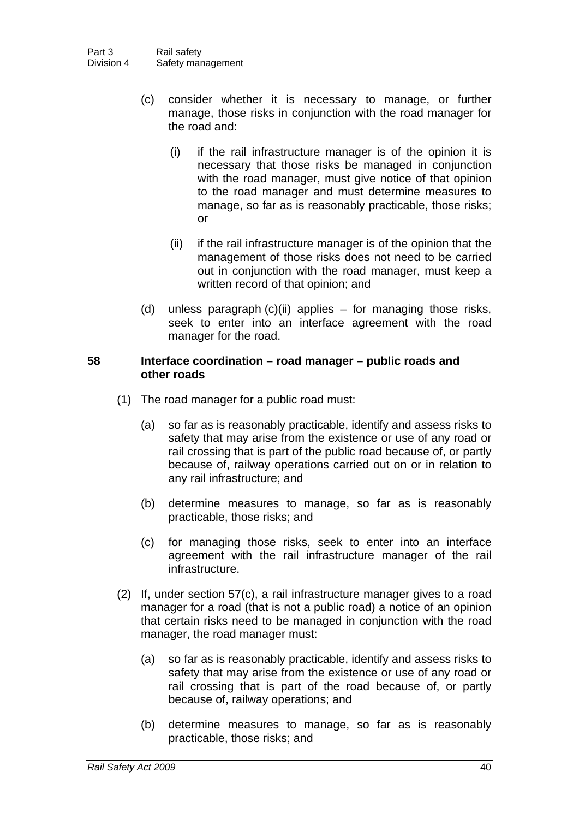- (c) consider whether it is necessary to manage, or further manage, those risks in conjunction with the road manager for the road and:
	- (i) if the rail infrastructure manager is of the opinion it is necessary that those risks be managed in conjunction with the road manager, must give notice of that opinion to the road manager and must determine measures to manage, so far as is reasonably practicable, those risks; or
	- (ii) if the rail infrastructure manager is of the opinion that the management of those risks does not need to be carried out in conjunction with the road manager, must keep a written record of that opinion; and
- (d) unless paragraph (c)(ii) applies for managing those risks, seek to enter into an interface agreement with the road manager for the road.

# <span id="page-48-0"></span>**58 Interface coordination – road manager – public roads and other roads**

- (1) The road manager for a public road must:
	- (a) so far as is reasonably practicable, identify and assess risks to safety that may arise from the existence or use of any road or rail crossing that is part of the public road because of, or partly because of, railway operations carried out on or in relation to any rail infrastructure; and
	- (b) determine measures to manage, so far as is reasonably practicable, those risks; and
	- (c) for managing those risks, seek to enter into an interface agreement with the rail infrastructure manager of the rail infrastructure.
- (2) If, under section [57](#page-47-2)(c), a rail infrastructure manager gives to a road manager for a road (that is not a public road) a notice of an opinion that certain risks need to be managed in conjunction with the road manager, the road manager must:
	- (a) so far as is reasonably practicable, identify and assess risks to safety that may arise from the existence or use of any road or rail crossing that is part of the road because of, or partly because of, railway operations; and
	- (b) determine measures to manage, so far as is reasonably practicable, those risks; and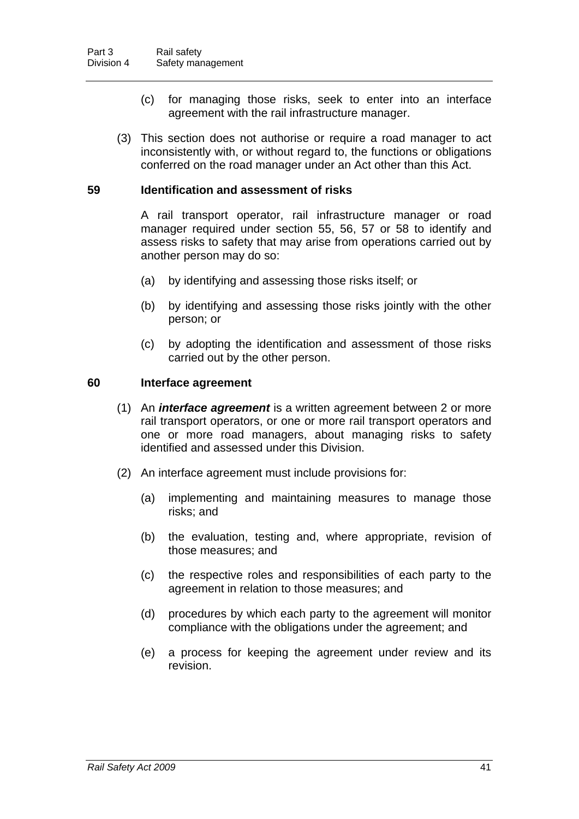- (c) for managing those risks, seek to enter into an interface agreement with the rail infrastructure manager.
- (3) This section does not authorise or require a road manager to act inconsistently with, or without regard to, the functions or obligations conferred on the road manager under an Act other than this Act.

## **59 Identification and assessment of risks**

A rail transport operator, rail infrastructure manager or road manager required under section [55,](#page-47-0) [56](#page-47-1), [57](#page-47-2) or [58](#page-48-0) to identify and assess risks to safety that may arise from operations carried out by another person may do so:

- (a) by identifying and assessing those risks itself; or
- (b) by identifying and assessing those risks jointly with the other person; or
- (c) by adopting the identification and assessment of those risks carried out by the other person.

#### **60 Interface agreement**

- (1) An *interface agreement* is a written agreement between 2 or more rail transport operators, or one or more rail transport operators and one or more road managers, about managing risks to safety identified and assessed under this Division.
- (2) An interface agreement must include provisions for:
	- (a) implementing and maintaining measures to manage those risks; and
	- (b) the evaluation, testing and, where appropriate, revision of those measures; and
	- (c) the respective roles and responsibilities of each party to the agreement in relation to those measures; and
	- (d) procedures by which each party to the agreement will monitor compliance with the obligations under the agreement; and
	- (e) a process for keeping the agreement under review and its revision.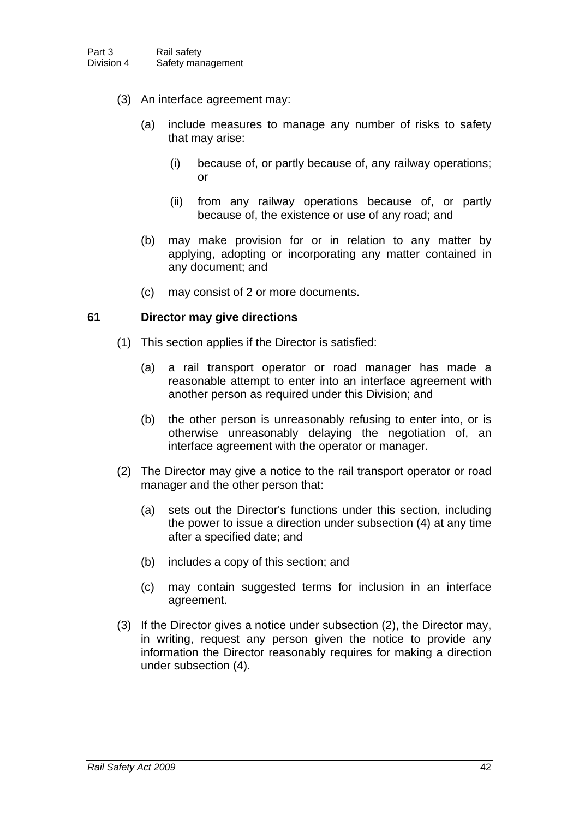- (3) An interface agreement may:
	- (a) include measures to manage any number of risks to safety that may arise:
		- (i) because of, or partly because of, any railway operations; or
		- (ii) from any railway operations because of, or partly because of, the existence or use of any road; and
	- (b) may make provision for or in relation to any matter by applying, adopting or incorporating any matter contained in any document; and
	- (c) may consist of 2 or more documents.

#### <span id="page-50-0"></span>**61 Director may give directions**

- (1) This section applies if the Director is satisfied:
	- (a) a rail transport operator or road manager has made a reasonable attempt to enter into an interface agreement with another person as required under this Division; and
	- (b) the other person is unreasonably refusing to enter into, or is otherwise unreasonably delaying the negotiation of, an interface agreement with the operator or manager.
- (2) The Director may give a notice to the rail transport operator or road manager and the other person that:
	- (a) sets out the Director's functions under this section, including the power to issue a direction under subsection (4) at any time after a specified date; and
	- (b) includes a copy of this section; and
	- (c) may contain suggested terms for inclusion in an interface agreement.
- (3) If the Director gives a notice under subsection (2), the Director may, in writing, request any person given the notice to provide any information the Director reasonably requires for making a direction under subsection (4).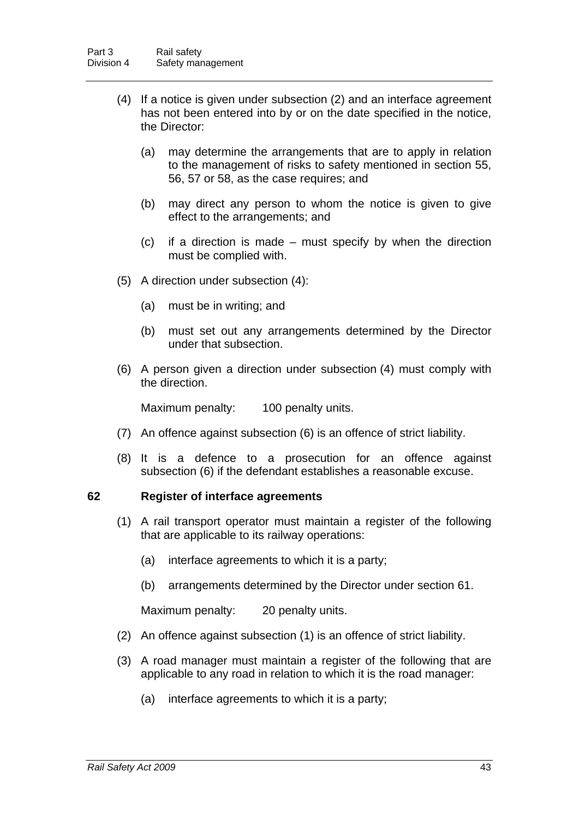- (4) If a notice is given under subsection (2) and an interface agreement has not been entered into by or on the date specified in the notice, the Director:
	- (a) may determine the arrangements that are to apply in relation to the management of risks to safety mentioned in section [55](#page-47-0), [56,](#page-47-1) [57](#page-47-2) or [58](#page-48-0), as the case requires; and
	- (b) may direct any person to whom the notice is given to give effect to the arrangements; and
	- (c) if a direction is made must specify by when the direction must be complied with.
- (5) A direction under subsection (4):
	- (a) must be in writing; and
	- (b) must set out any arrangements determined by the Director under that subsection.
- (6) A person given a direction under subsection (4) must comply with the direction.

Maximum penalty: 100 penalty units.

- (7) An offence against subsection (6) is an offence of strict liability.
- (8) It is a defence to a prosecution for an offence against subsection (6) if the defendant establishes a reasonable excuse.

#### **62 Register of interface agreements**

- (1) A rail transport operator must maintain a register of the following that are applicable to its railway operations:
	- (a) interface agreements to which it is a party;
	- (b) arrangements determined by the Director under section [61](#page-50-0).

Maximum penalty: 20 penalty units.

- (2) An offence against subsection (1) is an offence of strict liability.
- (3) A road manager must maintain a register of the following that are applicable to any road in relation to which it is the road manager:
	- (a) interface agreements to which it is a party;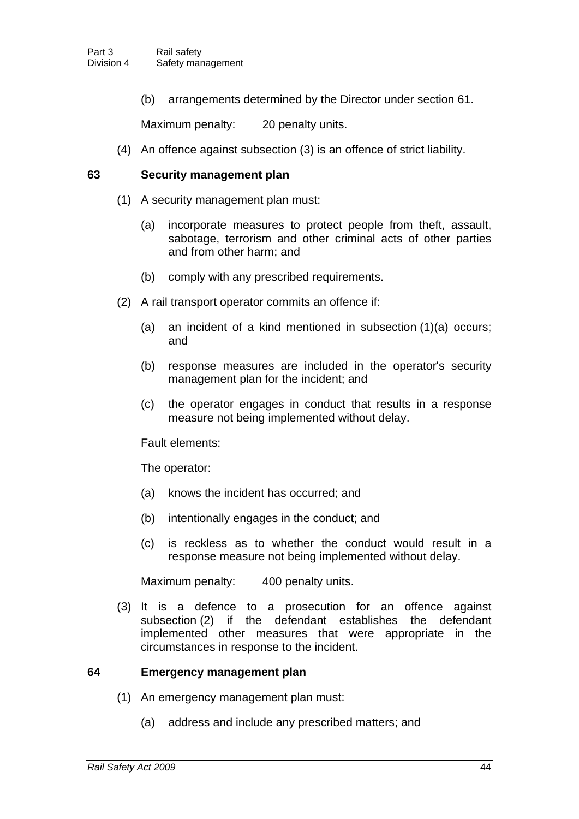(b) arrangements determined by the Director under section [61](#page-50-0).

Maximum penalty: 20 penalty units.

(4) An offence against subsection (3) is an offence of strict liability.

#### <span id="page-52-0"></span>**63 Security management plan**

- (1) A security management plan must:
	- (a) incorporate measures to protect people from theft, assault, sabotage, terrorism and other criminal acts of other parties and from other harm; and
	- (b) comply with any prescribed requirements.
- (2) A rail transport operator commits an offence if:
	- (a) an incident of a kind mentioned in subsection (1)(a) occurs; and
	- (b) response measures are included in the operator's security management plan for the incident; and
	- (c) the operator engages in conduct that results in a response measure not being implemented without delay.

Fault elements:

The operator:

- (a) knows the incident has occurred; and
- (b) intentionally engages in the conduct; and
- (c) is reckless as to whether the conduct would result in a response measure not being implemented without delay.

Maximum penalty: 400 penalty units.

 (3) It is a defence to a prosecution for an offence against subsection (2) if the defendant establishes the defendant implemented other measures that were appropriate in the circumstances in response to the incident.

#### <span id="page-52-1"></span>**64 Emergency management plan**

- (1) An emergency management plan must:
	- (a) address and include any prescribed matters; and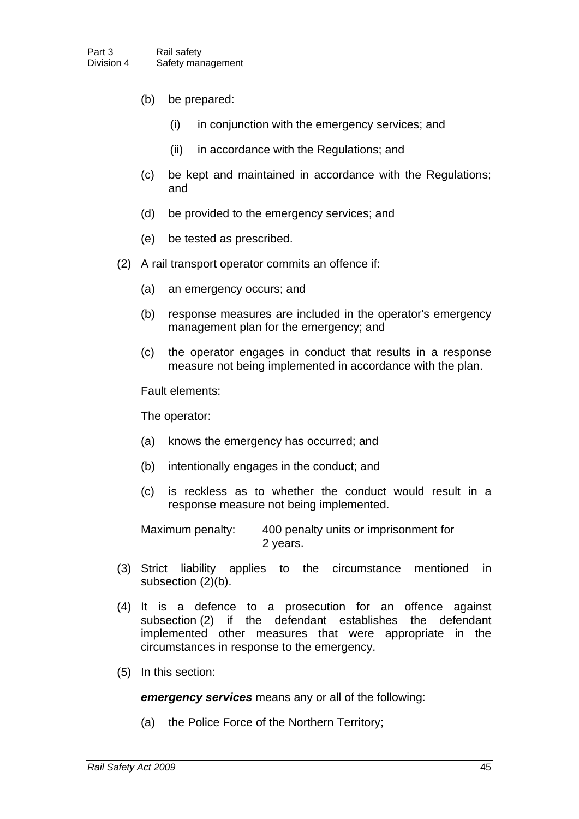- (b) be prepared:
	- (i) in conjunction with the emergency services; and
	- (ii) in accordance with the Regulations; and
- (c) be kept and maintained in accordance with the Regulations; and
- (d) be provided to the emergency services; and
- (e) be tested as prescribed.
- (2) A rail transport operator commits an offence if:
	- (a) an emergency occurs; and
	- (b) response measures are included in the operator's emergency management plan for the emergency; and
	- (c) the operator engages in conduct that results in a response measure not being implemented in accordance with the plan.

Fault elements:

The operator:

- (a) knows the emergency has occurred; and
- (b) intentionally engages in the conduct; and
- (c) is reckless as to whether the conduct would result in a response measure not being implemented.

Maximum penalty: 400 penalty units or imprisonment for 2 years.

- (3) Strict liability applies to the circumstance mentioned in subsection (2)(b).
- (4) It is a defence to a prosecution for an offence against subsection (2) if the defendant establishes the defendant implemented other measures that were appropriate in the circumstances in response to the emergency.
- (5) In this section:

*emergency services* means any or all of the following:

(a) the Police Force of the Northern Territory;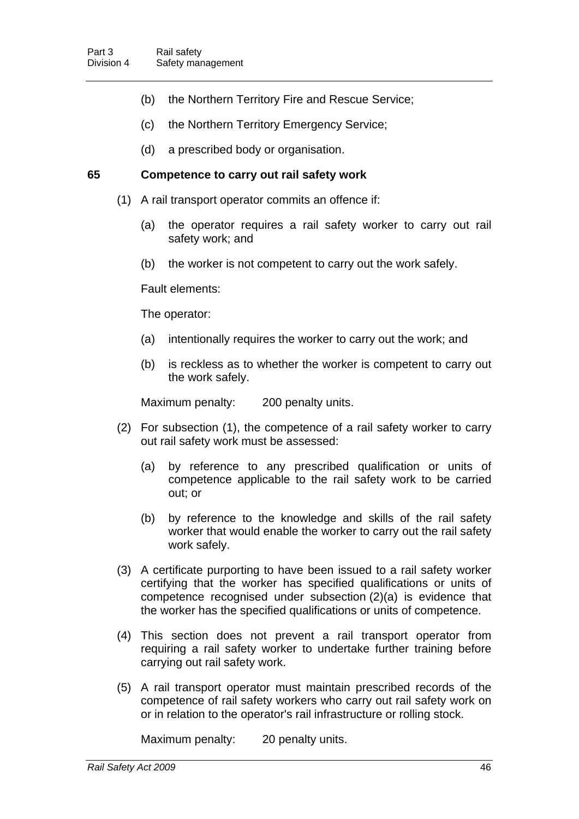- (b) the Northern Territory Fire and Rescue Service;
- (c) the Northern Territory Emergency Service;
- (d) a prescribed body or organisation.

## **65 Competence to carry out rail safety work**

- (1) A rail transport operator commits an offence if:
	- (a) the operator requires a rail safety worker to carry out rail safety work; and
	- (b) the worker is not competent to carry out the work safely.

Fault elements:

The operator:

- (a) intentionally requires the worker to carry out the work; and
- (b) is reckless as to whether the worker is competent to carry out the work safely.

Maximum penalty: 200 penalty units.

- (2) For subsection (1), the competence of a rail safety worker to carry out rail safety work must be assessed:
	- (a) by reference to any prescribed qualification or units of competence applicable to the rail safety work to be carried out; or
	- (b) by reference to the knowledge and skills of the rail safety worker that would enable the worker to carry out the rail safety work safely.
- (3) A certificate purporting to have been issued to a rail safety worker certifying that the worker has specified qualifications or units of competence recognised under subsection (2)(a) is evidence that the worker has the specified qualifications or units of competence.
- (4) This section does not prevent a rail transport operator from requiring a rail safety worker to undertake further training before carrying out rail safety work.
- (5) A rail transport operator must maintain prescribed records of the competence of rail safety workers who carry out rail safety work on or in relation to the operator's rail infrastructure or rolling stock.

Maximum penalty: 20 penalty units.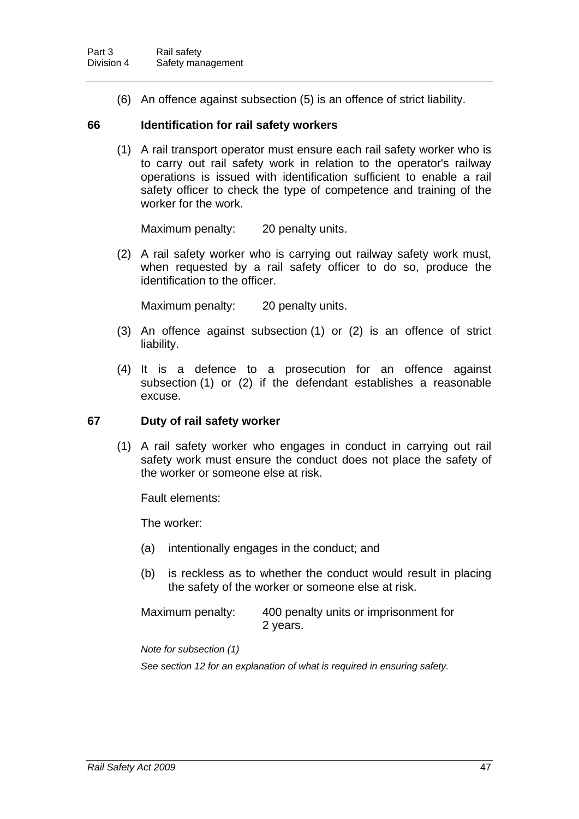(6) An offence against subsection (5) is an offence of strict liability.

## **66 Identification for rail safety workers**

 (1) A rail transport operator must ensure each rail safety worker who is to carry out rail safety work in relation to the operator's railway operations is issued with identification sufficient to enable a rail safety officer to check the type of competence and training of the worker for the work.

Maximum penalty: 20 penalty units.

 (2) A rail safety worker who is carrying out railway safety work must, when requested by a rail safety officer to do so, produce the identification to the officer.

Maximum penalty: 20 penalty units.

- (3) An offence against subsection (1) or (2) is an offence of strict liability.
- (4) It is a defence to a prosecution for an offence against subsection (1) or (2) if the defendant establishes a reasonable excuse.

# **67 Duty of rail safety worker**

 (1) A rail safety worker who engages in conduct in carrying out rail safety work must ensure the conduct does not place the safety of the worker or someone else at risk.

Fault elements:

The worker:

- (a) intentionally engages in the conduct; and
- (b) is reckless as to whether the conduct would result in placing the safety of the worker or someone else at risk.

Maximum penalty: 400 penalty units or imprisonment for 2 years.

*Note for subsection (1)* 

*See section [12](#page-19-0) for an explanation of what is required in ensuring safety.*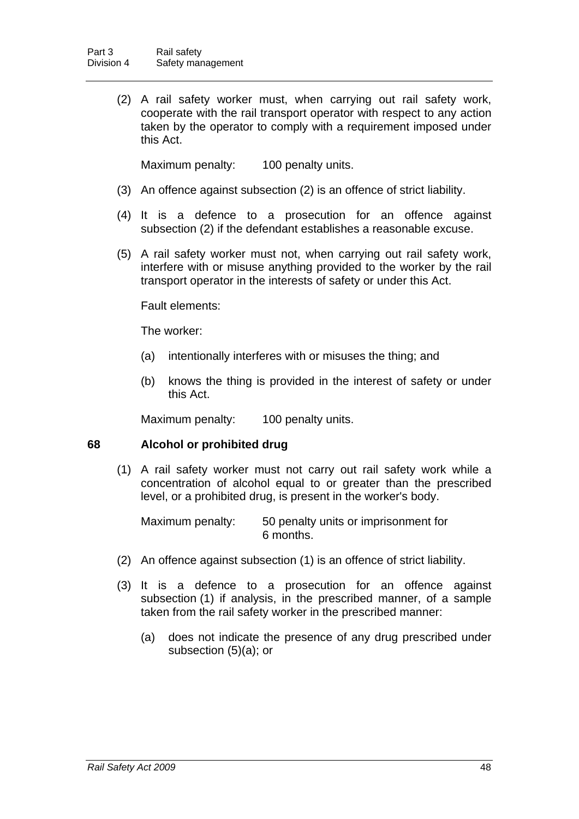(2) A rail safety worker must, when carrying out rail safety work, cooperate with the rail transport operator with respect to any action taken by the operator to comply with a requirement imposed under this Act.

Maximum penalty: 100 penalty units.

- (3) An offence against subsection (2) is an offence of strict liability.
- (4) It is a defence to a prosecution for an offence against subsection (2) if the defendant establishes a reasonable excuse.
- (5) A rail safety worker must not, when carrying out rail safety work, interfere with or misuse anything provided to the worker by the rail transport operator in the interests of safety or under this Act.

Fault elements:

The worker:

- (a) intentionally interferes with or misuses the thing; and
- (b) knows the thing is provided in the interest of safety or under this Act.

Maximum penalty: 100 penalty units.

# <span id="page-56-0"></span>**68 Alcohol or prohibited drug**

 (1) A rail safety worker must not carry out rail safety work while a concentration of alcohol equal to or greater than the prescribed level, or a prohibited drug, is present in the worker's body.

Maximum penalty: 50 penalty units or imprisonment for 6 months.

- (2) An offence against subsection (1) is an offence of strict liability.
- (3) It is a defence to a prosecution for an offence against subsection (1) if analysis, in the prescribed manner, of a sample taken from the rail safety worker in the prescribed manner:
	- (a) does not indicate the presence of any drug prescribed under subsection (5)(a); or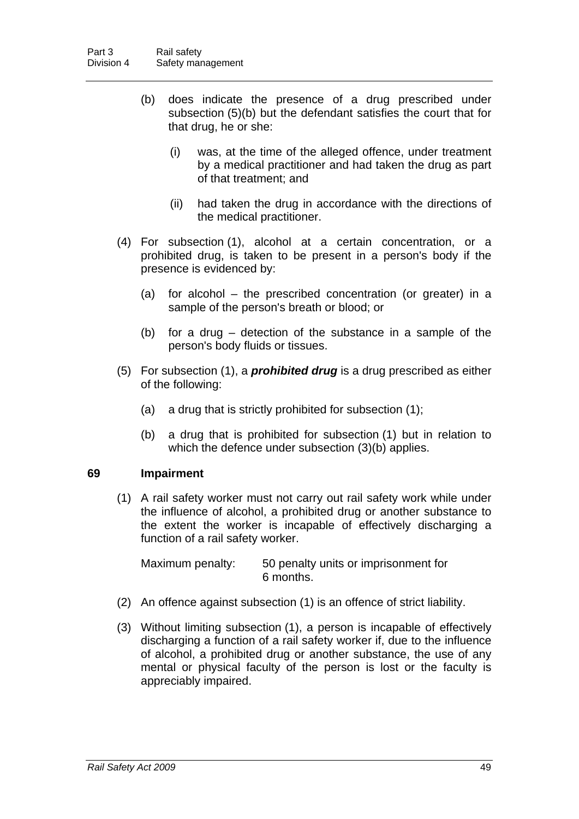- (b) does indicate the presence of a drug prescribed under subsection (5)(b) but the defendant satisfies the court that for that drug, he or she:
	- (i) was, at the time of the alleged offence, under treatment by a medical practitioner and had taken the drug as part of that treatment; and
	- (ii) had taken the drug in accordance with the directions of the medical practitioner.
- (4) For subsection (1), alcohol at a certain concentration, or a prohibited drug, is taken to be present in a person's body if the presence is evidenced by:
	- (a) for alcohol the prescribed concentration (or greater) in a sample of the person's breath or blood; or
	- (b) for a drug detection of the substance in a sample of the person's body fluids or tissues.
- (5) For subsection (1), a *prohibited drug* is a drug prescribed as either of the following:
	- (a) a drug that is strictly prohibited for subsection (1);
	- (b) a drug that is prohibited for subsection (1) but in relation to which the defence under subsection (3)(b) applies.

# **69 Impairment**

 (1) A rail safety worker must not carry out rail safety work while under the influence of alcohol, a prohibited drug or another substance to the extent the worker is incapable of effectively discharging a function of a rail safety worker.

Maximum penalty: 50 penalty units or imprisonment for 6 months.

- (2) An offence against subsection (1) is an offence of strict liability.
- (3) Without limiting subsection (1), a person is incapable of effectively discharging a function of a rail safety worker if, due to the influence of alcohol, a prohibited drug or another substance, the use of any mental or physical faculty of the person is lost or the faculty is appreciably impaired.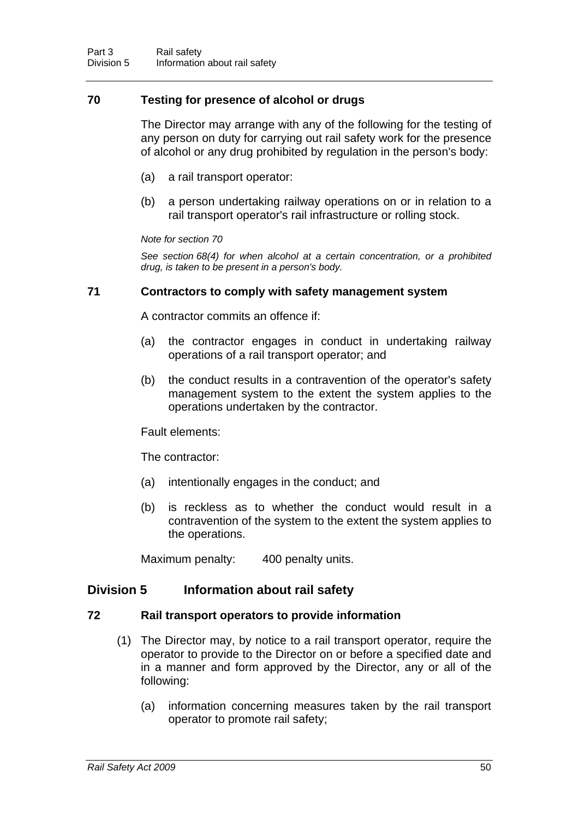# <span id="page-58-0"></span>**70 Testing for presence of alcohol or drugs**

The Director may arrange with any of the following for the testing of any person on duty for carrying out rail safety work for the presence of alcohol or any drug prohibited by regulation in the person's body:

- (a) a rail transport operator:
- (b) a person undertaking railway operations on or in relation to a rail transport operator's rail infrastructure or rolling stock.

#### *Note for section [70](#page-58-0)*

*See section [68](#page-56-0)(4) for when alcohol at a certain concentration, or a prohibited drug, is taken to be present in a person's body.* 

## **71 Contractors to comply with safety management system**

A contractor commits an offence if:

- (a) the contractor engages in conduct in undertaking railway operations of a rail transport operator; and
- (b) the conduct results in a contravention of the operator's safety management system to the extent the system applies to the operations undertaken by the contractor.

Fault elements:

The contractor:

- (a) intentionally engages in the conduct; and
- (b) is reckless as to whether the conduct would result in a contravention of the system to the extent the system applies to the operations.

Maximum penalty: 400 penalty units.

# **Division 5 Information about rail safety**

#### **72 Rail transport operators to provide information**

- (1) The Director may, by notice to a rail transport operator, require the operator to provide to the Director on or before a specified date and in a manner and form approved by the Director, any or all of the following:
	- (a) information concerning measures taken by the rail transport operator to promote rail safety;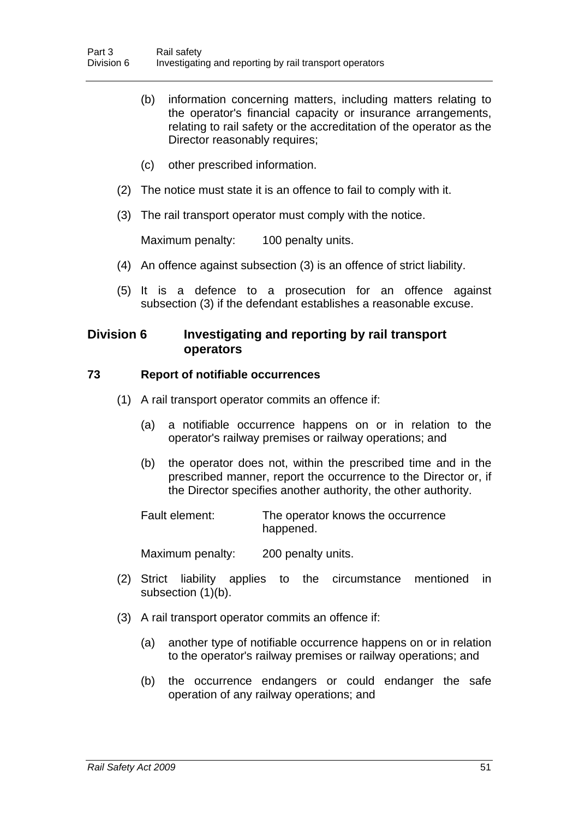- (b) information concerning matters, including matters relating to the operator's financial capacity or insurance arrangements, relating to rail safety or the accreditation of the operator as the Director reasonably requires:
- (c) other prescribed information.
- (2) The notice must state it is an offence to fail to comply with it.
- (3) The rail transport operator must comply with the notice.

Maximum penalty: 100 penalty units.

- (4) An offence against subsection (3) is an offence of strict liability.
- (5) It is a defence to a prosecution for an offence against subsection (3) if the defendant establishes a reasonable excuse.

# **Division 6 Investigating and reporting by rail transport operators**

## **73 Report of notifiable occurrences**

- (1) A rail transport operator commits an offence if:
	- (a) a notifiable occurrence happens on or in relation to the operator's railway premises or railway operations; and
	- (b) the operator does not, within the prescribed time and in the prescribed manner, report the occurrence to the Director or, if the Director specifies another authority, the other authority.

Fault element: The operator knows the occurrence happened.

Maximum penalty: 200 penalty units.

- (2) Strict liability applies to the circumstance mentioned in subsection (1)(b).
- (3) A rail transport operator commits an offence if:
	- (a) another type of notifiable occurrence happens on or in relation to the operator's railway premises or railway operations; and
	- (b) the occurrence endangers or could endanger the safe operation of any railway operations; and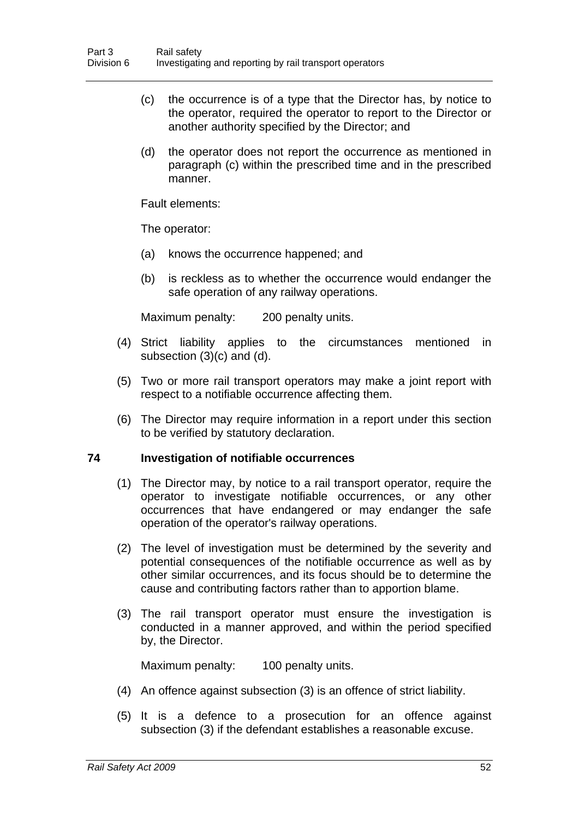- (c) the occurrence is of a type that the Director has, by notice to the operator, required the operator to report to the Director or another authority specified by the Director; and
- (d) the operator does not report the occurrence as mentioned in paragraph (c) within the prescribed time and in the prescribed manner.

Fault elements:

The operator:

- (a) knows the occurrence happened; and
- (b) is reckless as to whether the occurrence would endanger the safe operation of any railway operations.

Maximum penalty: 200 penalty units.

- (4) Strict liability applies to the circumstances mentioned in subsection (3)(c) and (d).
- (5) Two or more rail transport operators may make a joint report with respect to a notifiable occurrence affecting them.
- (6) The Director may require information in a report under this section to be verified by statutory declaration.

#### <span id="page-60-0"></span>**74 Investigation of notifiable occurrences**

- (1) The Director may, by notice to a rail transport operator, require the operator to investigate notifiable occurrences, or any other occurrences that have endangered or may endanger the safe operation of the operator's railway operations.
- (2) The level of investigation must be determined by the severity and potential consequences of the notifiable occurrence as well as by other similar occurrences, and its focus should be to determine the cause and contributing factors rather than to apportion blame.
- (3) The rail transport operator must ensure the investigation is conducted in a manner approved, and within the period specified by, the Director.

Maximum penalty: 100 penalty units.

- (4) An offence against subsection (3) is an offence of strict liability.
- (5) It is a defence to a prosecution for an offence against subsection (3) if the defendant establishes a reasonable excuse.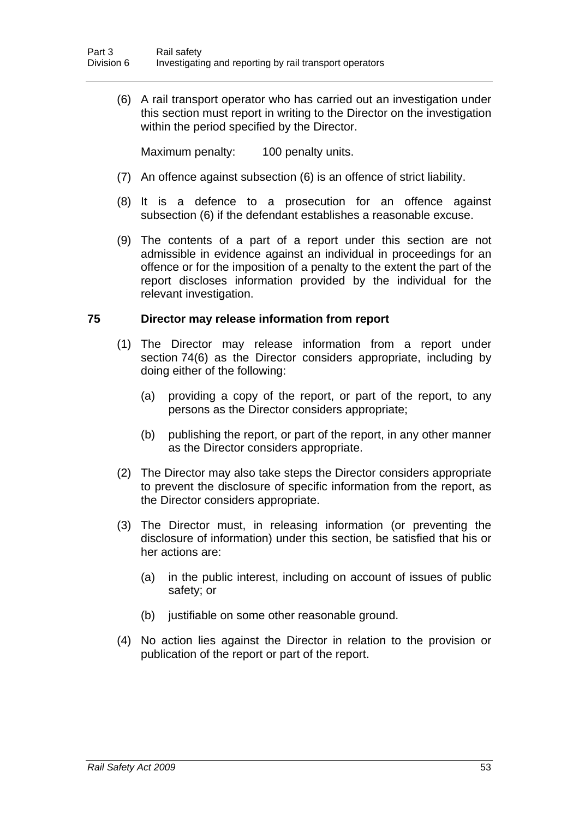(6) A rail transport operator who has carried out an investigation under this section must report in writing to the Director on the investigation within the period specified by the Director.

Maximum penalty: 100 penalty units.

- (7) An offence against subsection (6) is an offence of strict liability.
- (8) It is a defence to a prosecution for an offence against subsection (6) if the defendant establishes a reasonable excuse.
- (9) The contents of a part of a report under this section are not admissible in evidence against an individual in proceedings for an offence or for the imposition of a penalty to the extent the part of the report discloses information provided by the individual for the relevant investigation.

# **75 Director may release information from report**

- (1) The Director may release information from a report under section [74\(](#page-60-0)6) as the Director considers appropriate, including by doing either of the following:
	- (a) providing a copy of the report, or part of the report, to any persons as the Director considers appropriate;
	- (b) publishing the report, or part of the report, in any other manner as the Director considers appropriate.
- (2) The Director may also take steps the Director considers appropriate to prevent the disclosure of specific information from the report, as the Director considers appropriate.
- (3) The Director must, in releasing information (or preventing the disclosure of information) under this section, be satisfied that his or her actions are:
	- (a) in the public interest, including on account of issues of public safety; or
	- (b) justifiable on some other reasonable ground.
- (4) No action lies against the Director in relation to the provision or publication of the report or part of the report.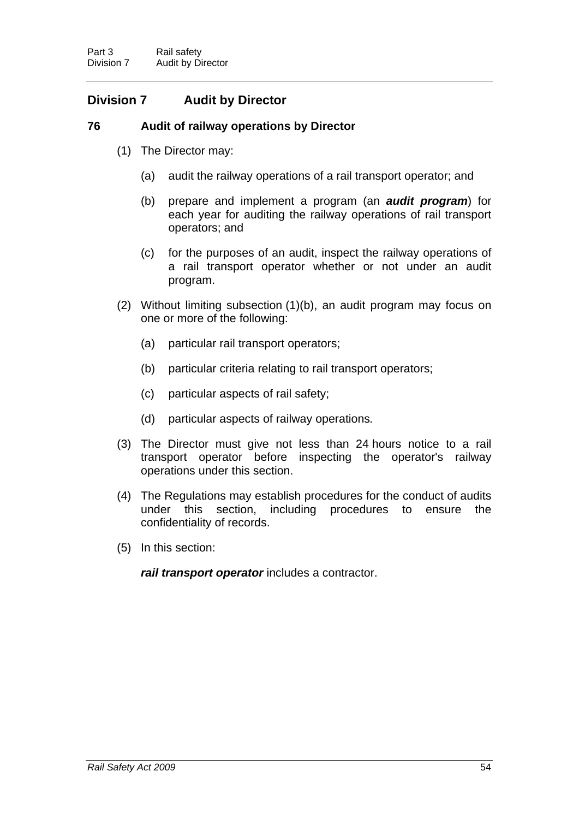# **Division 7 Audit by Director**

# **76 Audit of railway operations by Director**

- (1) The Director may:
	- (a) audit the railway operations of a rail transport operator; and
	- (b) prepare and implement a program (an *audit program*) for each year for auditing the railway operations of rail transport operators; and
	- (c) for the purposes of an audit, inspect the railway operations of a rail transport operator whether or not under an audit program.
- (2) Without limiting subsection (1)(b), an audit program may focus on one or more of the following:
	- (a) particular rail transport operators;
	- (b) particular criteria relating to rail transport operators;
	- (c) particular aspects of rail safety;
	- (d) particular aspects of railway operations*.*
- (3) The Director must give not less than 24 hours notice to a rail transport operator before inspecting the operator's railway operations under this section.
- (4) The Regulations may establish procedures for the conduct of audits under this section, including procedures to ensure the confidentiality of records.
- (5) In this section:

*rail transport operator* includes a contractor.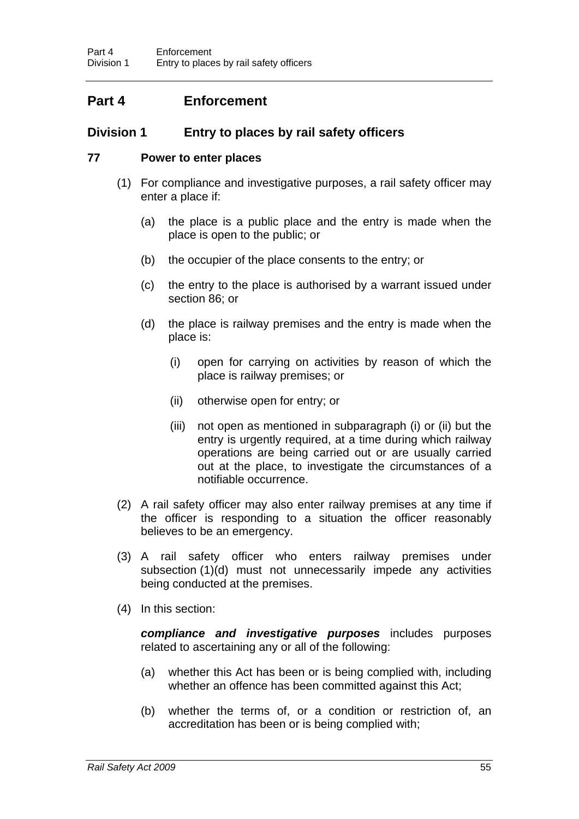# **Part 4 Enforcement**

# **Division 1 Entry to places by rail safety officers**

## <span id="page-63-0"></span>**77 Power to enter places**

- (1) For compliance and investigative purposes, a rail safety officer may enter a place if:
	- (a) the place is a public place and the entry is made when the place is open to the public; or
	- (b) the occupier of the place consents to the entry; or
	- (c) the entry to the place is authorised by a warrant issued under section [86;](#page-68-0) or
	- (d) the place is railway premises and the entry is made when the place is:
		- (i) open for carrying on activities by reason of which the place is railway premises; or
		- (ii) otherwise open for entry; or
		- (iii) not open as mentioned in subparagraph (i) or (ii) but the entry is urgently required, at a time during which railway operations are being carried out or are usually carried out at the place, to investigate the circumstances of a notifiable occurrence.
- (2) A rail safety officer may also enter railway premises at any time if the officer is responding to a situation the officer reasonably believes to be an emergency.
- (3) A rail safety officer who enters railway premises under subsection (1)(d) must not unnecessarily impede any activities being conducted at the premises.
- (4) In this section:

*compliance and investigative purposes* includes purposes related to ascertaining any or all of the following:

- (a) whether this Act has been or is being complied with, including whether an offence has been committed against this Act;
- (b) whether the terms of, or a condition or restriction of, an accreditation has been or is being complied with;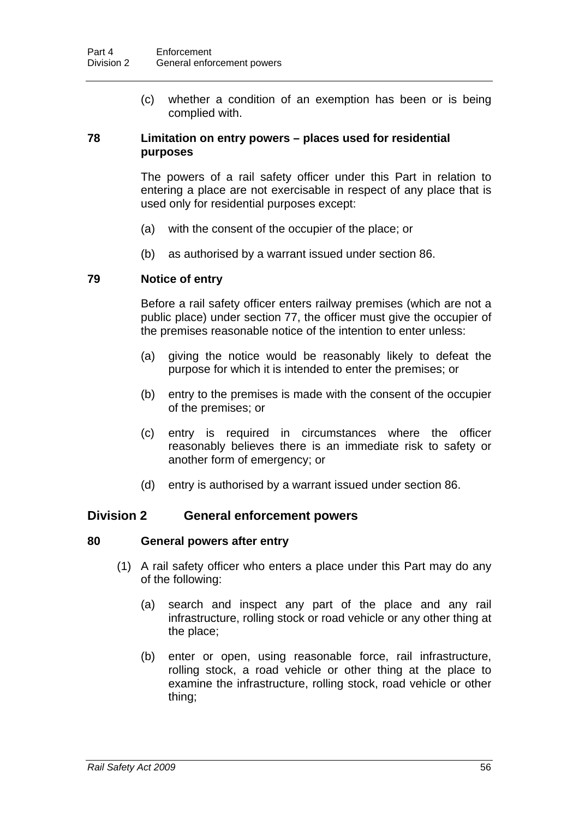(c) whether a condition of an exemption has been or is being complied with.

# **78 Limitation on entry powers – places used for residential purposes**

The powers of a rail safety officer under this Part in relation to entering a place are not exercisable in respect of any place that is used only for residential purposes except:

- (a) with the consent of the occupier of the place; or
- (b) as authorised by a warrant issued under section [86.](#page-68-0)

# **79 Notice of entry**

Before a rail safety officer enters railway premises (which are not a public place) under section [77,](#page-63-0) the officer must give the occupier of the premises reasonable notice of the intention to enter unless:

- (a) giving the notice would be reasonably likely to defeat the purpose for which it is intended to enter the premises; or
- (b) entry to the premises is made with the consent of the occupier of the premises; or
- (c) entry is required in circumstances where the officer reasonably believes there is an immediate risk to safety or another form of emergency; or
- (d) entry is authorised by a warrant issued under section [86.](#page-68-0)

# **Division 2 General enforcement powers**

# <span id="page-64-0"></span>**80 General powers after entry**

- (1) A rail safety officer who enters a place under this Part may do any of the following:
	- (a) search and inspect any part of the place and any rail infrastructure, rolling stock or road vehicle or any other thing at the place;
	- (b) enter or open, using reasonable force, rail infrastructure, rolling stock, a road vehicle or other thing at the place to examine the infrastructure, rolling stock, road vehicle or other thing;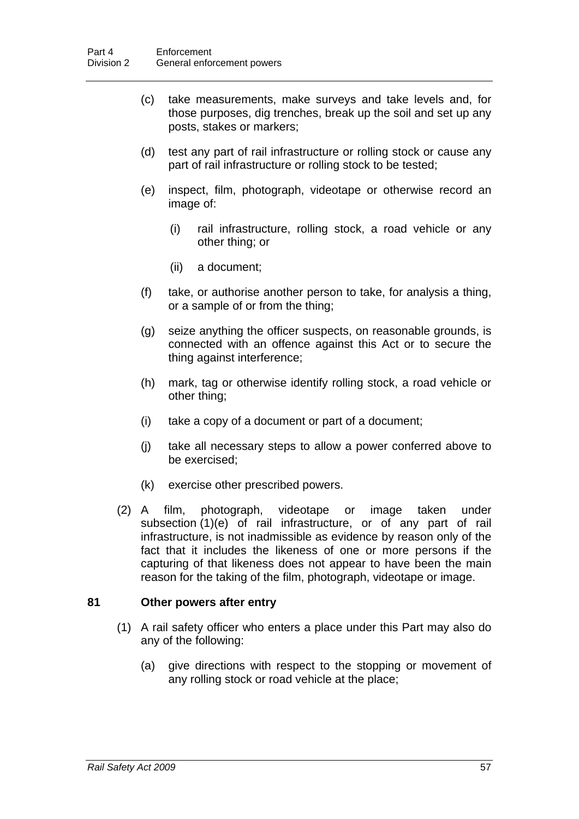- (c) take measurements, make surveys and take levels and, for those purposes, dig trenches, break up the soil and set up any posts, stakes or markers;
- (d) test any part of rail infrastructure or rolling stock or cause any part of rail infrastructure or rolling stock to be tested;
- (e) inspect, film, photograph, videotape or otherwise record an image of:
	- (i) rail infrastructure, rolling stock, a road vehicle or any other thing; or
	- (ii) a document;
- (f) take, or authorise another person to take, for analysis a thing, or a sample of or from the thing;
- (g) seize anything the officer suspects, on reasonable grounds, is connected with an offence against this Act or to secure the thing against interference;
- (h) mark, tag or otherwise identify rolling stock, a road vehicle or other thing;
- (i) take a copy of a document or part of a document;
- (j) take all necessary steps to allow a power conferred above to be exercised;
- (k) exercise other prescribed powers.
- (2) A film, photograph, videotape or image taken under subsection (1)(e) of rail infrastructure, or of any part of rail infrastructure, is not inadmissible as evidence by reason only of the fact that it includes the likeness of one or more persons if the capturing of that likeness does not appear to have been the main reason for the taking of the film, photograph, videotape or image.

# **81 Other powers after entry**

- (1) A rail safety officer who enters a place under this Part may also do any of the following:
	- (a) give directions with respect to the stopping or movement of any rolling stock or road vehicle at the place;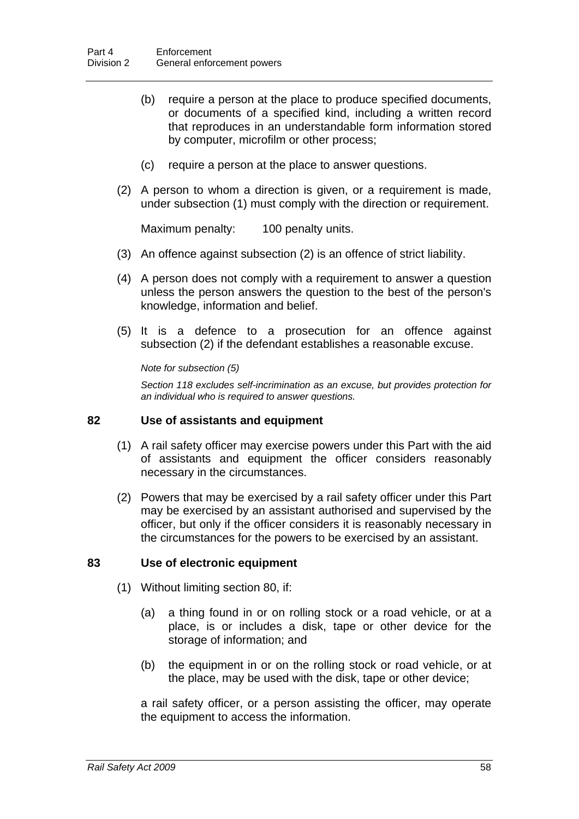- (b) require a person at the place to produce specified documents, or documents of a specified kind, including a written record that reproduces in an understandable form information stored by computer, microfilm or other process;
- (c) require a person at the place to answer questions.
- (2) A person to whom a direction is given, or a requirement is made, under subsection (1) must comply with the direction or requirement.

Maximum penalty: 100 penalty units.

- (3) An offence against subsection (2) is an offence of strict liability.
- (4) A person does not comply with a requirement to answer a question unless the person answers the question to the best of the person's knowledge, information and belief.
- (5) It is a defence to a prosecution for an offence against subsection (2) if the defendant establishes a reasonable excuse.

*Note for subsection (5)* 

*Section [118](#page-87-0) excludes self-incrimination as an excuse, but provides protection for an individual who is required to answer questions.* 

## <span id="page-66-0"></span>**82 Use of assistants and equipment**

- (1) A rail safety officer may exercise powers under this Part with the aid of assistants and equipment the officer considers reasonably necessary in the circumstances.
- (2) Powers that may be exercised by a rail safety officer under this Part may be exercised by an assistant authorised and supervised by the officer, but only if the officer considers it is reasonably necessary in the circumstances for the powers to be exercised by an assistant.

#### **83 Use of electronic equipment**

- (1) Without limiting section [80](#page-64-0), if:
	- (a) a thing found in or on rolling stock or a road vehicle, or at a place, is or includes a disk, tape or other device for the storage of information; and
	- (b) the equipment in or on the rolling stock or road vehicle, or at the place, may be used with the disk, tape or other device;

a rail safety officer, or a person assisting the officer, may operate the equipment to access the information.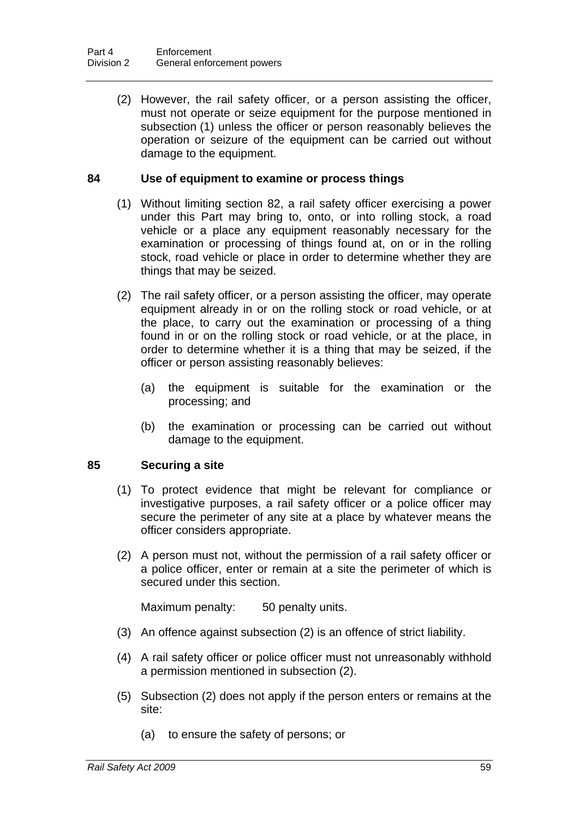(2) However, the rail safety officer, or a person assisting the officer, must not operate or seize equipment for the purpose mentioned in subsection (1) unless the officer or person reasonably believes the operation or seizure of the equipment can be carried out without damage to the equipment.

## **84 Use of equipment to examine or process things**

- (1) Without limiting section [82](#page-66-0), a rail safety officer exercising a power under this Part may bring to, onto, or into rolling stock, a road vehicle or a place any equipment reasonably necessary for the examination or processing of things found at, on or in the rolling stock, road vehicle or place in order to determine whether they are things that may be seized.
- (2) The rail safety officer, or a person assisting the officer, may operate equipment already in or on the rolling stock or road vehicle, or at the place, to carry out the examination or processing of a thing found in or on the rolling stock or road vehicle, or at the place, in order to determine whether it is a thing that may be seized, if the officer or person assisting reasonably believes:
	- (a) the equipment is suitable for the examination or the processing; and
	- (b) the examination or processing can be carried out without damage to the equipment.

# **85 Securing a site**

- (1) To protect evidence that might be relevant for compliance or investigative purposes, a rail safety officer or a police officer may secure the perimeter of any site at a place by whatever means the officer considers appropriate.
- (2) A person must not, without the permission of a rail safety officer or a police officer, enter or remain at a site the perimeter of which is secured under this section.

Maximum penalty: 50 penalty units.

- (3) An offence against subsection (2) is an offence of strict liability.
- (4) A rail safety officer or police officer must not unreasonably withhold a permission mentioned in subsection (2).
- (5) Subsection (2) does not apply if the person enters or remains at the site:
	- (a) to ensure the safety of persons; or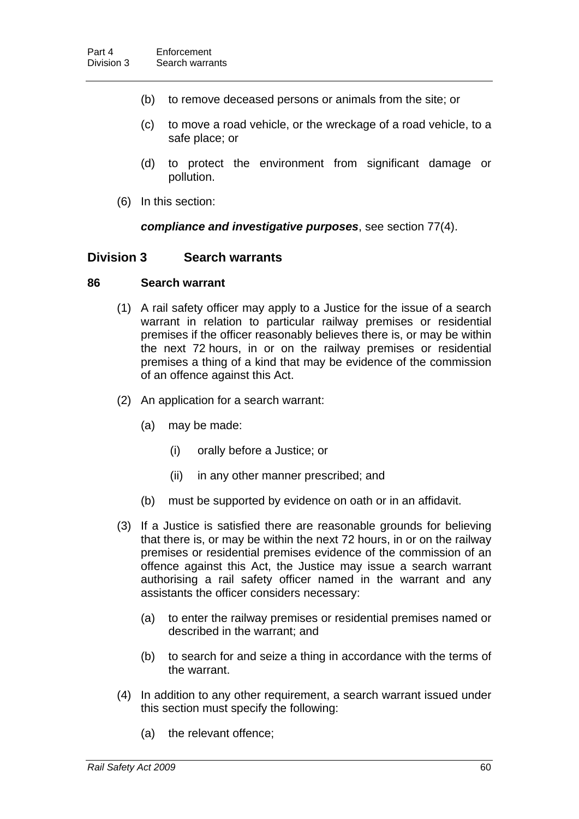- (b) to remove deceased persons or animals from the site; or
- (c) to move a road vehicle, or the wreckage of a road vehicle, to a safe place; or
- (d) to protect the environment from significant damage or pollution.
- (6) In this section:

#### *compliance and investigative purposes*, see section [77\(](#page-63-0)4).

#### **Division 3 Search warrants**

#### <span id="page-68-0"></span>**86 Search warrant**

- (1) A rail safety officer may apply to a Justice for the issue of a search warrant in relation to particular railway premises or residential premises if the officer reasonably believes there is, or may be within the next 72 hours, in or on the railway premises or residential premises a thing of a kind that may be evidence of the commission of an offence against this Act.
- (2) An application for a search warrant:
	- (a) may be made:
		- (i) orally before a Justice; or
		- (ii) in any other manner prescribed; and
	- (b) must be supported by evidence on oath or in an affidavit.
- (3) If a Justice is satisfied there are reasonable grounds for believing that there is, or may be within the next 72 hours, in or on the railway premises or residential premises evidence of the commission of an offence against this Act, the Justice may issue a search warrant authorising a rail safety officer named in the warrant and any assistants the officer considers necessary:
	- (a) to enter the railway premises or residential premises named or described in the warrant; and
	- (b) to search for and seize a thing in accordance with the terms of the warrant.
- (4) In addition to any other requirement, a search warrant issued under this section must specify the following:
	- (a) the relevant offence;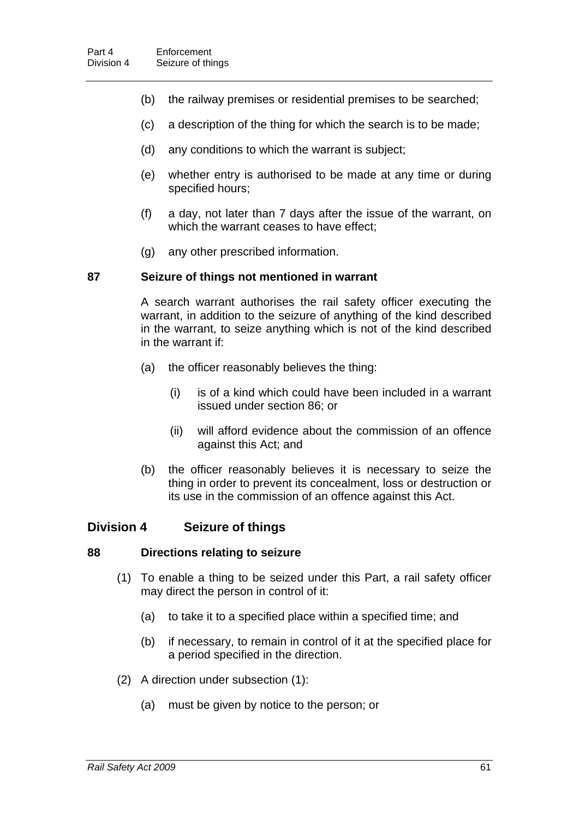- (b) the railway premises or residential premises to be searched;
- (c) a description of the thing for which the search is to be made;
- (d) any conditions to which the warrant is subject;
- (e) whether entry is authorised to be made at any time or during specified hours;
- (f) a day, not later than 7 days after the issue of the warrant, on which the warrant ceases to have effect;
- (g) any other prescribed information.

#### **87 Seizure of things not mentioned in warrant**

A search warrant authorises the rail safety officer executing the warrant, in addition to the seizure of anything of the kind described in the warrant, to seize anything which is not of the kind described in the warrant if:

- (a) the officer reasonably believes the thing:
	- (i) is of a kind which could have been included in a warrant issued under section [86;](#page-68-0) or
	- (ii) will afford evidence about the commission of an offence against this Act; and
- (b) the officer reasonably believes it is necessary to seize the thing in order to prevent its concealment, loss or destruction or its use in the commission of an offence against this Act.

# **Division 4 Seizure of things**

#### <span id="page-69-0"></span>**88 Directions relating to seizure**

- (1) To enable a thing to be seized under this Part, a rail safety officer may direct the person in control of it:
	- (a) to take it to a specified place within a specified time; and
	- (b) if necessary, to remain in control of it at the specified place for a period specified in the direction.
- (2) A direction under subsection (1):
	- (a) must be given by notice to the person; or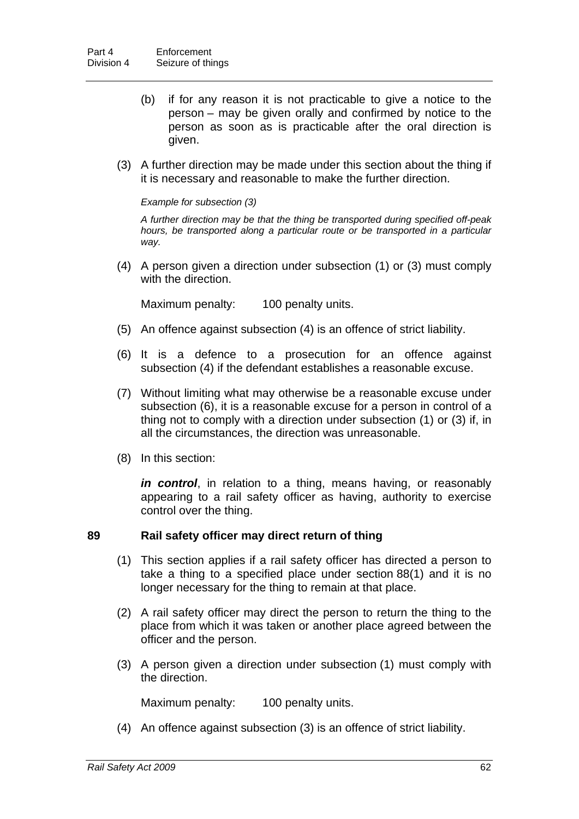- (b) if for any reason it is not practicable to give a notice to the person – may be given orally and confirmed by notice to the person as soon as is practicable after the oral direction is given.
- (3) A further direction may be made under this section about the thing if it is necessary and reasonable to make the further direction.

#### *Example for subsection (3)*

*A further direction may be that the thing be transported during specified off-peak hours, be transported along a particular route or be transported in a particular way.* 

 (4) A person given a direction under subsection (1) or (3) must comply with the direction

Maximum penalty: 100 penalty units.

- (5) An offence against subsection (4) is an offence of strict liability.
- (6) It is a defence to a prosecution for an offence against subsection (4) if the defendant establishes a reasonable excuse.
- (7) Without limiting what may otherwise be a reasonable excuse under subsection (6), it is a reasonable excuse for a person in control of a thing not to comply with a direction under subsection (1) or (3) if, in all the circumstances, the direction was unreasonable.
- (8) In this section:

*in control*, in relation to a thing, means having, or reasonably appearing to a rail safety officer as having, authority to exercise control over the thing.

#### **89 Rail safety officer may direct return of thing**

- (1) This section applies if a rail safety officer has directed a person to take a thing to a specified place under section [88](#page-69-0)(1) and it is no longer necessary for the thing to remain at that place.
- (2) A rail safety officer may direct the person to return the thing to the place from which it was taken or another place agreed between the officer and the person.
- (3) A person given a direction under subsection (1) must comply with the direction.

Maximum penalty: 100 penalty units.

(4) An offence against subsection (3) is an offence of strict liability.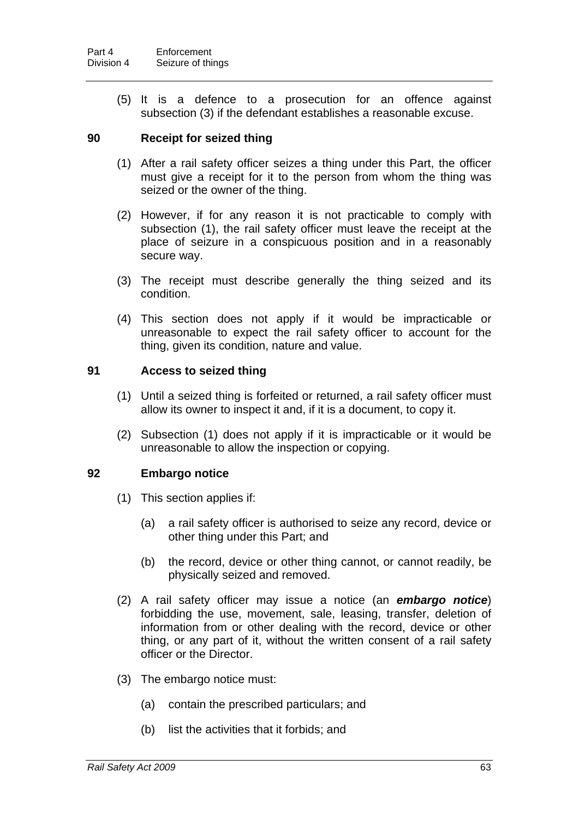(5) It is a defence to a prosecution for an offence against subsection (3) if the defendant establishes a reasonable excuse.

# **90 Receipt for seized thing**

- (1) After a rail safety officer seizes a thing under this Part, the officer must give a receipt for it to the person from whom the thing was seized or the owner of the thing.
- (2) However, if for any reason it is not practicable to comply with subsection (1), the rail safety officer must leave the receipt at the place of seizure in a conspicuous position and in a reasonably secure way.
- (3) The receipt must describe generally the thing seized and its condition.
- (4) This section does not apply if it would be impracticable or unreasonable to expect the rail safety officer to account for the thing, given its condition, nature and value.

## **91 Access to seized thing**

- (1) Until a seized thing is forfeited or returned, a rail safety officer must allow its owner to inspect it and, if it is a document, to copy it.
- (2) Subsection (1) does not apply if it is impracticable or it would be unreasonable to allow the inspection or copying.

#### **92 Embargo notice**

- (1) This section applies if:
	- (a) a rail safety officer is authorised to seize any record, device or other thing under this Part; and
	- (b) the record, device or other thing cannot, or cannot readily, be physically seized and removed.
- (2) A rail safety officer may issue a notice (an *embargo notice*) forbidding the use, movement, sale, leasing, transfer, deletion of information from or other dealing with the record, device or other thing, or any part of it, without the written consent of a rail safety officer or the Director.
- (3) The embargo notice must:
	- (a) contain the prescribed particulars; and
	- (b) list the activities that it forbids; and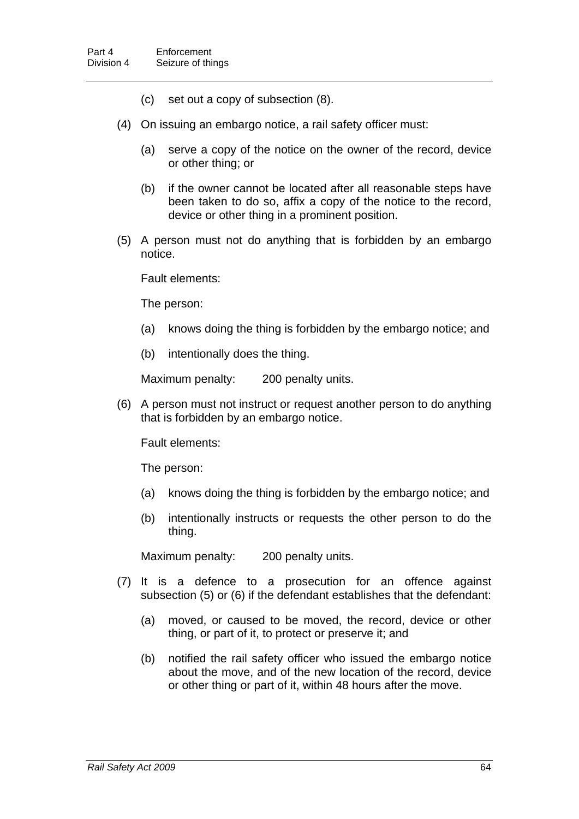- (c) set out a copy of subsection (8).
- (4) On issuing an embargo notice, a rail safety officer must:
	- (a) serve a copy of the notice on the owner of the record, device or other thing; or
	- (b) if the owner cannot be located after all reasonable steps have been taken to do so, affix a copy of the notice to the record, device or other thing in a prominent position.
- (5) A person must not do anything that is forbidden by an embargo notice.

Fault elements:

The person:

- (a) knows doing the thing is forbidden by the embargo notice; and
- (b) intentionally does the thing.

Maximum penalty: 200 penalty units.

 (6) A person must not instruct or request another person to do anything that is forbidden by an embargo notice.

Fault elements:

The person:

- (a) knows doing the thing is forbidden by the embargo notice; and
- (b) intentionally instructs or requests the other person to do the thing.

Maximum penalty: 200 penalty units.

- (7) It is a defence to a prosecution for an offence against subsection (5) or (6) if the defendant establishes that the defendant:
	- (a) moved, or caused to be moved, the record, device or other thing, or part of it, to protect or preserve it; and
	- (b) notified the rail safety officer who issued the embargo notice about the move, and of the new location of the record, device or other thing or part of it, within 48 hours after the move.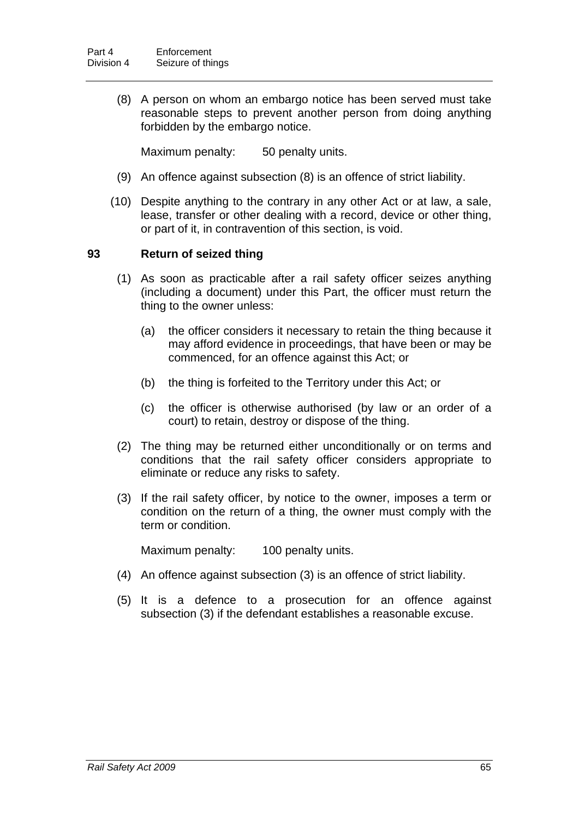(8) A person on whom an embargo notice has been served must take reasonable steps to prevent another person from doing anything forbidden by the embargo notice.

Maximum penalty: 50 penalty units.

- (9) An offence against subsection (8) is an offence of strict liability.
- (10) Despite anything to the contrary in any other Act or at law, a sale, lease, transfer or other dealing with a record, device or other thing, or part of it, in contravention of this section, is void.

# **93 Return of seized thing**

- (1) As soon as practicable after a rail safety officer seizes anything (including a document) under this Part, the officer must return the thing to the owner unless:
	- (a) the officer considers it necessary to retain the thing because it may afford evidence in proceedings, that have been or may be commenced, for an offence against this Act; or
	- (b) the thing is forfeited to the Territory under this Act; or
	- (c) the officer is otherwise authorised (by law or an order of a court) to retain, destroy or dispose of the thing.
- (2) The thing may be returned either unconditionally or on terms and conditions that the rail safety officer considers appropriate to eliminate or reduce any risks to safety.
- (3) If the rail safety officer, by notice to the owner, imposes a term or condition on the return of a thing, the owner must comply with the term or condition.

Maximum penalty: 100 penalty units.

- (4) An offence against subsection (3) is an offence of strict liability.
- (5) It is a defence to a prosecution for an offence against subsection (3) if the defendant establishes a reasonable excuse.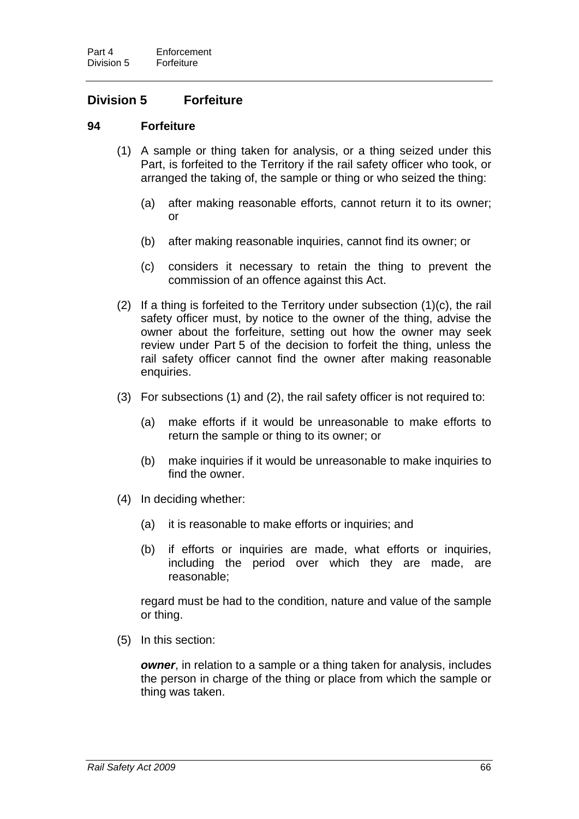# **Division 5 Forfeiture**

## **94 Forfeiture**

- (1) A sample or thing taken for analysis, or a thing seized under this Part, is forfeited to the Territory if the rail safety officer who took, or arranged the taking of, the sample or thing or who seized the thing:
	- (a) after making reasonable efforts, cannot return it to its owner; or
	- (b) after making reasonable inquiries, cannot find its owner; or
	- (c) considers it necessary to retain the thing to prevent the commission of an offence against this Act.
- (2) If a thing is forfeited to the Territory under subsection (1)(c), the rail safety officer must, by notice to the owner of the thing, advise the owner about the forfeiture, setting out how the owner may seek review under Part 5 of the decision to forfeit the thing, unless the rail safety officer cannot find the owner after making reasonable enquiries.
- (3) For subsections (1) and (2), the rail safety officer is not required to:
	- (a) make efforts if it would be unreasonable to make efforts to return the sample or thing to its owner; or
	- (b) make inquiries if it would be unreasonable to make inquiries to find the owner.
- (4) In deciding whether:
	- (a) it is reasonable to make efforts or inquiries; and
	- (b) if efforts or inquiries are made, what efforts or inquiries, including the period over which they are made, are reasonable;

regard must be had to the condition, nature and value of the sample or thing.

(5) In this section:

*owner*, in relation to a sample or a thing taken for analysis, includes the person in charge of the thing or place from which the sample or thing was taken.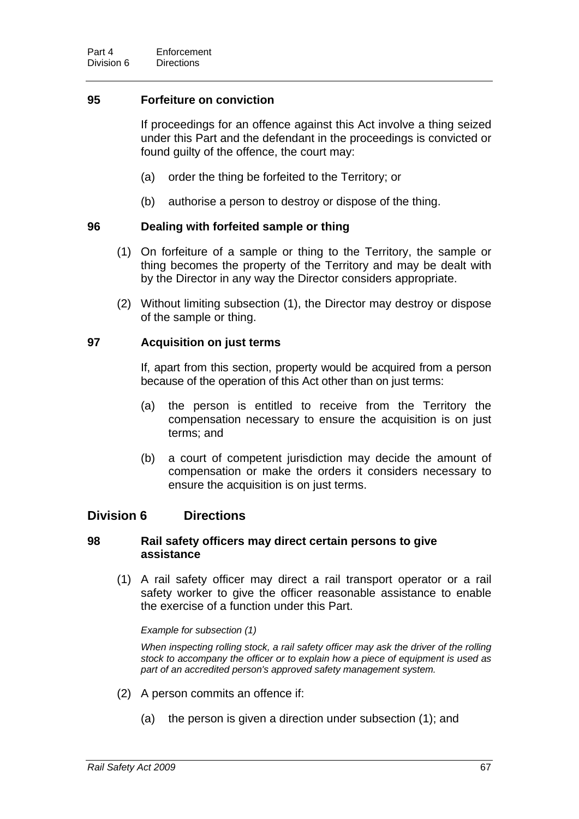# **95 Forfeiture on conviction**

If proceedings for an offence against this Act involve a thing seized under this Part and the defendant in the proceedings is convicted or found guilty of the offence, the court may:

- (a) order the thing be forfeited to the Territory; or
- (b) authorise a person to destroy or dispose of the thing.

## **96 Dealing with forfeited sample or thing**

- (1) On forfeiture of a sample or thing to the Territory, the sample or thing becomes the property of the Territory and may be dealt with by the Director in any way the Director considers appropriate.
- (2) Without limiting subsection (1), the Director may destroy or dispose of the sample or thing.

## **97 Acquisition on just terms**

If, apart from this section, property would be acquired from a person because of the operation of this Act other than on just terms:

- (a) the person is entitled to receive from the Territory the compensation necessary to ensure the acquisition is on just terms; and
- (b) a court of competent jurisdiction may decide the amount of compensation or make the orders it considers necessary to ensure the acquisition is on just terms.

# **Division 6 Directions**

## **98 Rail safety officers may direct certain persons to give assistance**

 (1) A rail safety officer may direct a rail transport operator or a rail safety worker to give the officer reasonable assistance to enable the exercise of a function under this Part.

*Example for subsection (1)* 

*When inspecting rolling stock, a rail safety officer may ask the driver of the rolling stock to accompany the officer or to explain how a piece of equipment is used as part of an accredited person's approved safety management system.* 

- (2) A person commits an offence if:
	- (a) the person is given a direction under subsection (1); and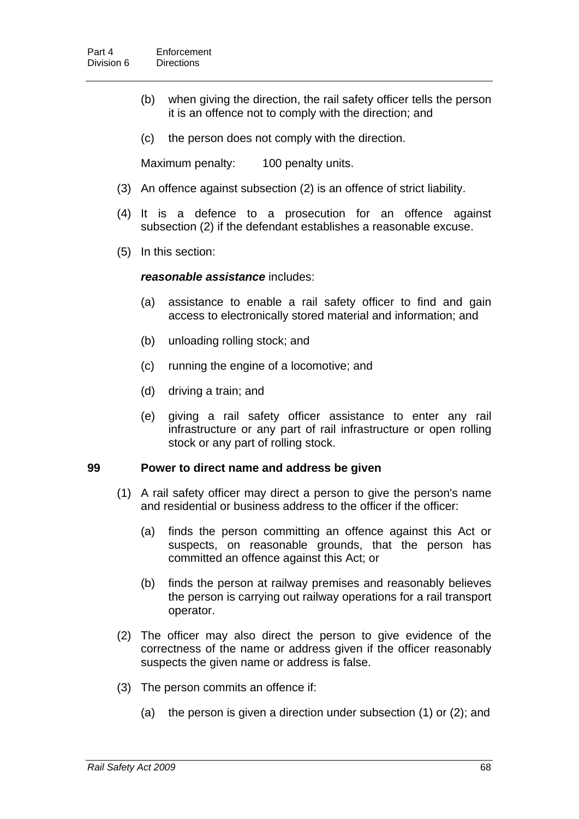- (b) when giving the direction, the rail safety officer tells the person it is an offence not to comply with the direction; and
- (c) the person does not comply with the direction.

Maximum penalty: 100 penalty units.

- (3) An offence against subsection (2) is an offence of strict liability.
- (4) It is a defence to a prosecution for an offence against subsection (2) if the defendant establishes a reasonable excuse.
- (5) In this section:

#### *reasonable assistance* includes:

- (a) assistance to enable a rail safety officer to find and gain access to electronically stored material and information; and
- (b) unloading rolling stock; and
- (c) running the engine of a locomotive; and
- (d) driving a train; and
- (e) giving a rail safety officer assistance to enter any rail infrastructure or any part of rail infrastructure or open rolling stock or any part of rolling stock.

#### **99 Power to direct name and address be given**

- (1) A rail safety officer may direct a person to give the person's name and residential or business address to the officer if the officer:
	- (a) finds the person committing an offence against this Act or suspects, on reasonable grounds, that the person has committed an offence against this Act; or
	- (b) finds the person at railway premises and reasonably believes the person is carrying out railway operations for a rail transport operator.
- (2) The officer may also direct the person to give evidence of the correctness of the name or address given if the officer reasonably suspects the given name or address is false.
- (3) The person commits an offence if:
	- (a) the person is given a direction under subsection (1) or (2); and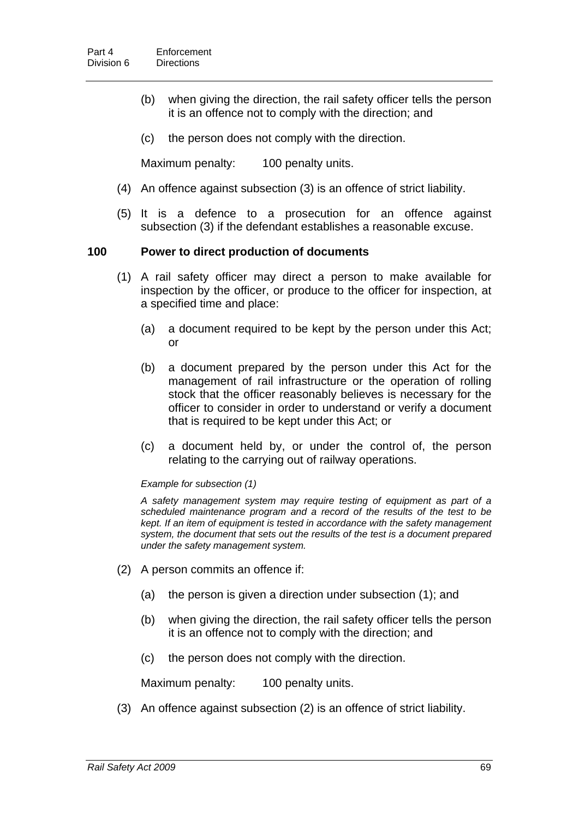- (b) when giving the direction, the rail safety officer tells the person it is an offence not to comply with the direction; and
- (c) the person does not comply with the direction.

Maximum penalty: 100 penalty units.

- (4) An offence against subsection (3) is an offence of strict liability.
- (5) It is a defence to a prosecution for an offence against subsection (3) if the defendant establishes a reasonable excuse.

## **100 Power to direct production of documents**

- (1) A rail safety officer may direct a person to make available for inspection by the officer, or produce to the officer for inspection, at a specified time and place:
	- (a) a document required to be kept by the person under this Act; or
	- (b) a document prepared by the person under this Act for the management of rail infrastructure or the operation of rolling stock that the officer reasonably believes is necessary for the officer to consider in order to understand or verify a document that is required to be kept under this Act; or
	- (c) a document held by, or under the control of, the person relating to the carrying out of railway operations.

*Example for subsection (1)* 

*A safety management system may require testing of equipment as part of a scheduled maintenance program and a record of the results of the test to be kept. If an item of equipment is tested in accordance with the safety management system, the document that sets out the results of the test is a document prepared under the safety management system.* 

- (2) A person commits an offence if:
	- (a) the person is given a direction under subsection (1); and
	- (b) when giving the direction, the rail safety officer tells the person it is an offence not to comply with the direction; and
	- (c) the person does not comply with the direction.

Maximum penalty: 100 penalty units.

(3) An offence against subsection (2) is an offence of strict liability.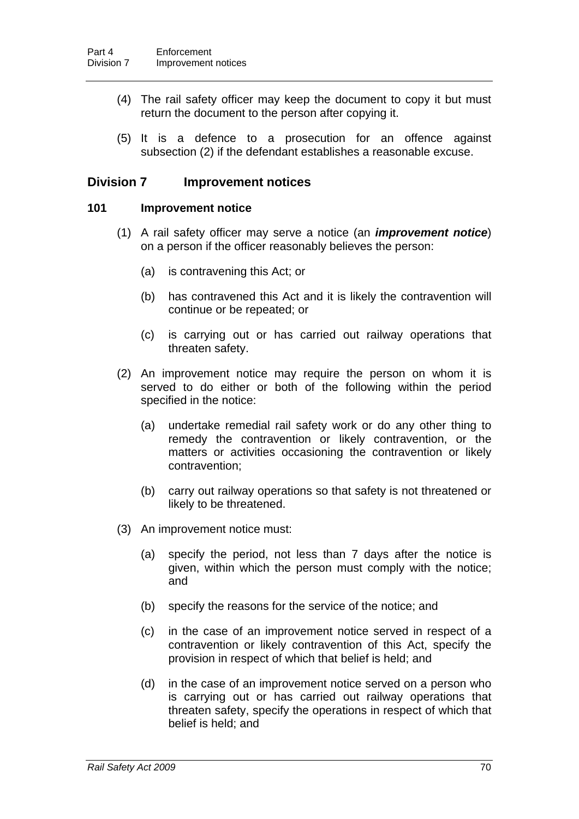- (4) The rail safety officer may keep the document to copy it but must return the document to the person after copying it.
- (5) It is a defence to a prosecution for an offence against subsection (2) if the defendant establishes a reasonable excuse.

# **Division 7 Improvement notices**

## <span id="page-78-0"></span>**101 Improvement notice**

- (1) A rail safety officer may serve a notice (an *improvement notice*) on a person if the officer reasonably believes the person:
	- (a) is contravening this Act; or
	- (b) has contravened this Act and it is likely the contravention will continue or be repeated; or
	- (c) is carrying out or has carried out railway operations that threaten safety.
- (2) An improvement notice may require the person on whom it is served to do either or both of the following within the period specified in the notice:
	- (a) undertake remedial rail safety work or do any other thing to remedy the contravention or likely contravention, or the matters or activities occasioning the contravention or likely contravention;
	- (b) carry out railway operations so that safety is not threatened or likely to be threatened.
- (3) An improvement notice must:
	- (a) specify the period, not less than 7 days after the notice is given, within which the person must comply with the notice; and
	- (b) specify the reasons for the service of the notice; and
	- (c) in the case of an improvement notice served in respect of a contravention or likely contravention of this Act, specify the provision in respect of which that belief is held; and
	- (d) in the case of an improvement notice served on a person who is carrying out or has carried out railway operations that threaten safety, specify the operations in respect of which that belief is held; and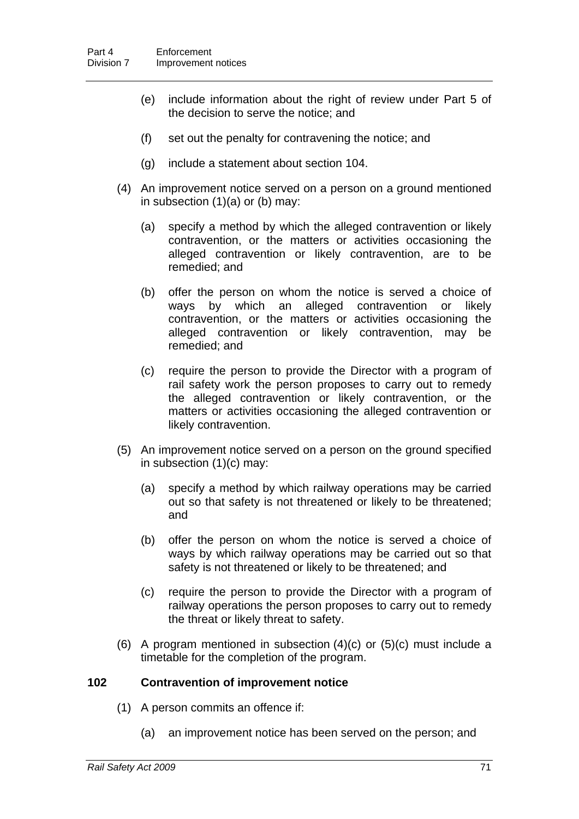- (e) include information about the right of review under Part 5 of the decision to serve the notice; and
- (f) set out the penalty for contravening the notice; and
- (g) include a statement about section [104](#page-81-0).
- (4) An improvement notice served on a person on a ground mentioned in subsection  $(1)(a)$  or  $(b)$  may:
	- (a) specify a method by which the alleged contravention or likely contravention, or the matters or activities occasioning the alleged contravention or likely contravention, are to be remedied; and
	- (b) offer the person on whom the notice is served a choice of ways by which an alleged contravention or likely contravention, or the matters or activities occasioning the alleged contravention or likely contravention, may be remedied; and
	- (c) require the person to provide the Director with a program of rail safety work the person proposes to carry out to remedy the alleged contravention or likely contravention, or the matters or activities occasioning the alleged contravention or likely contravention.
- (5) An improvement notice served on a person on the ground specified in subsection (1)(c) may:
	- (a) specify a method by which railway operations may be carried out so that safety is not threatened or likely to be threatened; and
	- (b) offer the person on whom the notice is served a choice of ways by which railway operations may be carried out so that safety is not threatened or likely to be threatened; and
	- (c) require the person to provide the Director with a program of railway operations the person proposes to carry out to remedy the threat or likely threat to safety.
- (6) A program mentioned in subsection (4)(c) or (5)(c) must include a timetable for the completion of the program.

# **102 Contravention of improvement notice**

- (1) A person commits an offence if:
	- (a) an improvement notice has been served on the person; and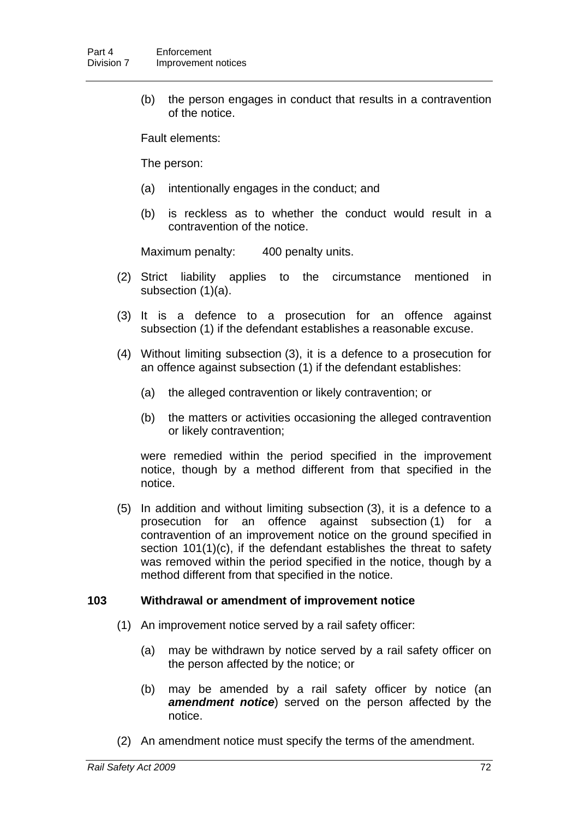(b) the person engages in conduct that results in a contravention of the notice.

Fault elements:

The person:

- (a) intentionally engages in the conduct; and
- (b) is reckless as to whether the conduct would result in a contravention of the notice.

Maximum penalty: 400 penalty units.

- (2) Strict liability applies to the circumstance mentioned in subsection (1)(a).
- (3) It is a defence to a prosecution for an offence against subsection (1) if the defendant establishes a reasonable excuse.
- (4) Without limiting subsection (3), it is a defence to a prosecution for an offence against subsection (1) if the defendant establishes:
	- (a) the alleged contravention or likely contravention; or
	- (b) the matters or activities occasioning the alleged contravention or likely contravention;

were remedied within the period specified in the improvement notice, though by a method different from that specified in the notice.

 (5) In addition and without limiting subsection (3), it is a defence to a prosecution for an offence against subsection (1) for a contravention of an improvement notice on the ground specified in section [101\(](#page-78-0)1)(c), if the defendant establishes the threat to safety was removed within the period specified in the notice, though by a method different from that specified in the notice.

# <span id="page-80-0"></span>**103 Withdrawal or amendment of improvement notice**

- (1) An improvement notice served by a rail safety officer:
	- (a) may be withdrawn by notice served by a rail safety officer on the person affected by the notice; or
	- (b) may be amended by a rail safety officer by notice (an *amendment notice*) served on the person affected by the notice.
- (2) An amendment notice must specify the terms of the amendment.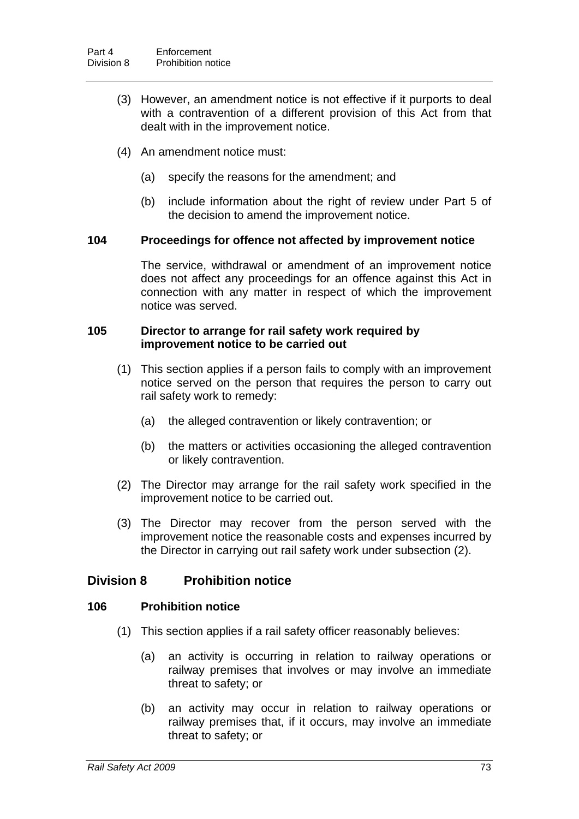- (3) However, an amendment notice is not effective if it purports to deal with a contravention of a different provision of this Act from that dealt with in the improvement notice.
- (4) An amendment notice must:
	- (a) specify the reasons for the amendment; and
	- (b) include information about the right of review under Part 5 of the decision to amend the improvement notice.

## <span id="page-81-0"></span>**104 Proceedings for offence not affected by improvement notice**

The service, withdrawal or amendment of an improvement notice does not affect any proceedings for an offence against this Act in connection with any matter in respect of which the improvement notice was served.

# **105 Director to arrange for rail safety work required by improvement notice to be carried out**

- (1) This section applies if a person fails to comply with an improvement notice served on the person that requires the person to carry out rail safety work to remedy:
	- (a) the alleged contravention or likely contravention; or
	- (b) the matters or activities occasioning the alleged contravention or likely contravention.
- (2) The Director may arrange for the rail safety work specified in the improvement notice to be carried out.
- (3) The Director may recover from the person served with the improvement notice the reasonable costs and expenses incurred by the Director in carrying out rail safety work under subsection (2).

# **Division 8 Prohibition notice**

# <span id="page-81-1"></span>**106 Prohibition notice**

- (1) This section applies if a rail safety officer reasonably believes:
	- (a) an activity is occurring in relation to railway operations or railway premises that involves or may involve an immediate threat to safety; or
	- (b) an activity may occur in relation to railway operations or railway premises that, if it occurs, may involve an immediate threat to safety; or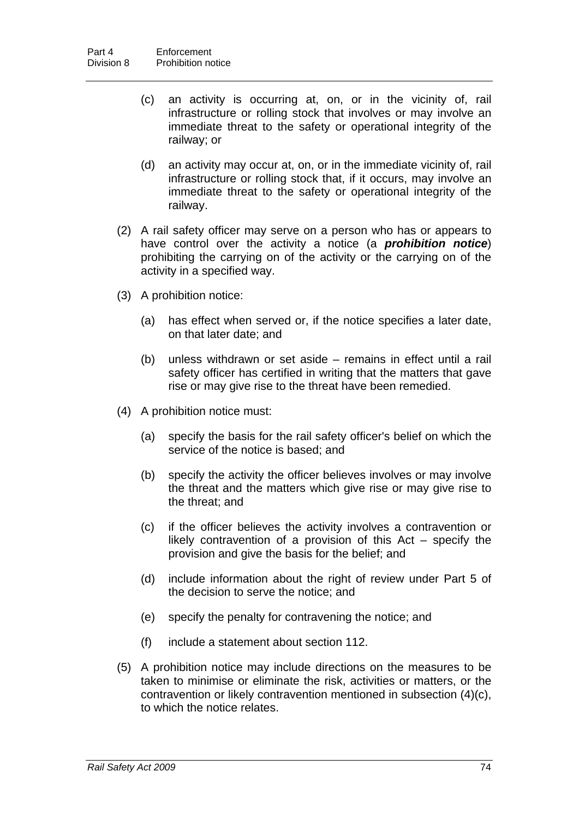- (c) an activity is occurring at, on, or in the vicinity of, rail infrastructure or rolling stock that involves or may involve an immediate threat to the safety or operational integrity of the railway; or
- (d) an activity may occur at, on, or in the immediate vicinity of, rail infrastructure or rolling stock that, if it occurs, may involve an immediate threat to the safety or operational integrity of the railway.
- (2) A rail safety officer may serve on a person who has or appears to have control over the activity a notice (a *prohibition notice*) prohibiting the carrying on of the activity or the carrying on of the activity in a specified way.
- (3) A prohibition notice:
	- (a) has effect when served or, if the notice specifies a later date, on that later date; and
	- (b) unless withdrawn or set aside remains in effect until a rail safety officer has certified in writing that the matters that gave rise or may give rise to the threat have been remedied.
- (4) A prohibition notice must:
	- (a) specify the basis for the rail safety officer's belief on which the service of the notice is based; and
	- (b) specify the activity the officer believes involves or may involve the threat and the matters which give rise or may give rise to the threat; and
	- (c) if the officer believes the activity involves a contravention or likely contravention of a provision of this Act – specify the provision and give the basis for the belief; and
	- (d) include information about the right of review under Part 5 of the decision to serve the notice; and
	- (e) specify the penalty for contravening the notice; and
	- (f) include a statement about section [112](#page-86-0).
- (5) A prohibition notice may include directions on the measures to be taken to minimise or eliminate the risk, activities or matters, or the contravention or likely contravention mentioned in subsection (4)(c), to which the notice relates.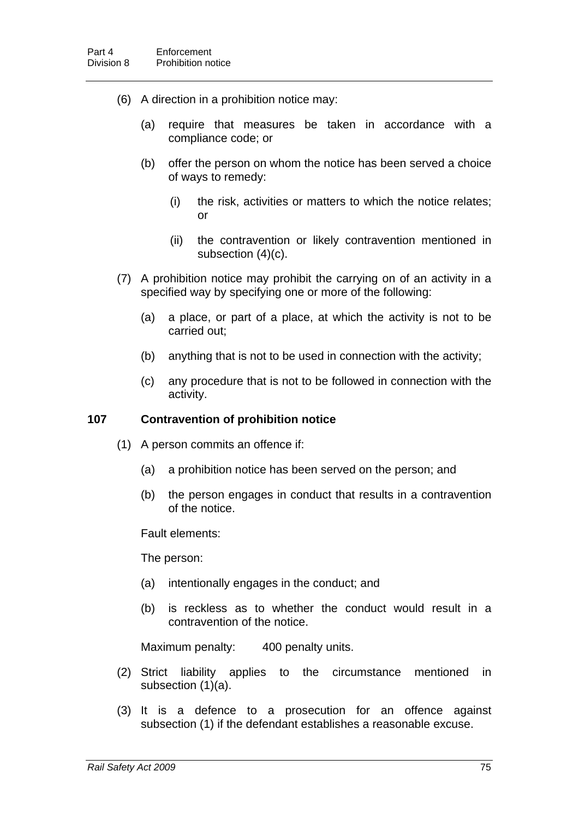- (6) A direction in a prohibition notice may:
	- (a) require that measures be taken in accordance with a compliance code; or
	- (b) offer the person on whom the notice has been served a choice of ways to remedy:
		- (i) the risk, activities or matters to which the notice relates; or
		- (ii) the contravention or likely contravention mentioned in subsection (4)(c).
- (7) A prohibition notice may prohibit the carrying on of an activity in a specified way by specifying one or more of the following:
	- (a) a place, or part of a place, at which the activity is not to be carried out;
	- (b) anything that is not to be used in connection with the activity;
	- (c) any procedure that is not to be followed in connection with the activity.

#### **107 Contravention of prohibition notice**

- (1) A person commits an offence if:
	- (a) a prohibition notice has been served on the person; and
	- (b) the person engages in conduct that results in a contravention of the notice.

Fault elements:

The person:

- (a) intentionally engages in the conduct; and
- (b) is reckless as to whether the conduct would result in a contravention of the notice.

Maximum penalty: 400 penalty units.

- (2) Strict liability applies to the circumstance mentioned in subsection (1)(a).
- (3) It is a defence to a prosecution for an offence against subsection (1) if the defendant establishes a reasonable excuse.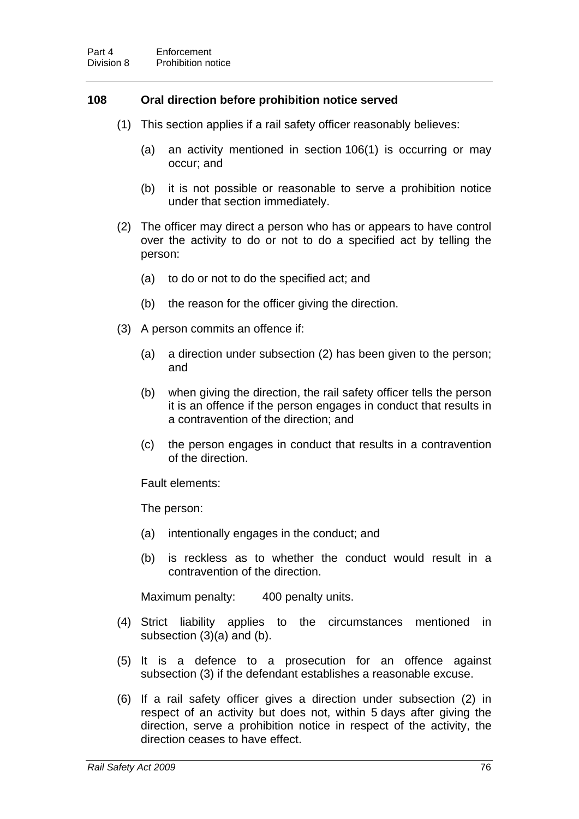## <span id="page-84-0"></span>**108 Oral direction before prohibition notice served**

- (1) This section applies if a rail safety officer reasonably believes:
	- (a) an activity mentioned in section [106\(](#page-81-1)1) is occurring or may occur; and
	- (b) it is not possible or reasonable to serve a prohibition notice under that section immediately.
- (2) The officer may direct a person who has or appears to have control over the activity to do or not to do a specified act by telling the person:
	- (a) to do or not to do the specified act; and
	- (b) the reason for the officer giving the direction.
- (3) A person commits an offence if:
	- (a) a direction under subsection (2) has been given to the person; and
	- (b) when giving the direction, the rail safety officer tells the person it is an offence if the person engages in conduct that results in a contravention of the direction; and
	- (c) the person engages in conduct that results in a contravention of the direction.

Fault elements:

The person:

- (a) intentionally engages in the conduct; and
- (b) is reckless as to whether the conduct would result in a contravention of the direction.

Maximum penalty: 400 penalty units.

- (4) Strict liability applies to the circumstances mentioned in subsection (3)(a) and (b).
- (5) It is a defence to a prosecution for an offence against subsection (3) if the defendant establishes a reasonable excuse.
- (6) If a rail safety officer gives a direction under subsection (2) in respect of an activity but does not, within 5 days after giving the direction, serve a prohibition notice in respect of the activity, the direction ceases to have effect.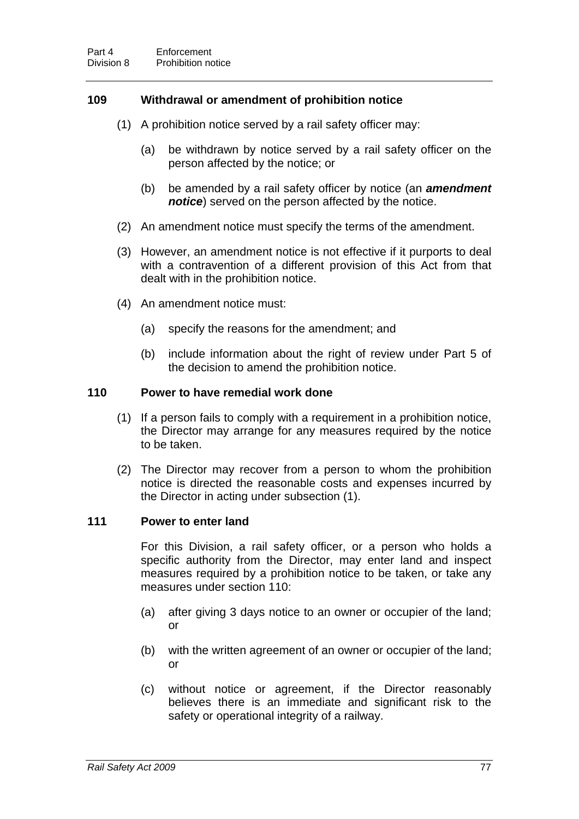# <span id="page-85-1"></span>**109 Withdrawal or amendment of prohibition notice**

- (1) A prohibition notice served by a rail safety officer may:
	- (a) be withdrawn by notice served by a rail safety officer on the person affected by the notice; or
	- (b) be amended by a rail safety officer by notice (an *amendment notice*) served on the person affected by the notice.
- (2) An amendment notice must specify the terms of the amendment.
- (3) However, an amendment notice is not effective if it purports to deal with a contravention of a different provision of this Act from that dealt with in the prohibition notice.
- (4) An amendment notice must:
	- (a) specify the reasons for the amendment; and
	- (b) include information about the right of review under Part 5 of the decision to amend the prohibition notice.

## <span id="page-85-0"></span>**110 Power to have remedial work done**

- (1) If a person fails to comply with a requirement in a prohibition notice, the Director may arrange for any measures required by the notice to be taken.
- (2) The Director may recover from a person to whom the prohibition notice is directed the reasonable costs and expenses incurred by the Director in acting under subsection (1).

#### **111 Power to enter land**

For this Division, a rail safety officer, or a person who holds a specific authority from the Director, may enter land and inspect measures required by a prohibition notice to be taken, or take any measures under section [110](#page-85-0):

- (a) after giving 3 days notice to an owner or occupier of the land; or
- (b) with the written agreement of an owner or occupier of the land; or
- (c) without notice or agreement, if the Director reasonably believes there is an immediate and significant risk to the safety or operational integrity of a railway.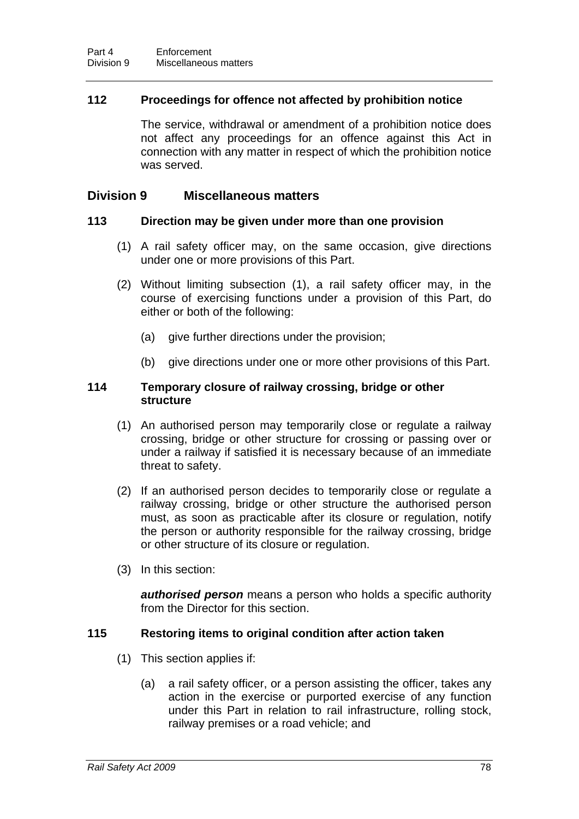# <span id="page-86-0"></span>**112 Proceedings for offence not affected by prohibition notice**

The service, withdrawal or amendment of a prohibition notice does not affect any proceedings for an offence against this Act in connection with any matter in respect of which the prohibition notice was served.

# **Division 9 Miscellaneous matters**

## **113 Direction may be given under more than one provision**

- (1) A rail safety officer may, on the same occasion, give directions under one or more provisions of this Part.
- (2) Without limiting subsection (1), a rail safety officer may, in the course of exercising functions under a provision of this Part, do either or both of the following:
	- (a) give further directions under the provision:
	- (b) give directions under one or more other provisions of this Part.

## **114 Temporary closure of railway crossing, bridge or other structure**

- (1) An authorised person may temporarily close or regulate a railway crossing, bridge or other structure for crossing or passing over or under a railway if satisfied it is necessary because of an immediate threat to safety.
- (2) If an authorised person decides to temporarily close or regulate a railway crossing, bridge or other structure the authorised person must, as soon as practicable after its closure or regulation, notify the person or authority responsible for the railway crossing, bridge or other structure of its closure or regulation.
- (3) In this section:

*authorised person* means a person who holds a specific authority from the Director for this section.

# **115 Restoring items to original condition after action taken**

- (1) This section applies if:
	- (a) a rail safety officer, or a person assisting the officer, takes any action in the exercise or purported exercise of any function under this Part in relation to rail infrastructure, rolling stock, railway premises or a road vehicle; and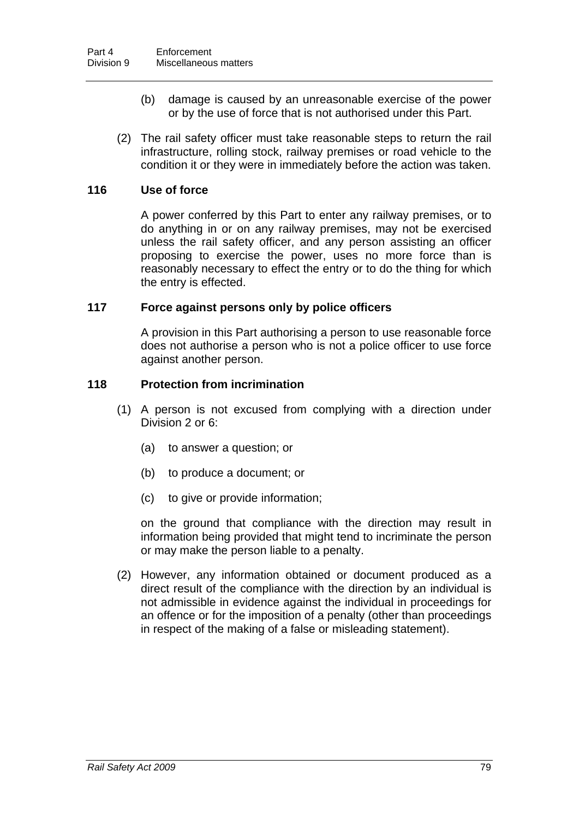- (b) damage is caused by an unreasonable exercise of the power or by the use of force that is not authorised under this Part.
- (2) The rail safety officer must take reasonable steps to return the rail infrastructure, rolling stock, railway premises or road vehicle to the condition it or they were in immediately before the action was taken.

## **116 Use of force**

A power conferred by this Part to enter any railway premises, or to do anything in or on any railway premises, may not be exercised unless the rail safety officer, and any person assisting an officer proposing to exercise the power, uses no more force than is reasonably necessary to effect the entry or to do the thing for which the entry is effected.

## **117 Force against persons only by police officers**

A provision in this Part authorising a person to use reasonable force does not authorise a person who is not a police officer to use force against another person.

## <span id="page-87-0"></span>**118 Protection from incrimination**

- (1) A person is not excused from complying with a direction under Division 2 or 6:
	- (a) to answer a question; or
	- (b) to produce a document; or
	- (c) to give or provide information;

on the ground that compliance with the direction may result in information being provided that might tend to incriminate the person or may make the person liable to a penalty.

 (2) However, any information obtained or document produced as a direct result of the compliance with the direction by an individual is not admissible in evidence against the individual in proceedings for an offence or for the imposition of a penalty (other than proceedings in respect of the making of a false or misleading statement).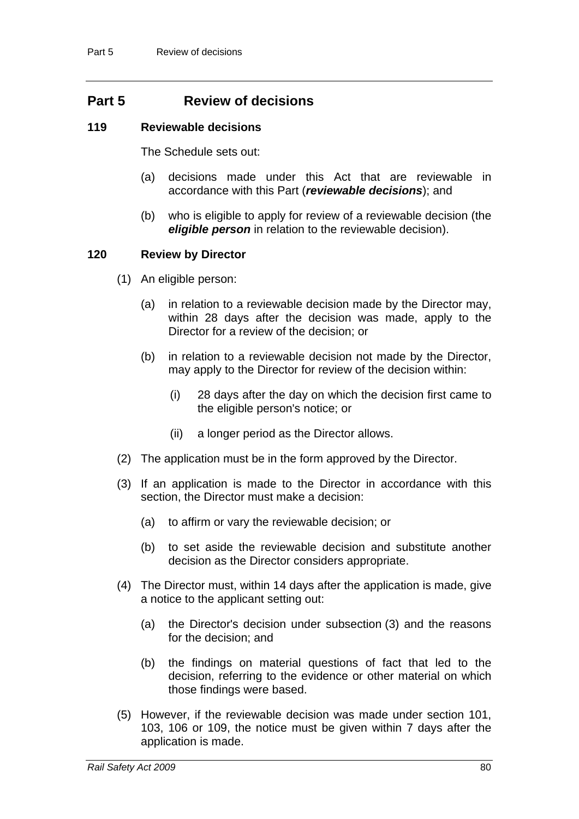# **Part 5 Review of decisions**

## **119 Reviewable decisions**

The Schedule sets out:

- (a) decisions made under this Act that are reviewable in accordance with this Part (*reviewable decisions*); and
- (b) who is eligible to apply for review of a reviewable decision (the *eligible person* in relation to the reviewable decision).

# <span id="page-88-0"></span>**120 Review by Director**

- (1) An eligible person:
	- (a) in relation to a reviewable decision made by the Director may, within 28 days after the decision was made, apply to the Director for a review of the decision; or
	- (b) in relation to a reviewable decision not made by the Director, may apply to the Director for review of the decision within:
		- (i) 28 days after the day on which the decision first came to the eligible person's notice; or
		- (ii) a longer period as the Director allows.
- (2) The application must be in the form approved by the Director.
- (3) If an application is made to the Director in accordance with this section, the Director must make a decision:
	- (a) to affirm or vary the reviewable decision; or
	- (b) to set aside the reviewable decision and substitute another decision as the Director considers appropriate.
- (4) The Director must, within 14 days after the application is made, give a notice to the applicant setting out:
	- (a) the Director's decision under subsection (3) and the reasons for the decision; and
	- (b) the findings on material questions of fact that led to the decision, referring to the evidence or other material on which those findings were based.
- (5) However, if the reviewable decision was made under section [101](#page-78-0), [103,](#page-80-0) [106](#page-81-1) or [109,](#page-85-1) the notice must be given within 7 days after the application is made.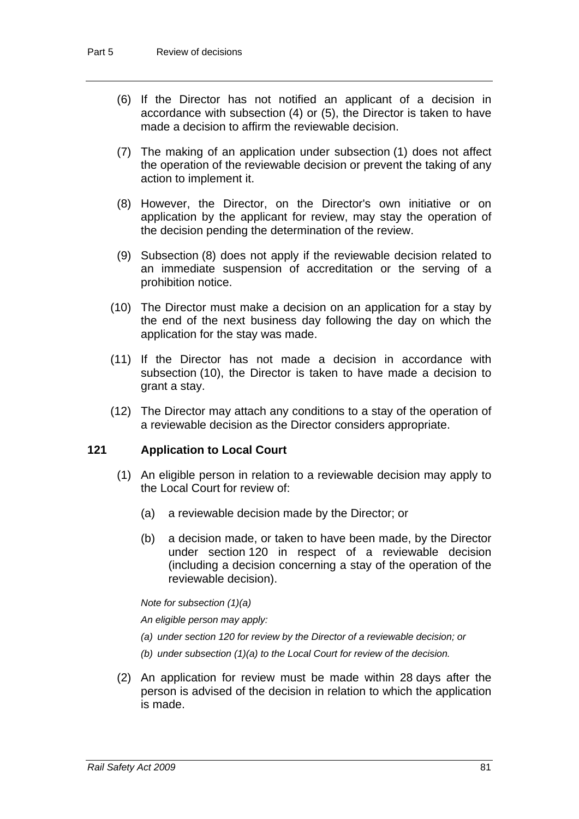- (6) If the Director has not notified an applicant of a decision in accordance with subsection (4) or (5), the Director is taken to have made a decision to affirm the reviewable decision.
- (7) The making of an application under subsection (1) does not affect the operation of the reviewable decision or prevent the taking of any action to implement it.
- (8) However, the Director, on the Director's own initiative or on application by the applicant for review, may stay the operation of the decision pending the determination of the review.
- (9) Subsection (8) does not apply if the reviewable decision related to an immediate suspension of accreditation or the serving of a prohibition notice.
- (10) The Director must make a decision on an application for a stay by the end of the next business day following the day on which the application for the stay was made.
- (11) If the Director has not made a decision in accordance with subsection (10), the Director is taken to have made a decision to grant a stay.
- (12) The Director may attach any conditions to a stay of the operation of a reviewable decision as the Director considers appropriate.

# **121 Application to Local Court**

- (1) An eligible person in relation to a reviewable decision may apply to the Local Court for review of:
	- (a) a reviewable decision made by the Director; or
	- (b) a decision made, or taken to have been made, by the Director under section [120](#page-88-0) in respect of a reviewable decision (including a decision concerning a stay of the operation of the reviewable decision).

*Note for subsection (1)(a)* 

*An eligible person may apply:* 

- *(a) under section [120](#page-88-0) for review by the Director of a reviewable decision; or*
- *(b) under subsection (1)(a) to the Local Court for review of the decision.*
- (2) An application for review must be made within 28 days after the person is advised of the decision in relation to which the application is made.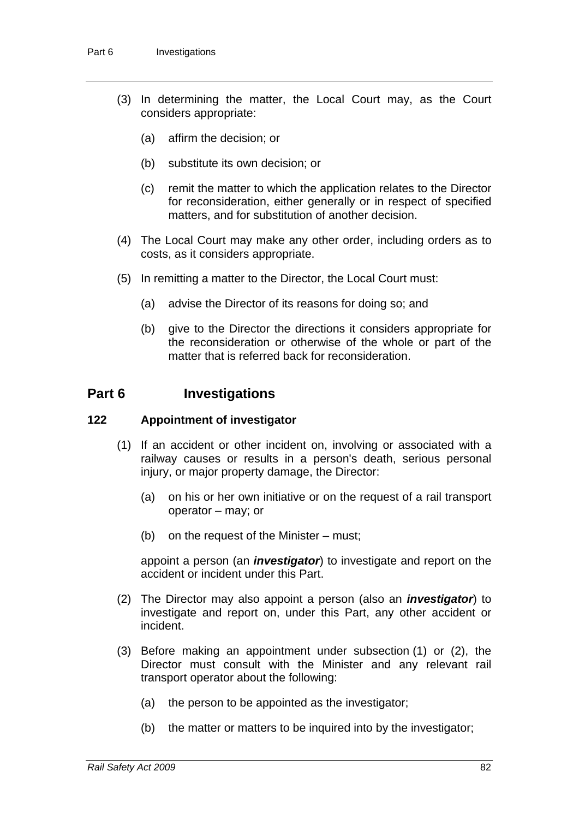- (3) In determining the matter, the Local Court may, as the Court considers appropriate:
	- (a) affirm the decision; or
	- (b) substitute its own decision; or
	- (c) remit the matter to which the application relates to the Director for reconsideration, either generally or in respect of specified matters, and for substitution of another decision.
- (4) The Local Court may make any other order, including orders as to costs, as it considers appropriate.
- (5) In remitting a matter to the Director, the Local Court must:
	- (a) advise the Director of its reasons for doing so; and
	- (b) give to the Director the directions it considers appropriate for the reconsideration or otherwise of the whole or part of the matter that is referred back for reconsideration

# **Part 6 Investigations**

#### **122 Appointment of investigator**

- (1) If an accident or other incident on, involving or associated with a railway causes or results in a person's death, serious personal injury, or major property damage, the Director:
	- (a) on his or her own initiative or on the request of a rail transport operator – may; or
	- (b) on the request of the Minister must;

appoint a person (an *investigator*) to investigate and report on the accident or incident under this Part.

- (2) The Director may also appoint a person (also an *investigator*) to investigate and report on, under this Part, any other accident or incident.
- (3) Before making an appointment under subsection (1) or (2), the Director must consult with the Minister and any relevant rail transport operator about the following:
	- (a) the person to be appointed as the investigator;
	- (b) the matter or matters to be inquired into by the investigator;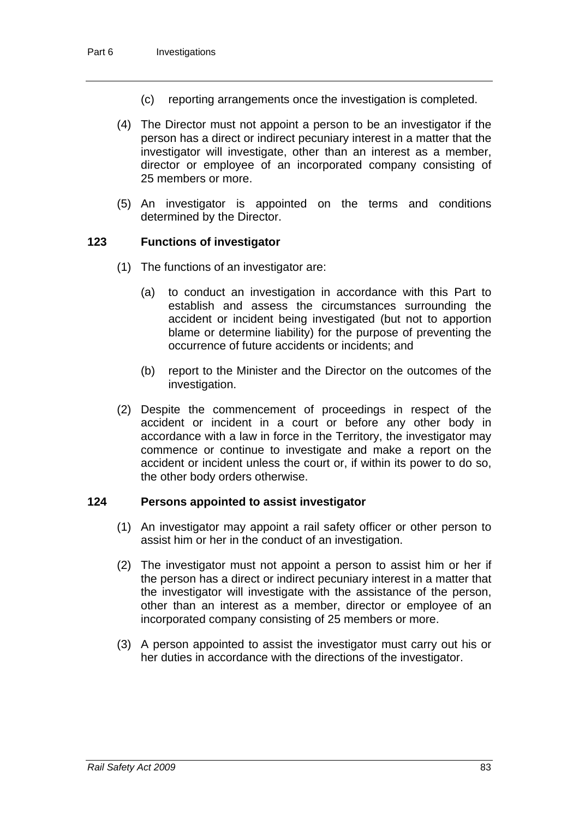- (c) reporting arrangements once the investigation is completed.
- (4) The Director must not appoint a person to be an investigator if the person has a direct or indirect pecuniary interest in a matter that the investigator will investigate, other than an interest as a member, director or employee of an incorporated company consisting of 25 members or more.
- (5) An investigator is appointed on the terms and conditions determined by the Director.

## **123 Functions of investigator**

- (1) The functions of an investigator are:
	- (a) to conduct an investigation in accordance with this Part to establish and assess the circumstances surrounding the accident or incident being investigated (but not to apportion blame or determine liability) for the purpose of preventing the occurrence of future accidents or incidents; and
	- (b) report to the Minister and the Director on the outcomes of the investigation.
- (2) Despite the commencement of proceedings in respect of the accident or incident in a court or before any other body in accordance with a law in force in the Territory, the investigator may commence or continue to investigate and make a report on the accident or incident unless the court or, if within its power to do so, the other body orders otherwise.

#### **124 Persons appointed to assist investigator**

- (1) An investigator may appoint a rail safety officer or other person to assist him or her in the conduct of an investigation.
- (2) The investigator must not appoint a person to assist him or her if the person has a direct or indirect pecuniary interest in a matter that the investigator will investigate with the assistance of the person, other than an interest as a member, director or employee of an incorporated company consisting of 25 members or more.
- (3) A person appointed to assist the investigator must carry out his or her duties in accordance with the directions of the investigator.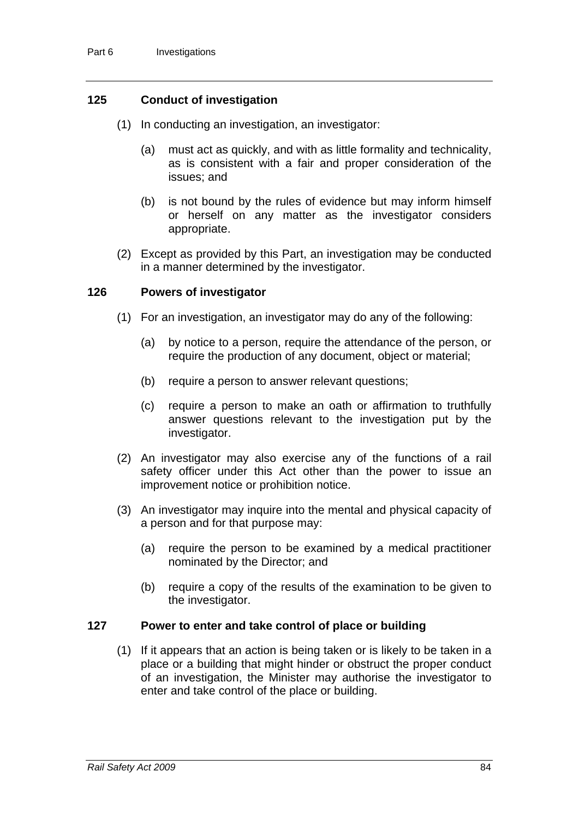# **125 Conduct of investigation**

- (1) In conducting an investigation, an investigator:
	- (a) must act as quickly, and with as little formality and technicality, as is consistent with a fair and proper consideration of the issues; and
	- (b) is not bound by the rules of evidence but may inform himself or herself on any matter as the investigator considers appropriate.
- (2) Except as provided by this Part, an investigation may be conducted in a manner determined by the investigator.

# <span id="page-92-0"></span>**126 Powers of investigator**

- (1) For an investigation, an investigator may do any of the following:
	- (a) by notice to a person, require the attendance of the person, or require the production of any document, object or material;
	- (b) require a person to answer relevant questions;
	- (c) require a person to make an oath or affirmation to truthfully answer questions relevant to the investigation put by the investigator.
- (2) An investigator may also exercise any of the functions of a rail safety officer under this Act other than the power to issue an improvement notice or prohibition notice.
- (3) An investigator may inquire into the mental and physical capacity of a person and for that purpose may:
	- (a) require the person to be examined by a medical practitioner nominated by the Director; and
	- (b) require a copy of the results of the examination to be given to the investigator.

# **127 Power to enter and take control of place or building**

 (1) If it appears that an action is being taken or is likely to be taken in a place or a building that might hinder or obstruct the proper conduct of an investigation, the Minister may authorise the investigator to enter and take control of the place or building.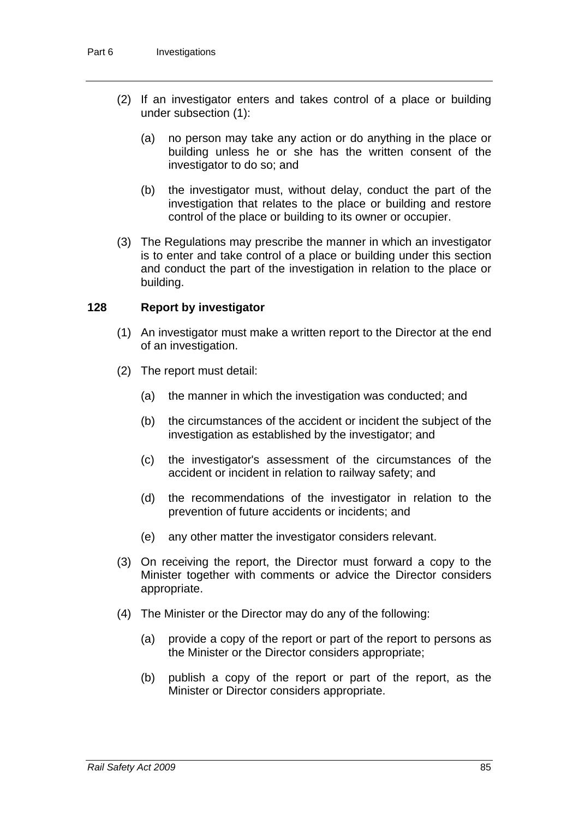- (2) If an investigator enters and takes control of a place or building under subsection (1):
	- (a) no person may take any action or do anything in the place or building unless he or she has the written consent of the investigator to do so; and
	- (b) the investigator must, without delay, conduct the part of the investigation that relates to the place or building and restore control of the place or building to its owner or occupier.
- (3) The Regulations may prescribe the manner in which an investigator is to enter and take control of a place or building under this section and conduct the part of the investigation in relation to the place or building.

## <span id="page-93-0"></span>**128 Report by investigator**

- (1) An investigator must make a written report to the Director at the end of an investigation.
- (2) The report must detail:
	- (a) the manner in which the investigation was conducted; and
	- (b) the circumstances of the accident or incident the subject of the investigation as established by the investigator; and
	- (c) the investigator's assessment of the circumstances of the accident or incident in relation to railway safety; and
	- (d) the recommendations of the investigator in relation to the prevention of future accidents or incidents; and
	- (e) any other matter the investigator considers relevant.
- (3) On receiving the report, the Director must forward a copy to the Minister together with comments or advice the Director considers appropriate.
- (4) The Minister or the Director may do any of the following:
	- (a) provide a copy of the report or part of the report to persons as the Minister or the Director considers appropriate;
	- (b) publish a copy of the report or part of the report, as the Minister or Director considers appropriate.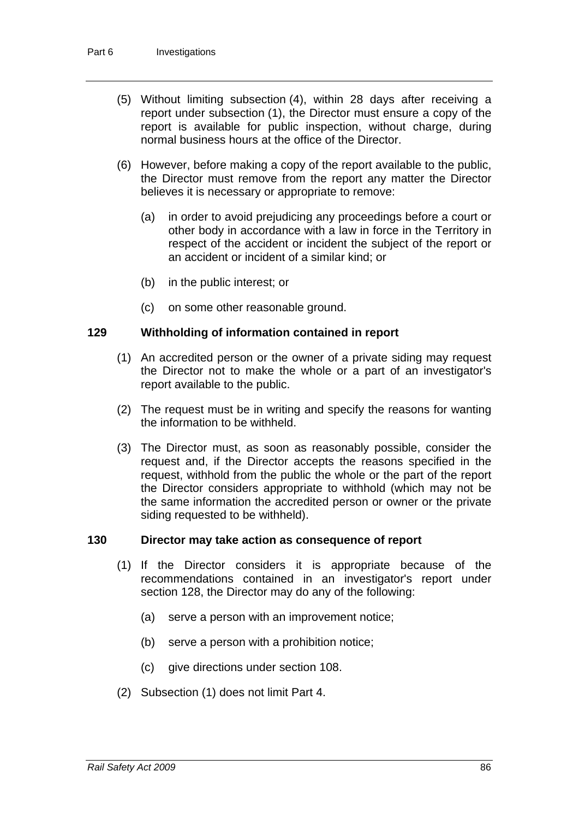- (5) Without limiting subsection (4), within 28 days after receiving a report under subsection (1), the Director must ensure a copy of the report is available for public inspection, without charge, during normal business hours at the office of the Director.
- (6) However, before making a copy of the report available to the public, the Director must remove from the report any matter the Director believes it is necessary or appropriate to remove:
	- (a) in order to avoid prejudicing any proceedings before a court or other body in accordance with a law in force in the Territory in respect of the accident or incident the subject of the report or an accident or incident of a similar kind; or
	- (b) in the public interest; or
	- (c) on some other reasonable ground.

## **129 Withholding of information contained in report**

- (1) An accredited person or the owner of a private siding may request the Director not to make the whole or a part of an investigator's report available to the public.
- (2) The request must be in writing and specify the reasons for wanting the information to be withheld.
- (3) The Director must, as soon as reasonably possible, consider the request and, if the Director accepts the reasons specified in the request, withhold from the public the whole or the part of the report the Director considers appropriate to withhold (which may not be the same information the accredited person or owner or the private siding requested to be withheld).

# **130 Director may take action as consequence of report**

- (1) If the Director considers it is appropriate because of the recommendations contained in an investigator's report under section [128](#page-93-0), the Director may do any of the following:
	- (a) serve a person with an improvement notice;
	- (b) serve a person with a prohibition notice;
	- (c) give directions under section [108.](#page-84-0)
- (2) Subsection (1) does not limit Part 4.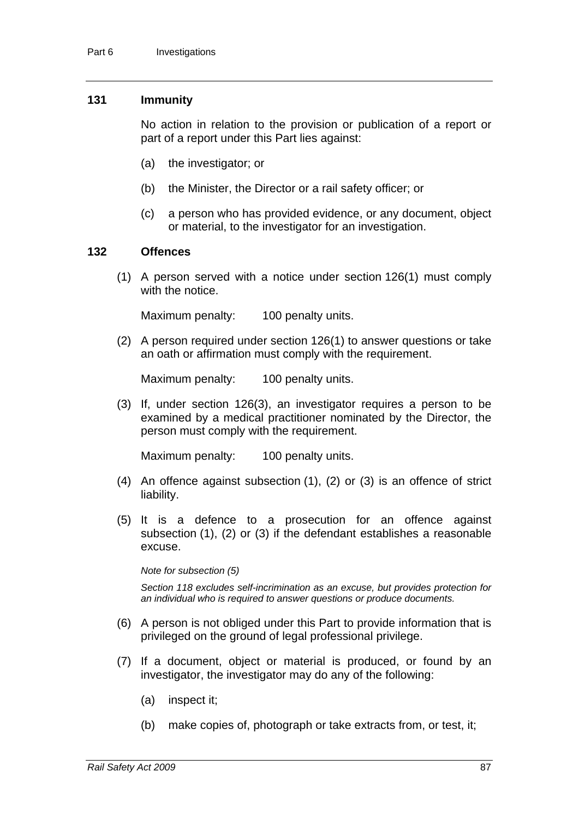#### **131 Immunity**

No action in relation to the provision or publication of a report or part of a report under this Part lies against:

- (a) the investigator; or
- (b) the Minister, the Director or a rail safety officer; or
- (c) a person who has provided evidence, or any document, object or material, to the investigator for an investigation.

#### **132 Offences**

 (1) A person served with a notice under section [126\(](#page-92-0)1) must comply with the notice.

Maximum penalty: 100 penalty units.

 (2) A person required under section [126\(](#page-92-0)1) to answer questions or take an oath or affirmation must comply with the requirement.

Maximum penalty: 100 penalty units.

 (3) If, under section 126(3), an investigator requires a person to be examined by a medical practitioner nominated by the Director, the person must comply with the requirement.

Maximum penalty: 100 penalty units.

- (4) An offence against subsection (1), (2) or (3) is an offence of strict liability.
- (5) It is a defence to a prosecution for an offence against subsection (1), (2) or (3) if the defendant establishes a reasonable excuse.

#### *Note for subsection (5)*

*Section [118](#page-87-0) excludes self-incrimination as an excuse, but provides protection for an individual who is required to answer questions or produce documents.* 

- (6) A person is not obliged under this Part to provide information that is privileged on the ground of legal professional privilege.
- (7) If a document, object or material is produced, or found by an investigator, the investigator may do any of the following:
	- (a) inspect it;
	- (b) make copies of, photograph or take extracts from, or test, it;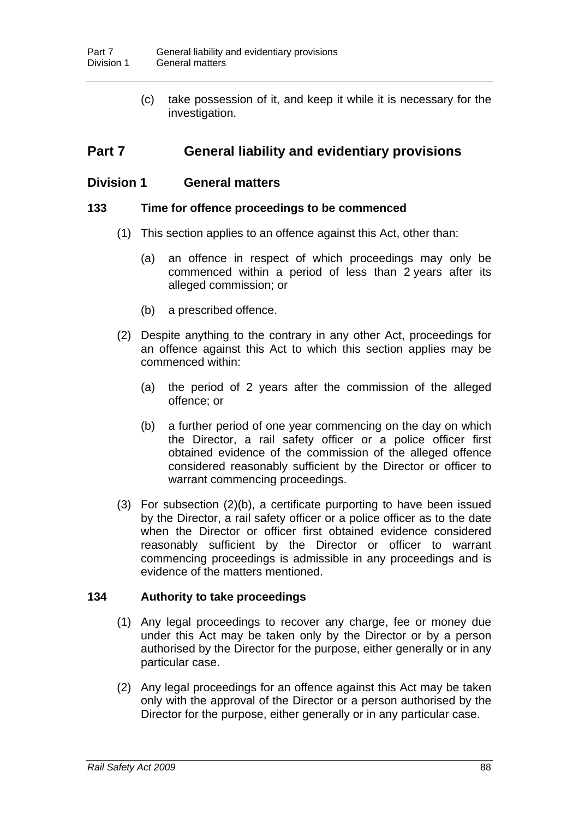(c) take possession of it, and keep it while it is necessary for the investigation.

# **Part 7 General liability and evidentiary provisions**

# **Division 1 General matters**

## **133 Time for offence proceedings to be commenced**

- (1) This section applies to an offence against this Act, other than:
	- (a) an offence in respect of which proceedings may only be commenced within a period of less than 2 years after its alleged commission; or
	- (b) a prescribed offence.
- (2) Despite anything to the contrary in any other Act, proceedings for an offence against this Act to which this section applies may be commenced within:
	- (a) the period of 2 years after the commission of the alleged offence; or
	- (b) a further period of one year commencing on the day on which the Director, a rail safety officer or a police officer first obtained evidence of the commission of the alleged offence considered reasonably sufficient by the Director or officer to warrant commencing proceedings.
- (3) For subsection (2)(b), a certificate purporting to have been issued by the Director, a rail safety officer or a police officer as to the date when the Director or officer first obtained evidence considered reasonably sufficient by the Director or officer to warrant commencing proceedings is admissible in any proceedings and is evidence of the matters mentioned.

# **134 Authority to take proceedings**

- (1) Any legal proceedings to recover any charge, fee or money due under this Act may be taken only by the Director or by a person authorised by the Director for the purpose, either generally or in any particular case.
- (2) Any legal proceedings for an offence against this Act may be taken only with the approval of the Director or a person authorised by the Director for the purpose, either generally or in any particular case.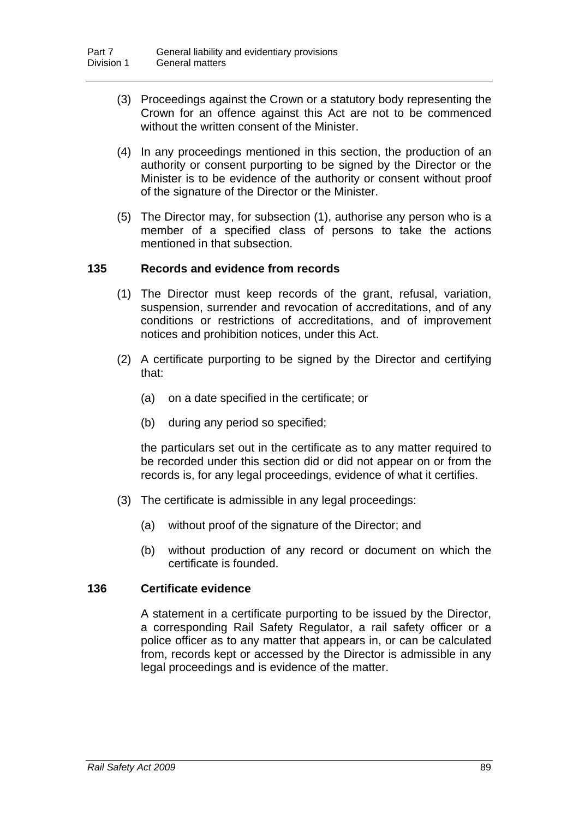- (3) Proceedings against the Crown or a statutory body representing the Crown for an offence against this Act are not to be commenced without the written consent of the Minister.
- (4) In any proceedings mentioned in this section, the production of an authority or consent purporting to be signed by the Director or the Minister is to be evidence of the authority or consent without proof of the signature of the Director or the Minister.
- (5) The Director may, for subsection (1), authorise any person who is a member of a specified class of persons to take the actions mentioned in that subsection.

# **135 Records and evidence from records**

- (1) The Director must keep records of the grant, refusal, variation, suspension, surrender and revocation of accreditations, and of any conditions or restrictions of accreditations, and of improvement notices and prohibition notices, under this Act.
- (2) A certificate purporting to be signed by the Director and certifying that:
	- (a) on a date specified in the certificate; or
	- (b) during any period so specified;

the particulars set out in the certificate as to any matter required to be recorded under this section did or did not appear on or from the records is, for any legal proceedings, evidence of what it certifies.

- (3) The certificate is admissible in any legal proceedings:
	- (a) without proof of the signature of the Director; and
	- (b) without production of any record or document on which the certificate is founded.

# **136 Certificate evidence**

A statement in a certificate purporting to be issued by the Director, a corresponding Rail Safety Regulator, a rail safety officer or a police officer as to any matter that appears in, or can be calculated from, records kept or accessed by the Director is admissible in any legal proceedings and is evidence of the matter.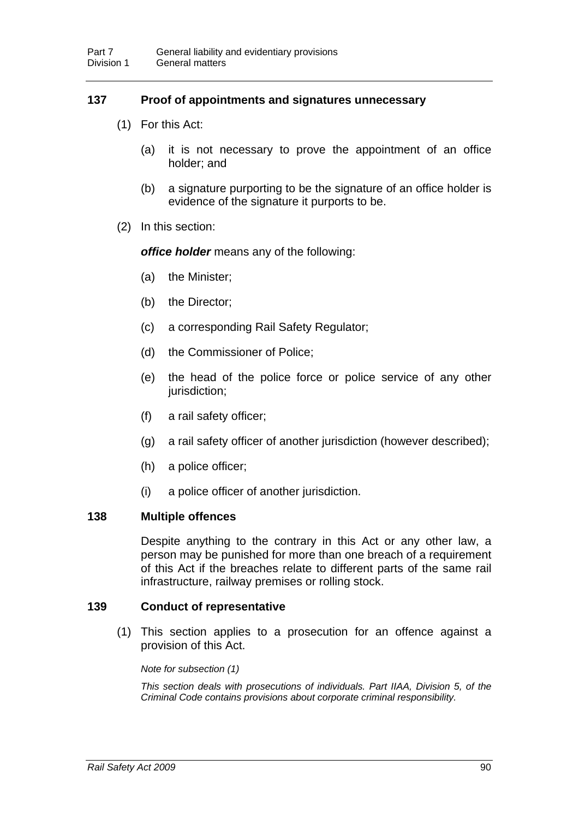# **137 Proof of appointments and signatures unnecessary**

- (1) For this Act:
	- (a) it is not necessary to prove the appointment of an office holder; and
	- (b) a signature purporting to be the signature of an office holder is evidence of the signature it purports to be.
- (2) In this section:

*office holder* means any of the following:

- (a) the Minister;
- (b) the Director;
- (c) a corresponding Rail Safety Regulator;
- (d) the Commissioner of Police;
- (e) the head of the police force or police service of any other jurisdiction:
- (f) a rail safety officer;
- (g) a rail safety officer of another jurisdiction (however described);
- (h) a police officer;
- (i) a police officer of another jurisdiction.

#### **138 Multiple offences**

Despite anything to the contrary in this Act or any other law, a person may be punished for more than one breach of a requirement of this Act if the breaches relate to different parts of the same rail infrastructure, railway premises or rolling stock.

#### **139 Conduct of representative**

 (1) This section applies to a prosecution for an offence against a provision of this Act.

*Note for subsection (1)* 

*This section deals with prosecutions of individuals. Part IIAA, Division 5, of the Criminal Code contains provisions about corporate criminal responsibility.*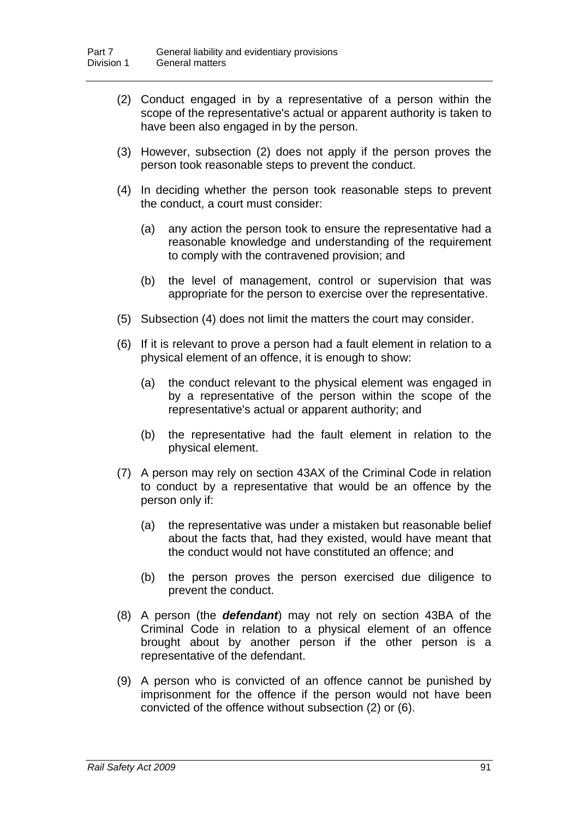- (2) Conduct engaged in by a representative of a person within the scope of the representative's actual or apparent authority is taken to have been also engaged in by the person.
- (3) However, subsection (2) does not apply if the person proves the person took reasonable steps to prevent the conduct.
- (4) In deciding whether the person took reasonable steps to prevent the conduct, a court must consider:
	- (a) any action the person took to ensure the representative had a reasonable knowledge and understanding of the requirement to comply with the contravened provision; and
	- (b) the level of management, control or supervision that was appropriate for the person to exercise over the representative.
- (5) Subsection (4) does not limit the matters the court may consider.
- (6) If it is relevant to prove a person had a fault element in relation to a physical element of an offence, it is enough to show:
	- (a) the conduct relevant to the physical element was engaged in by a representative of the person within the scope of the representative's actual or apparent authority; and
	- (b) the representative had the fault element in relation to the physical element.
- (7) A person may rely on section 43AX of the Criminal Code in relation to conduct by a representative that would be an offence by the person only if:
	- (a) the representative was under a mistaken but reasonable belief about the facts that, had they existed, would have meant that the conduct would not have constituted an offence; and
	- (b) the person proves the person exercised due diligence to prevent the conduct.
- (8) A person (the *defendant*) may not rely on section 43BA of the Criminal Code in relation to a physical element of an offence brought about by another person if the other person is a representative of the defendant.
- (9) A person who is convicted of an offence cannot be punished by imprisonment for the offence if the person would not have been convicted of the offence without subsection (2) or (6).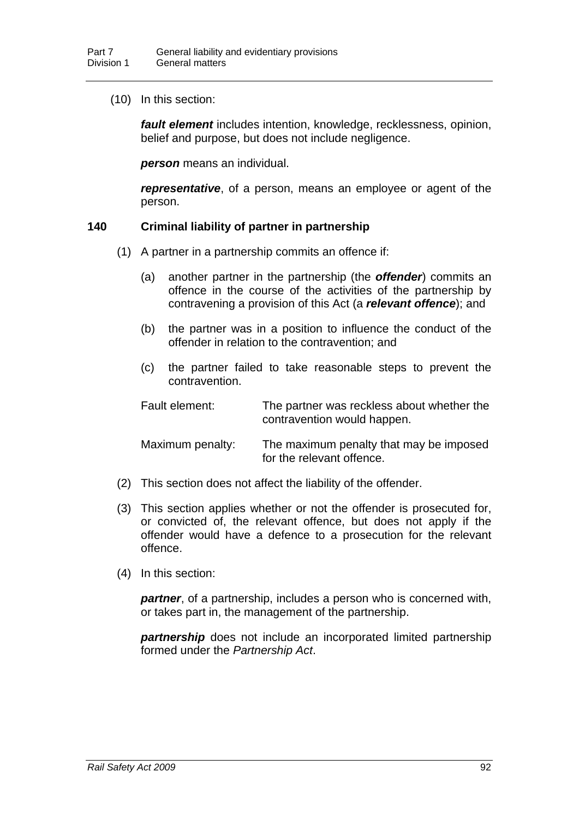(10) In this section:

*fault element* includes intention, knowledge, recklessness, opinion, belief and purpose, but does not include negligence.

*person* means an individual.

*representative*, of a person, means an employee or agent of the person.

#### <span id="page-100-0"></span>**140 Criminal liability of partner in partnership**

- (1) A partner in a partnership commits an offence if:
	- (a) another partner in the partnership (the *offender*) commits an offence in the course of the activities of the partnership by contravening a provision of this Act (a *relevant offence*); and
	- (b) the partner was in a position to influence the conduct of the offender in relation to the contravention; and
	- (c) the partner failed to take reasonable steps to prevent the contravention.

| Fault element:   | The partner was reckless about whether the<br>contravention would happen. |
|------------------|---------------------------------------------------------------------------|
| Maximum penalty: | The maximum penalty that may be imposed<br>for the relevant offence.      |

- (2) This section does not affect the liability of the offender.
- (3) This section applies whether or not the offender is prosecuted for, or convicted of, the relevant offence, but does not apply if the offender would have a defence to a prosecution for the relevant offence.
- (4) In this section:

*partner*, of a partnership, includes a person who is concerned with, or takes part in, the management of the partnership.

*partnership* does not include an incorporated limited partnership formed under the *Partnership Act*.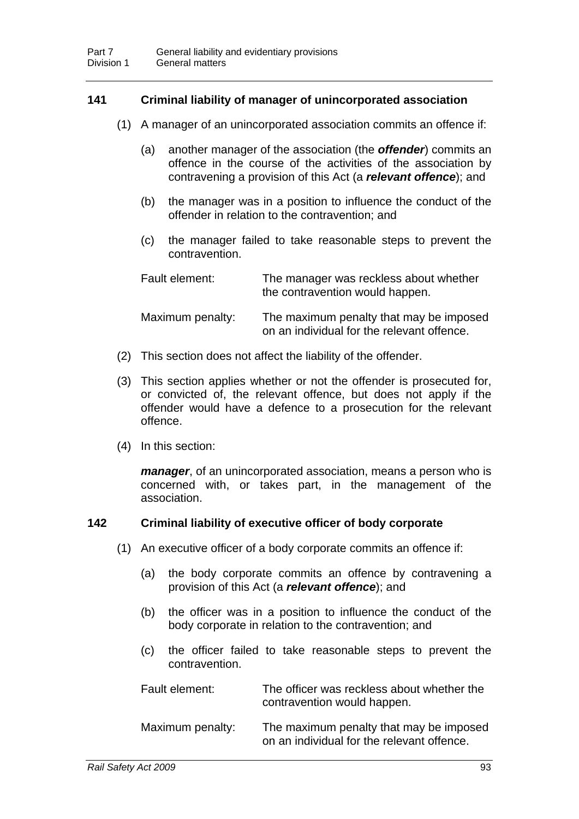# **141 Criminal liability of manager of unincorporated association**

- (1) A manager of an unincorporated association commits an offence if:
	- (a) another manager of the association (the *offender*) commits an offence in the course of the activities of the association by contravening a provision of this Act (a *relevant offence*); and
	- (b) the manager was in a position to influence the conduct of the offender in relation to the contravention; and
	- (c) the manager failed to take reasonable steps to prevent the contravention.

| Fault element:   | The manager was reckless about whether<br>the contravention would happen.             |
|------------------|---------------------------------------------------------------------------------------|
| Maximum penalty: | The maximum penalty that may be imposed<br>on an individual for the relevant offence. |

- (2) This section does not affect the liability of the offender.
- (3) This section applies whether or not the offender is prosecuted for, or convicted of, the relevant offence, but does not apply if the offender would have a defence to a prosecution for the relevant offence.
- (4) In this section:

*manager*, of an unincorporated association, means a person who is concerned with, or takes part, in the management of the association.

# <span id="page-101-0"></span>**142 Criminal liability of executive officer of body corporate**

- (1) An executive officer of a body corporate commits an offence if:
	- (a) the body corporate commits an offence by contravening a provision of this Act (a *relevant offence*); and
	- (b) the officer was in a position to influence the conduct of the body corporate in relation to the contravention; and
	- (c) the officer failed to take reasonable steps to prevent the contravention.

| Fault element:   | The officer was reckless about whether the<br>contravention would happen.             |
|------------------|---------------------------------------------------------------------------------------|
| Maximum penalty: | The maximum penalty that may be imposed<br>on an individual for the relevant offence. |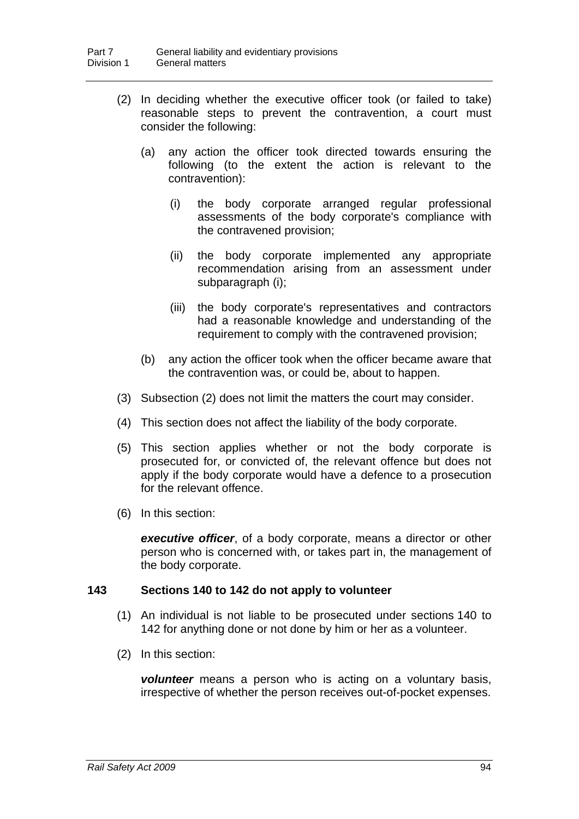- (2) In deciding whether the executive officer took (or failed to take) reasonable steps to prevent the contravention, a court must consider the following:
	- (a) any action the officer took directed towards ensuring the following (to the extent the action is relevant to the contravention):
		- (i) the body corporate arranged regular professional assessments of the body corporate's compliance with the contravened provision;
		- (ii) the body corporate implemented any appropriate recommendation arising from an assessment under subparagraph (i);
		- (iii) the body corporate's representatives and contractors had a reasonable knowledge and understanding of the requirement to comply with the contravened provision;
	- (b) any action the officer took when the officer became aware that the contravention was, or could be, about to happen.
- (3) Subsection (2) does not limit the matters the court may consider.
- (4) This section does not affect the liability of the body corporate.
- (5) This section applies whether or not the body corporate is prosecuted for, or convicted of, the relevant offence but does not apply if the body corporate would have a defence to a prosecution for the relevant offence.
- (6) In this section:

*executive officer*, of a body corporate, means a director or other person who is concerned with, or takes part in, the management of the body corporate.

#### **143 Sections [140](#page-100-0) to [142](#page-101-0) do not apply to volunteer**

- (1) An individual is not liable to be prosecuted under sections [140](#page-100-0) to [142](#page-101-0) for anything done or not done by him or her as a volunteer.
- (2) In this section:

*volunteer* means a person who is acting on a voluntary basis, irrespective of whether the person receives out-of-pocket expenses.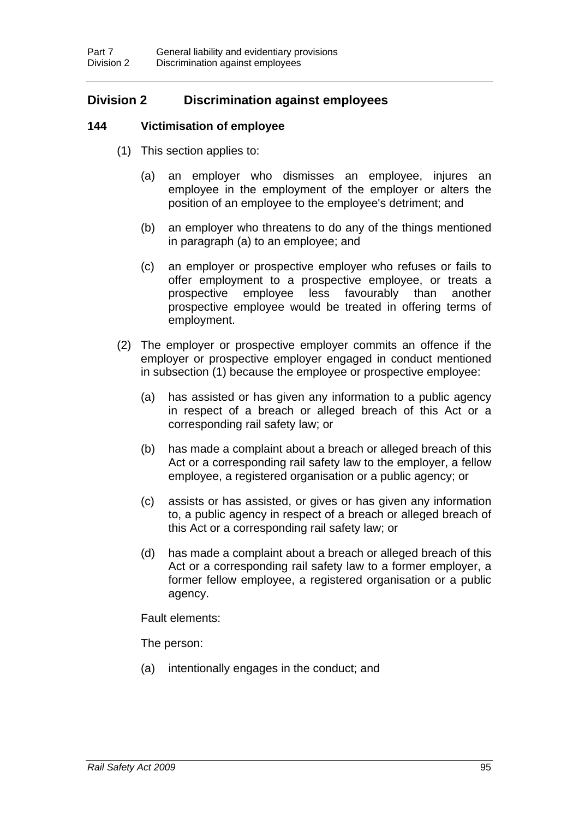# **Division 2 Discrimination against employees**

# <span id="page-103-0"></span>**144 Victimisation of employee**

- (1) This section applies to:
	- (a) an employer who dismisses an employee, injures an employee in the employment of the employer or alters the position of an employee to the employee's detriment; and
	- (b) an employer who threatens to do any of the things mentioned in paragraph (a) to an employee; and
	- (c) an employer or prospective employer who refuses or fails to offer employment to a prospective employee, or treats a prospective employee less favourably than another prospective employee would be treated in offering terms of employment.
- (2) The employer or prospective employer commits an offence if the employer or prospective employer engaged in conduct mentioned in subsection (1) because the employee or prospective employee:
	- (a) has assisted or has given any information to a public agency in respect of a breach or alleged breach of this Act or a corresponding rail safety law; or
	- (b) has made a complaint about a breach or alleged breach of this Act or a corresponding rail safety law to the employer, a fellow employee, a registered organisation or a public agency; or
	- (c) assists or has assisted, or gives or has given any information to, a public agency in respect of a breach or alleged breach of this Act or a corresponding rail safety law; or
	- (d) has made a complaint about a breach or alleged breach of this Act or a corresponding rail safety law to a former employer, a former fellow employee, a registered organisation or a public agency.

Fault elements:

The person:

(a) intentionally engages in the conduct; and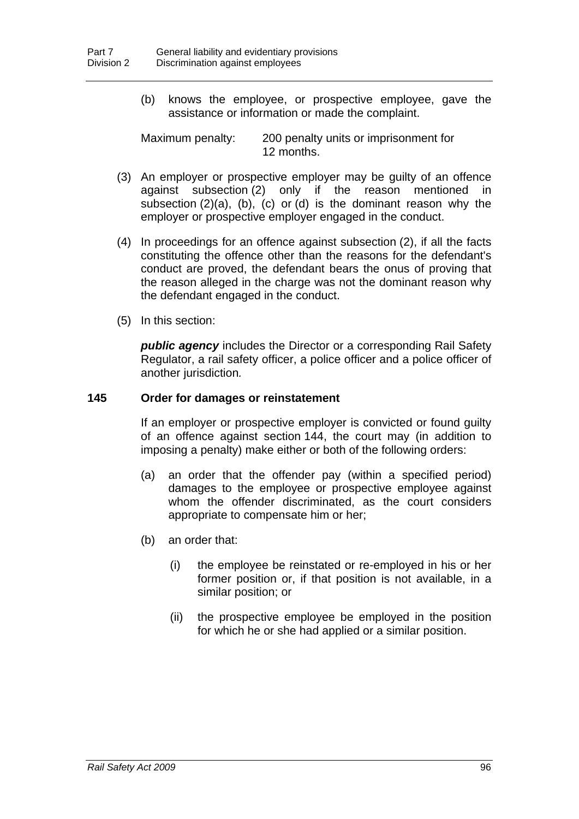(b) knows the employee, or prospective employee, gave the assistance or information or made the complaint.

Maximum penalty: 200 penalty units or imprisonment for 12 months.

- (3) An employer or prospective employer may be guilty of an offence against subsection (2) only if the reason mentioned in subsection (2)(a), (b), (c) or (d) is the dominant reason why the employer or prospective employer engaged in the conduct.
- (4) In proceedings for an offence against subsection (2), if all the facts constituting the offence other than the reasons for the defendant's conduct are proved, the defendant bears the onus of proving that the reason alleged in the charge was not the dominant reason why the defendant engaged in the conduct.
- (5) In this section:

*public agency* includes the Director or a corresponding Rail Safety Regulator, a rail safety officer, a police officer and a police officer of another jurisdiction*.* 

#### **145 Order for damages or reinstatement**

If an employer or prospective employer is convicted or found guilty of an offence against section [144,](#page-103-0) the court may (in addition to imposing a penalty) make either or both of the following orders:

- (a) an order that the offender pay (within a specified period) damages to the employee or prospective employee against whom the offender discriminated, as the court considers appropriate to compensate him or her;
- (b) an order that:
	- (i) the employee be reinstated or re-employed in his or her former position or, if that position is not available, in a similar position; or
	- (ii) the prospective employee be employed in the position for which he or she had applied or a similar position.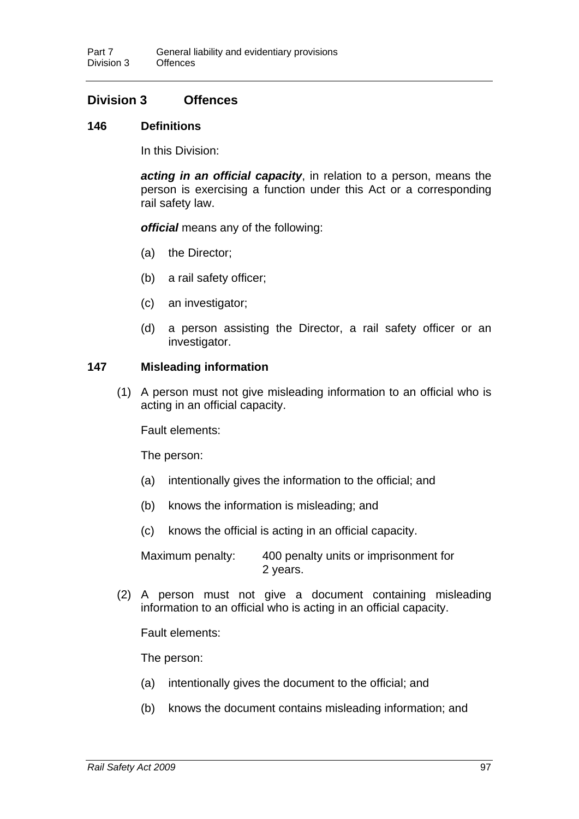# **Division 3 Offences**

## **146 Definitions**

In this Division:

*acting in an official capacity*, in relation to a person, means the person is exercising a function under this Act or a corresponding rail safety law.

*official* means any of the following:

- (a) the Director;
- (b) a rail safety officer;
- (c) an investigator;
- (d) a person assisting the Director, a rail safety officer or an investigator.

## **147 Misleading information**

 (1) A person must not give misleading information to an official who is acting in an official capacity.

Fault elements:

The person:

- (a) intentionally gives the information to the official; and
- (b) knows the information is misleading; and
- (c) knows the official is acting in an official capacity.

Maximum penalty: 400 penalty units or imprisonment for 2 years.

 (2) A person must not give a document containing misleading information to an official who is acting in an official capacity.

Fault elements:

The person:

- (a) intentionally gives the document to the official; and
- (b) knows the document contains misleading information; and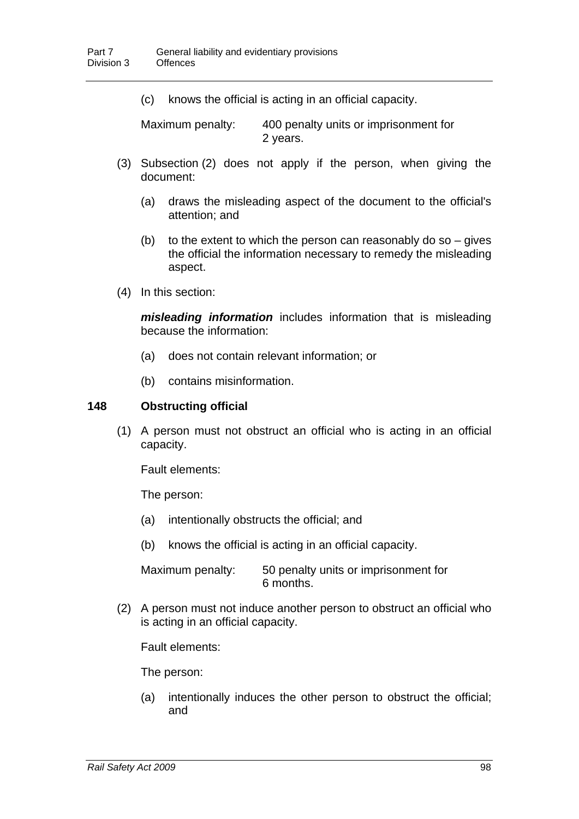(c) knows the official is acting in an official capacity.

Maximum penalty: 400 penalty units or imprisonment for 2 years.

- (3) Subsection (2) does not apply if the person, when giving the document:
	- (a) draws the misleading aspect of the document to the official's attention; and
	- (b) to the extent to which the person can reasonably do so  $-$  gives the official the information necessary to remedy the misleading aspect.
- (4) In this section:

*misleading information* includes information that is misleading because the information:

- (a) does not contain relevant information; or
- (b) contains misinformation.

#### **148 Obstructing official**

 (1) A person must not obstruct an official who is acting in an official capacity.

Fault elements:

The person:

- (a) intentionally obstructs the official; and
- (b) knows the official is acting in an official capacity.

Maximum penalty: 50 penalty units or imprisonment for 6 months.

 (2) A person must not induce another person to obstruct an official who is acting in an official capacity.

Fault elements:

The person:

(a) intentionally induces the other person to obstruct the official; and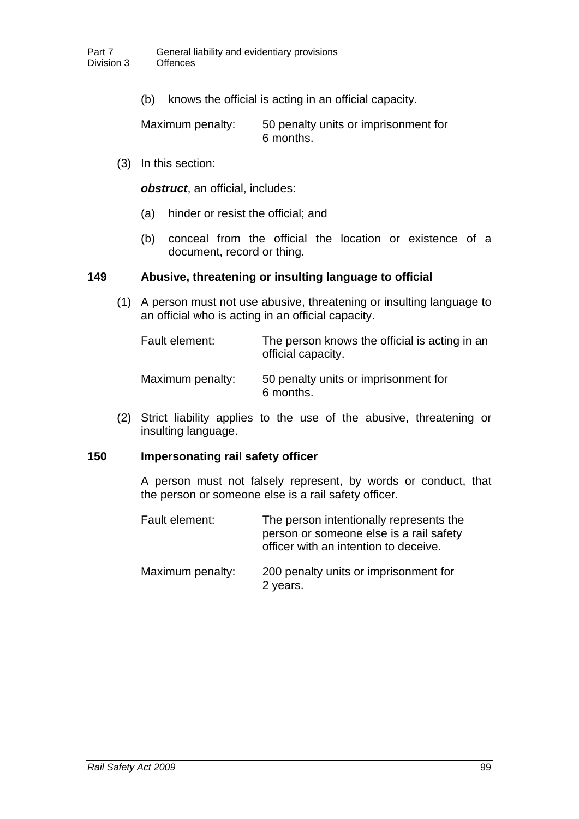(b) knows the official is acting in an official capacity.

Maximum penalty: 50 penalty units or imprisonment for 6 months.

(3) In this section:

*obstruct*, an official, includes:

- (a) hinder or resist the official; and
- (b) conceal from the official the location or existence of a document, record or thing.

## **149 Abusive, threatening or insulting language to official**

 (1) A person must not use abusive, threatening or insulting language to an official who is acting in an official capacity.

| Fault element:   | The person knows the official is acting in an<br>official capacity. |
|------------------|---------------------------------------------------------------------|
| Maximum penalty: | 50 penalty units or imprisonment for<br>6 months.                   |

 (2) Strict liability applies to the use of the abusive, threatening or insulting language.

## **150 Impersonating rail safety officer**

A person must not falsely represent, by words or conduct, that the person or someone else is a rail safety officer.

| Fault element:   | The person intentionally represents the<br>person or someone else is a rail safety<br>officer with an intention to deceive. |
|------------------|-----------------------------------------------------------------------------------------------------------------------------|
| Maximum penalty: | 200 penalty units or imprisonment for<br>2 years.                                                                           |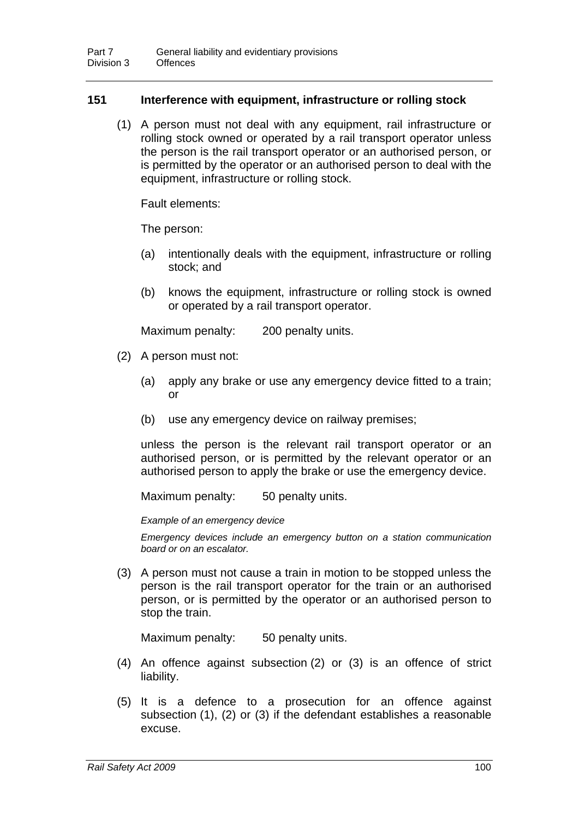### **151 Interference with equipment, infrastructure or rolling stock**

 (1) A person must not deal with any equipment, rail infrastructure or rolling stock owned or operated by a rail transport operator unless the person is the rail transport operator or an authorised person, or is permitted by the operator or an authorised person to deal with the equipment, infrastructure or rolling stock.

Fault elements:

The person:

- (a) intentionally deals with the equipment, infrastructure or rolling stock; and
- (b) knows the equipment, infrastructure or rolling stock is owned or operated by a rail transport operator.

Maximum penalty: 200 penalty units.

- (2) A person must not:
	- (a) apply any brake or use any emergency device fitted to a train; or
	- (b) use any emergency device on railway premises;

unless the person is the relevant rail transport operator or an authorised person, or is permitted by the relevant operator or an authorised person to apply the brake or use the emergency device.

Maximum penalty: 50 penalty units.

*Example of an emergency device* 

*Emergency devices include an emergency button on a station communication board or on an escalator.* 

 (3) A person must not cause a train in motion to be stopped unless the person is the rail transport operator for the train or an authorised person, or is permitted by the operator or an authorised person to stop the train.

Maximum penalty: 50 penalty units.

- (4) An offence against subsection (2) or (3) is an offence of strict liability.
- (5) It is a defence to a prosecution for an offence against subsection (1), (2) or (3) if the defendant establishes a reasonable excuse.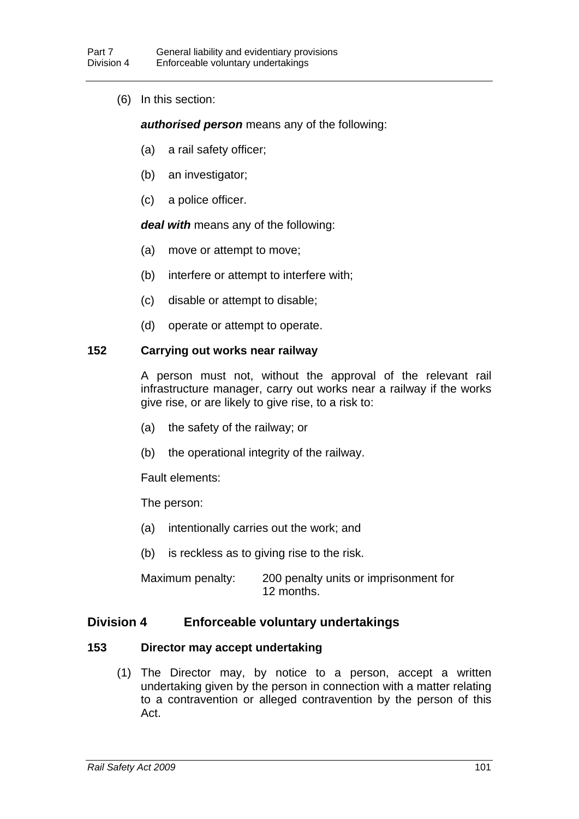(6) In this section:

#### *authorised person* means any of the following:

- (a) a rail safety officer;
- (b) an investigator;
- (c) a police officer.

*deal with* means any of the following:

- (a) move or attempt to move;
- (b) interfere or attempt to interfere with;
- (c) disable or attempt to disable;
- (d) operate or attempt to operate.

### **152 Carrying out works near railway**

A person must not, without the approval of the relevant rail infrastructure manager, carry out works near a railway if the works give rise, or are likely to give rise, to a risk to:

- (a) the safety of the railway; or
- (b) the operational integrity of the railway.

Fault elements:

The person:

- (a) intentionally carries out the work; and
- (b) is reckless as to giving rise to the risk.

Maximum penalty: 200 penalty units or imprisonment for 12 months.

### **Division 4 Enforceable voluntary undertakings**

### <span id="page-109-0"></span>**153 Director may accept undertaking**

 (1) The Director may, by notice to a person, accept a written undertaking given by the person in connection with a matter relating to a contravention or alleged contravention by the person of this Act.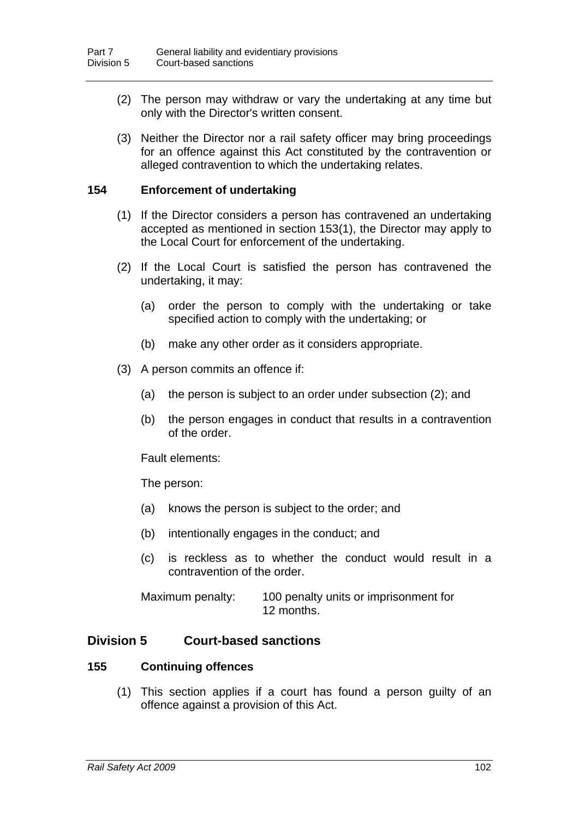- (2) The person may withdraw or vary the undertaking at any time but only with the Director's written consent.
- (3) Neither the Director nor a rail safety officer may bring proceedings for an offence against this Act constituted by the contravention or alleged contravention to which the undertaking relates.

### **154 Enforcement of undertaking**

- (1) If the Director considers a person has contravened an undertaking accepted as mentioned in section [153](#page-109-0)(1), the Director may apply to the Local Court for enforcement of the undertaking.
- (2) If the Local Court is satisfied the person has contravened the undertaking, it may:
	- (a) order the person to comply with the undertaking or take specified action to comply with the undertaking; or
	- (b) make any other order as it considers appropriate.
- (3) A person commits an offence if:
	- (a) the person is subject to an order under subsection (2); and
	- (b) the person engages in conduct that results in a contravention of the order.

Fault elements:

The person:

- (a) knows the person is subject to the order; and
- (b) intentionally engages in the conduct; and
- (c) is reckless as to whether the conduct would result in a contravention of the order.

Maximum penalty: 100 penalty units or imprisonment for 12 months.

### **Division 5 Court-based sanctions**

#### **155 Continuing offences**

 (1) This section applies if a court has found a person guilty of an offence against a provision of this Act.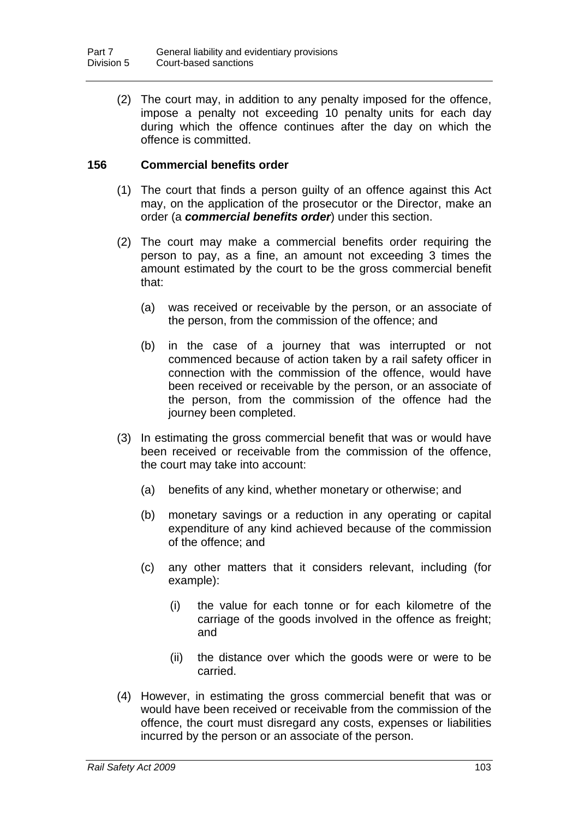(2) The court may, in addition to any penalty imposed for the offence, impose a penalty not exceeding 10 penalty units for each day during which the offence continues after the day on which the offence is committed.

### **156 Commercial benefits order**

- (1) The court that finds a person guilty of an offence against this Act may, on the application of the prosecutor or the Director, make an order (a *commercial benefits order*) under this section.
- (2) The court may make a commercial benefits order requiring the person to pay, as a fine, an amount not exceeding 3 times the amount estimated by the court to be the gross commercial benefit that:
	- (a) was received or receivable by the person, or an associate of the person, from the commission of the offence; and
	- (b) in the case of a journey that was interrupted or not commenced because of action taken by a rail safety officer in connection with the commission of the offence, would have been received or receivable by the person, or an associate of the person, from the commission of the offence had the journey been completed.
- (3) In estimating the gross commercial benefit that was or would have been received or receivable from the commission of the offence, the court may take into account:
	- (a) benefits of any kind, whether monetary or otherwise; and
	- (b) monetary savings or a reduction in any operating or capital expenditure of any kind achieved because of the commission of the offence; and
	- (c) any other matters that it considers relevant, including (for example):
		- (i) the value for each tonne or for each kilometre of the carriage of the goods involved in the offence as freight; and
		- (ii) the distance over which the goods were or were to be carried.
- (4) However, in estimating the gross commercial benefit that was or would have been received or receivable from the commission of the offence, the court must disregard any costs, expenses or liabilities incurred by the person or an associate of the person.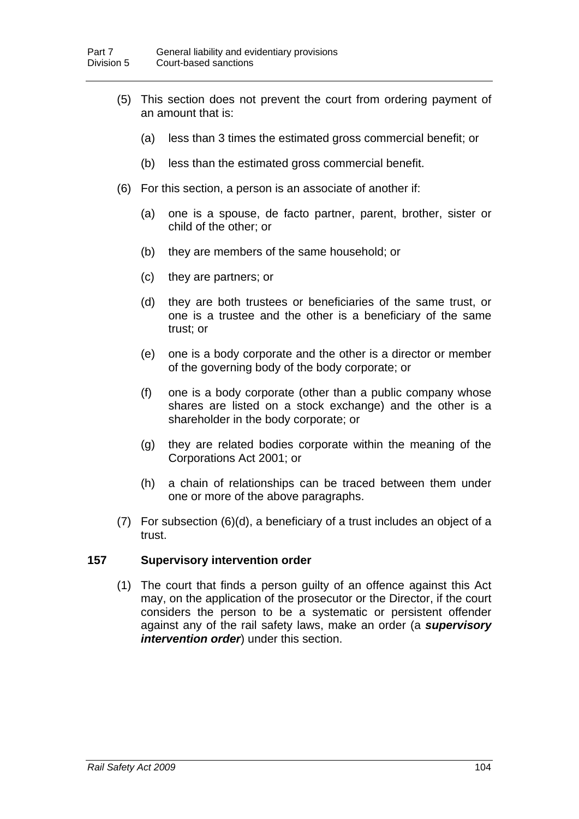- (5) This section does not prevent the court from ordering payment of an amount that is:
	- (a) less than 3 times the estimated gross commercial benefit; or
	- (b) less than the estimated gross commercial benefit.
- (6) For this section, a person is an associate of another if:
	- (a) one is a spouse, de facto partner, parent, brother, sister or child of the other; or
	- (b) they are members of the same household; or
	- (c) they are partners; or
	- (d) they are both trustees or beneficiaries of the same trust, or one is a trustee and the other is a beneficiary of the same trust; or
	- (e) one is a body corporate and the other is a director or member of the governing body of the body corporate; or
	- (f) one is a body corporate (other than a public company whose shares are listed on a stock exchange) and the other is a shareholder in the body corporate; or
	- (g) they are related bodies corporate within the meaning of the Corporations Act 2001; or
	- (h) a chain of relationships can be traced between them under one or more of the above paragraphs.
- (7) For subsection (6)(d), a beneficiary of a trust includes an object of a trust.

### **157 Supervisory intervention order**

 (1) The court that finds a person guilty of an offence against this Act may, on the application of the prosecutor or the Director, if the court considers the person to be a systematic or persistent offender against any of the rail safety laws, make an order (a *supervisory intervention order*) under this section.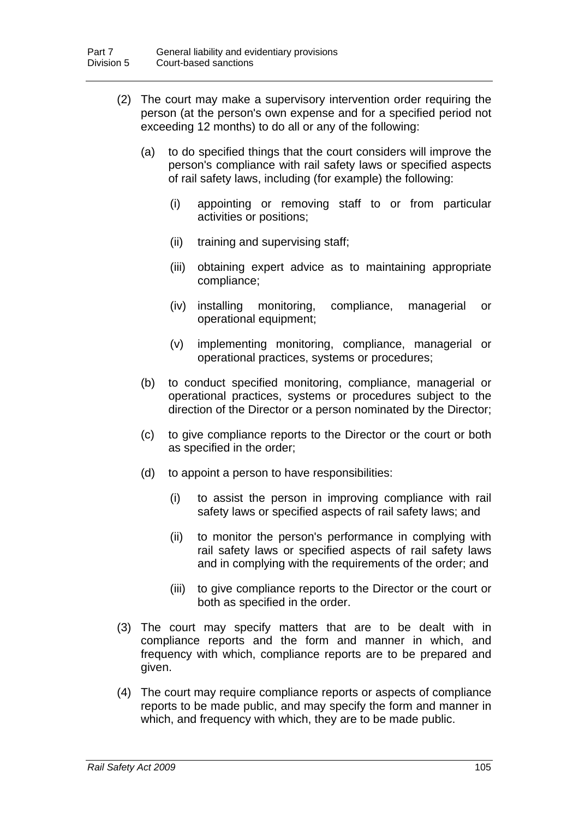- (2) The court may make a supervisory intervention order requiring the person (at the person's own expense and for a specified period not exceeding 12 months) to do all or any of the following:
	- (a) to do specified things that the court considers will improve the person's compliance with rail safety laws or specified aspects of rail safety laws, including (for example) the following:
		- (i) appointing or removing staff to or from particular activities or positions;
		- (ii) training and supervising staff;
		- (iii) obtaining expert advice as to maintaining appropriate compliance;
		- (iv) installing monitoring, compliance, managerial or operational equipment;
		- (v) implementing monitoring, compliance, managerial or operational practices, systems or procedures;
	- (b) to conduct specified monitoring, compliance, managerial or operational practices, systems or procedures subject to the direction of the Director or a person nominated by the Director;
	- (c) to give compliance reports to the Director or the court or both as specified in the order;
	- (d) to appoint a person to have responsibilities:
		- (i) to assist the person in improving compliance with rail safety laws or specified aspects of rail safety laws; and
		- (ii) to monitor the person's performance in complying with rail safety laws or specified aspects of rail safety laws and in complying with the requirements of the order; and
		- (iii) to give compliance reports to the Director or the court or both as specified in the order.
- (3) The court may specify matters that are to be dealt with in compliance reports and the form and manner in which, and frequency with which, compliance reports are to be prepared and given.
- (4) The court may require compliance reports or aspects of compliance reports to be made public, and may specify the form and manner in which, and frequency with which, they are to be made public.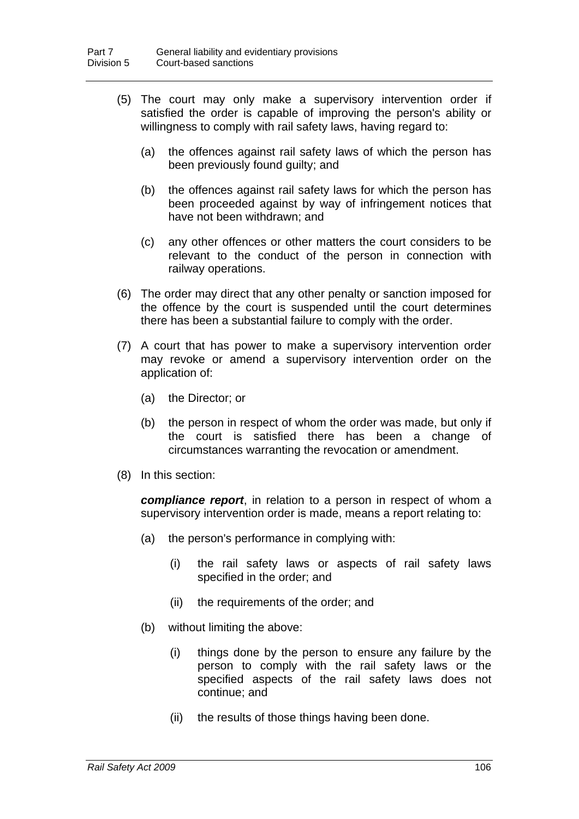- (5) The court may only make a supervisory intervention order if satisfied the order is capable of improving the person's ability or willingness to comply with rail safety laws, having regard to:
	- (a) the offences against rail safety laws of which the person has been previously found guilty; and
	- (b) the offences against rail safety laws for which the person has been proceeded against by way of infringement notices that have not been withdrawn; and
	- (c) any other offences or other matters the court considers to be relevant to the conduct of the person in connection with railway operations.
- (6) The order may direct that any other penalty or sanction imposed for the offence by the court is suspended until the court determines there has been a substantial failure to comply with the order.
- (7) A court that has power to make a supervisory intervention order may revoke or amend a supervisory intervention order on the application of:
	- (a) the Director; or
	- (b) the person in respect of whom the order was made, but only if the court is satisfied there has been a change of circumstances warranting the revocation or amendment.
- (8) In this section:

*compliance report*, in relation to a person in respect of whom a supervisory intervention order is made, means a report relating to:

- (a) the person's performance in complying with:
	- (i) the rail safety laws or aspects of rail safety laws specified in the order; and
	- (ii) the requirements of the order; and
- (b) without limiting the above:
	- (i) things done by the person to ensure any failure by the person to comply with the rail safety laws or the specified aspects of the rail safety laws does not continue; and
	- (ii) the results of those things having been done.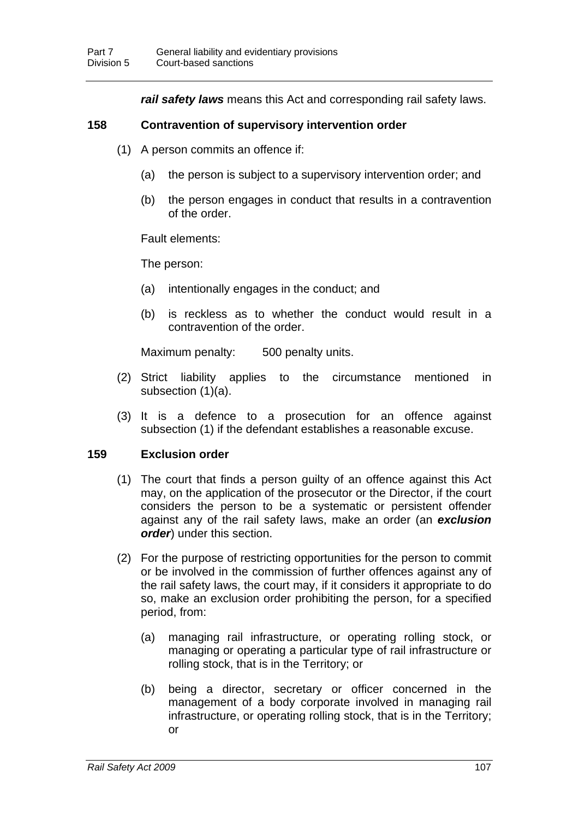*rail safety laws* means this Act and corresponding rail safety laws.

### **158 Contravention of supervisory intervention order**

- (1) A person commits an offence if:
	- (a) the person is subject to a supervisory intervention order; and
	- (b) the person engages in conduct that results in a contravention of the order.

Fault elements:

The person:

- (a) intentionally engages in the conduct; and
- (b) is reckless as to whether the conduct would result in a contravention of the order.

Maximum penalty: 500 penalty units.

- (2) Strict liability applies to the circumstance mentioned in subsection (1)(a).
- (3) It is a defence to a prosecution for an offence against subsection (1) if the defendant establishes a reasonable excuse.

### **159 Exclusion order**

- (1) The court that finds a person guilty of an offence against this Act may, on the application of the prosecutor or the Director, if the court considers the person to be a systematic or persistent offender against any of the rail safety laws, make an order (an *exclusion order*) under this section.
- (2) For the purpose of restricting opportunities for the person to commit or be involved in the commission of further offences against any of the rail safety laws, the court may, if it considers it appropriate to do so, make an exclusion order prohibiting the person, for a specified period, from:
	- (a) managing rail infrastructure, or operating rolling stock, or managing or operating a particular type of rail infrastructure or rolling stock, that is in the Territory; or
	- (b) being a director, secretary or officer concerned in the management of a body corporate involved in managing rail infrastructure, or operating rolling stock, that is in the Territory; or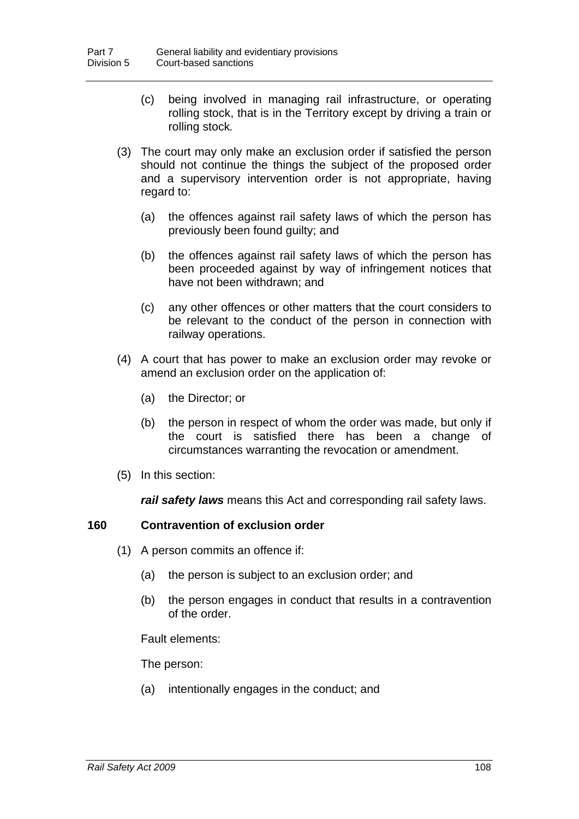- (c) being involved in managing rail infrastructure, or operating rolling stock, that is in the Territory except by driving a train or rolling stock*.*
- (3) The court may only make an exclusion order if satisfied the person should not continue the things the subject of the proposed order and a supervisory intervention order is not appropriate, having regard to:
	- (a) the offences against rail safety laws of which the person has previously been found guilty; and
	- (b) the offences against rail safety laws of which the person has been proceeded against by way of infringement notices that have not been withdrawn; and
	- (c) any other offences or other matters that the court considers to be relevant to the conduct of the person in connection with railway operations.
- (4) A court that has power to make an exclusion order may revoke or amend an exclusion order on the application of:
	- (a) the Director; or
	- (b) the person in respect of whom the order was made, but only if the court is satisfied there has been a change of circumstances warranting the revocation or amendment.
- (5) In this section:

*rail safety laws* means this Act and corresponding rail safety laws.

### **160 Contravention of exclusion order**

- (1) A person commits an offence if:
	- (a) the person is subject to an exclusion order; and
	- (b) the person engages in conduct that results in a contravention of the order.

Fault elements:

The person:

(a) intentionally engages in the conduct; and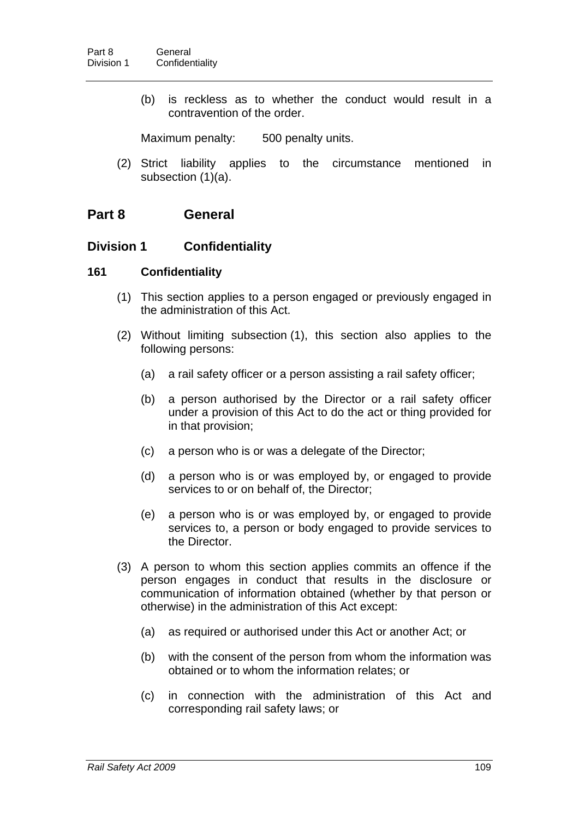(b) is reckless as to whether the conduct would result in a contravention of the order.

Maximum penalty: 500 penalty units.

 (2) Strict liability applies to the circumstance mentioned in subsection (1)(a).

# **Part 8 General**

### **Division 1 Confidentiality**

### <span id="page-117-0"></span>**161 Confidentiality**

- (1) This section applies to a person engaged or previously engaged in the administration of this Act.
- (2) Without limiting subsection (1), this section also applies to the following persons:
	- (a) a rail safety officer or a person assisting a rail safety officer;
	- (b) a person authorised by the Director or a rail safety officer under a provision of this Act to do the act or thing provided for in that provision;
	- (c) a person who is or was a delegate of the Director;
	- (d) a person who is or was employed by, or engaged to provide services to or on behalf of, the Director;
	- (e) a person who is or was employed by, or engaged to provide services to, a person or body engaged to provide services to the Director.
- (3) A person to whom this section applies commits an offence if the person engages in conduct that results in the disclosure or communication of information obtained (whether by that person or otherwise) in the administration of this Act except:
	- (a) as required or authorised under this Act or another Act; or
	- (b) with the consent of the person from whom the information was obtained or to whom the information relates; or
	- (c) in connection with the administration of this Act and corresponding rail safety laws; or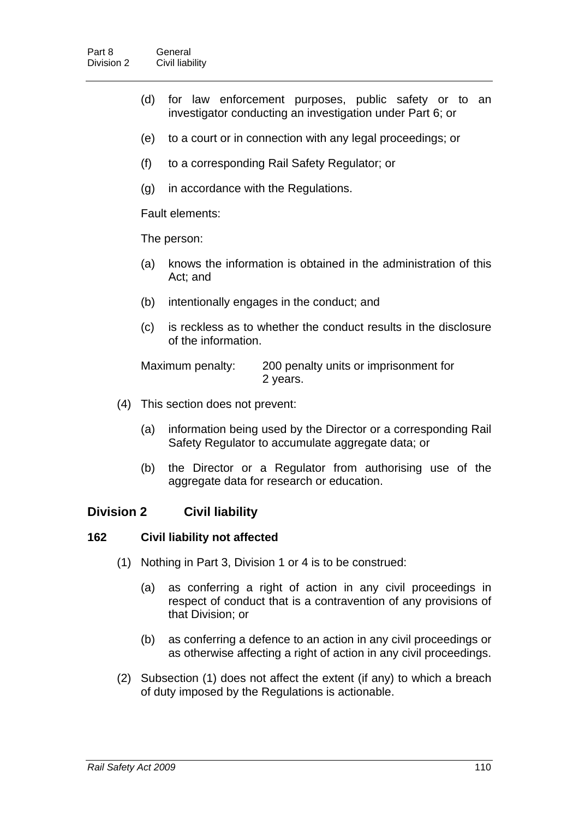- (d) for law enforcement purposes, public safety or to an investigator conducting an investigation under Part 6; or
- (e) to a court or in connection with any legal proceedings; or
- (f) to a corresponding Rail Safety Regulator; or
- (g) in accordance with the Regulations.

Fault elements:

The person:

- (a) knows the information is obtained in the administration of this Act; and
- (b) intentionally engages in the conduct; and
- (c) is reckless as to whether the conduct results in the disclosure of the information.

Maximum penalty: 200 penalty units or imprisonment for 2 years.

- (4) This section does not prevent:
	- (a) information being used by the Director or a corresponding Rail Safety Regulator to accumulate aggregate data; or
	- (b) the Director or a Regulator from authorising use of the aggregate data for research or education.

# **Division 2 Civil liability**

### **162 Civil liability not affected**

- (1) Nothing in Part 3, Division 1 or 4 is to be construed:
	- (a) as conferring a right of action in any civil proceedings in respect of conduct that is a contravention of any provisions of that Division; or
	- (b) as conferring a defence to an action in any civil proceedings or as otherwise affecting a right of action in any civil proceedings.
- (2) Subsection (1) does not affect the extent (if any) to which a breach of duty imposed by the Regulations is actionable.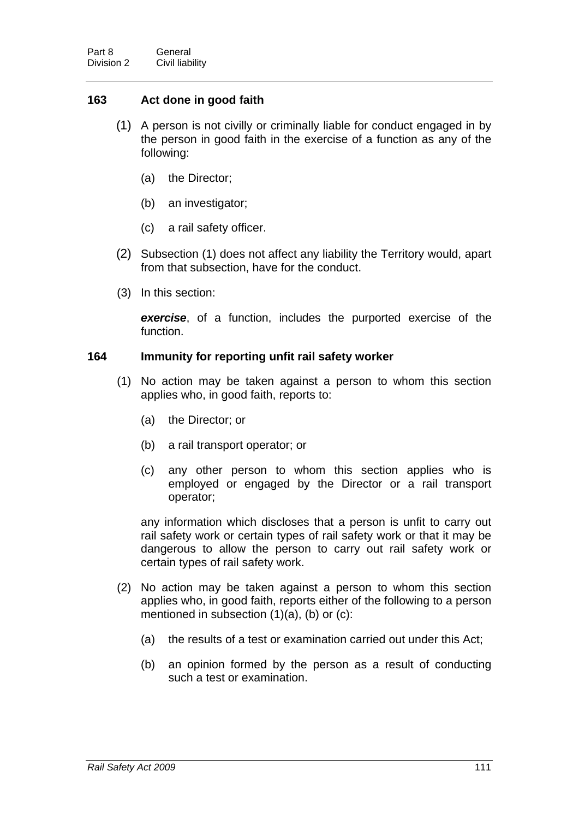# **163 Act done in good faith**

- (1) A person is not civilly or criminally liable for conduct engaged in by the person in good faith in the exercise of a function as any of the following:
	- (a) the Director;
	- (b) an investigator;
	- (c) a rail safety officer.
- (2) Subsection (1) does not affect any liability the Territory would, apart from that subsection, have for the conduct.
- (3) In this section:

*exercise*, of a function, includes the purported exercise of the function.

### **164 Immunity for reporting unfit rail safety worker**

- (1) No action may be taken against a person to whom this section applies who, in good faith, reports to:
	- (a) the Director; or
	- (b) a rail transport operator; or
	- (c) any other person to whom this section applies who is employed or engaged by the Director or a rail transport operator;

any information which discloses that a person is unfit to carry out rail safety work or certain types of rail safety work or that it may be dangerous to allow the person to carry out rail safety work or certain types of rail safety work.

- (2) No action may be taken against a person to whom this section applies who, in good faith, reports either of the following to a person mentioned in subsection (1)(a), (b) or (c):
	- (a) the results of a test or examination carried out under this Act;
	- (b) an opinion formed by the person as a result of conducting such a test or examination.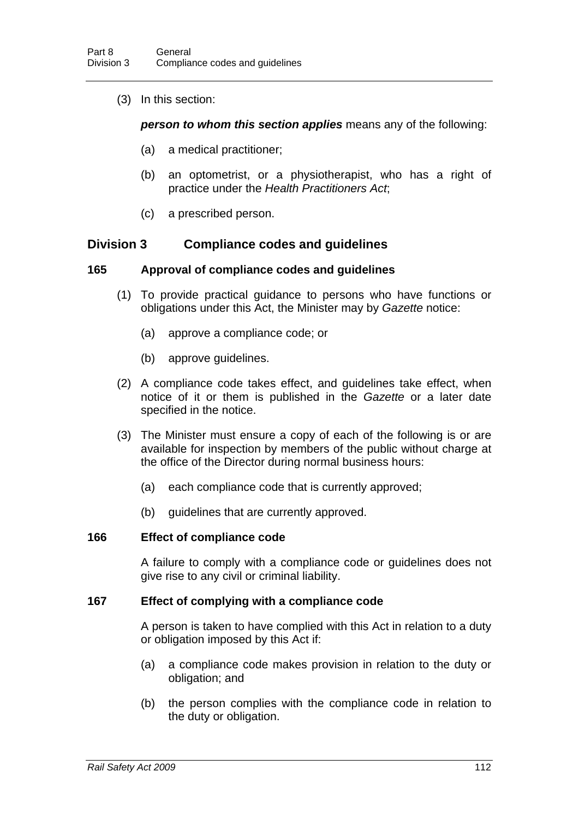(3) In this section:

*person to whom this section applies* means any of the following:

- (a) a medical practitioner;
- (b) an optometrist, or a physiotherapist, who has a right of practice under the *Health Practitioners Act*;
- (c) a prescribed person.

# **Division 3 Compliance codes and guidelines**

### **165 Approval of compliance codes and guidelines**

- (1) To provide practical guidance to persons who have functions or obligations under this Act, the Minister may by *Gazette* notice:
	- (a) approve a compliance code; or
	- (b) approve guidelines.
- (2) A compliance code takes effect, and guidelines take effect, when notice of it or them is published in the *Gazette* or a later date specified in the notice.
- (3) The Minister must ensure a copy of each of the following is or are available for inspection by members of the public without charge at the office of the Director during normal business hours:
	- (a) each compliance code that is currently approved;
	- (b) guidelines that are currently approved.

#### **166 Effect of compliance code**

A failure to comply with a compliance code or guidelines does not give rise to any civil or criminal liability.

#### **167 Effect of complying with a compliance code**

A person is taken to have complied with this Act in relation to a duty or obligation imposed by this Act if:

- (a) a compliance code makes provision in relation to the duty or obligation; and
- (b) the person complies with the compliance code in relation to the duty or obligation.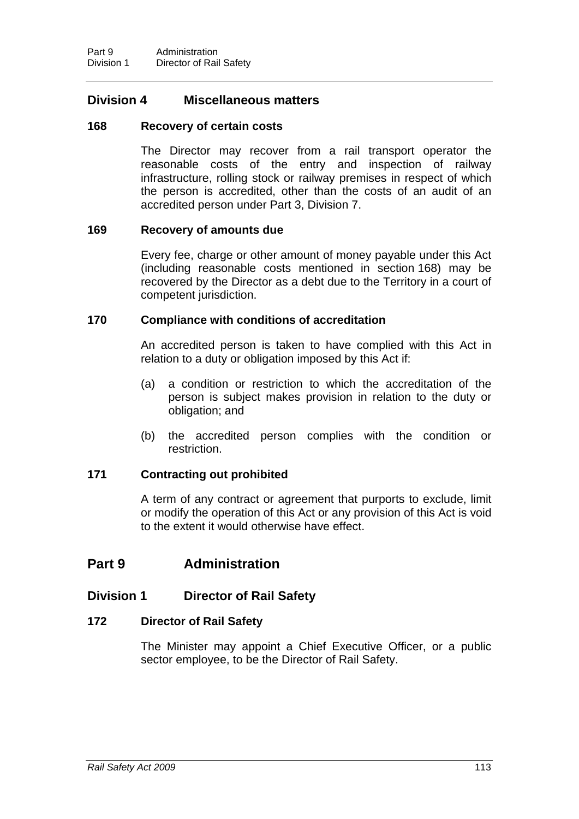# **Division 4 Miscellaneous matters**

#### <span id="page-121-0"></span>**168 Recovery of certain costs**

The Director may recover from a rail transport operator the reasonable costs of the entry and inspection of railway infrastructure, rolling stock or railway premises in respect of which the person is accredited, other than the costs of an audit of an accredited person under Part 3, Division 7.

### **169 Recovery of amounts due**

Every fee, charge or other amount of money payable under this Act (including reasonable costs mentioned in section [168\)](#page-121-0) may be recovered by the Director as a debt due to the Territory in a court of competent jurisdiction.

### **170 Compliance with conditions of accreditation**

An accredited person is taken to have complied with this Act in relation to a duty or obligation imposed by this Act if:

- (a) a condition or restriction to which the accreditation of the person is subject makes provision in relation to the duty or obligation; and
- (b) the accredited person complies with the condition or restriction.

### **171 Contracting out prohibited**

A term of any contract or agreement that purports to exclude, limit or modify the operation of this Act or any provision of this Act is void to the extent it would otherwise have effect.

# **Part 9 Administration**

# **Division 1 Director of Rail Safety**

### <span id="page-121-1"></span>**172 Director of Rail Safety**

The Minister may appoint a Chief Executive Officer, or a public sector employee, to be the Director of Rail Safety.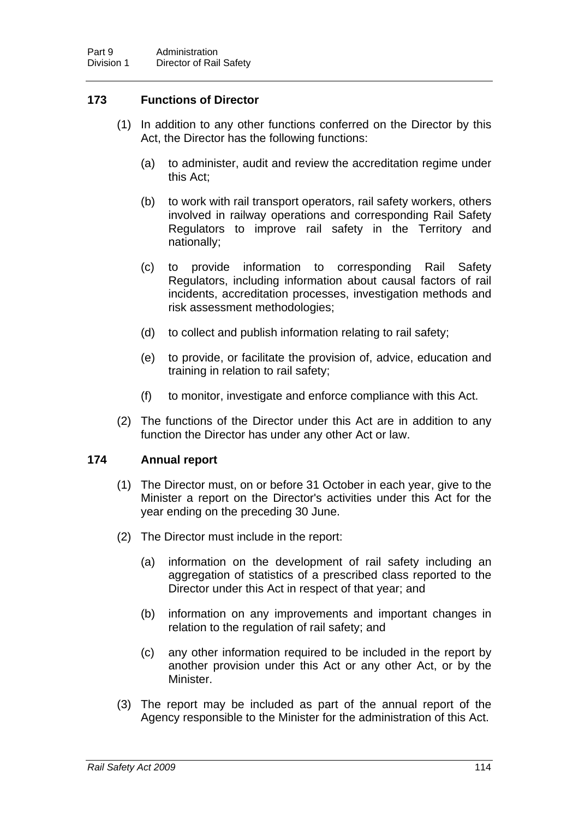# **173 Functions of Director**

- (1) In addition to any other functions conferred on the Director by this Act, the Director has the following functions:
	- (a) to administer, audit and review the accreditation regime under this Act;
	- (b) to work with rail transport operators, rail safety workers, others involved in railway operations and corresponding Rail Safety Regulators to improve rail safety in the Territory and nationally;
	- (c) to provide information to corresponding Rail Safety Regulators, including information about causal factors of rail incidents, accreditation processes, investigation methods and risk assessment methodologies;
	- (d) to collect and publish information relating to rail safety;
	- (e) to provide, or facilitate the provision of, advice, education and training in relation to rail safety;
	- (f) to monitor, investigate and enforce compliance with this Act.
- (2) The functions of the Director under this Act are in addition to any function the Director has under any other Act or law.

### **174 Annual report**

- (1) The Director must, on or before 31 October in each year, give to the Minister a report on the Director's activities under this Act for the year ending on the preceding 30 June.
- (2) The Director must include in the report:
	- (a) information on the development of rail safety including an aggregation of statistics of a prescribed class reported to the Director under this Act in respect of that year; and
	- (b) information on any improvements and important changes in relation to the regulation of rail safety; and
	- (c) any other information required to be included in the report by another provision under this Act or any other Act, or by the Minister.
- (3) The report may be included as part of the annual report of the Agency responsible to the Minister for the administration of this Act.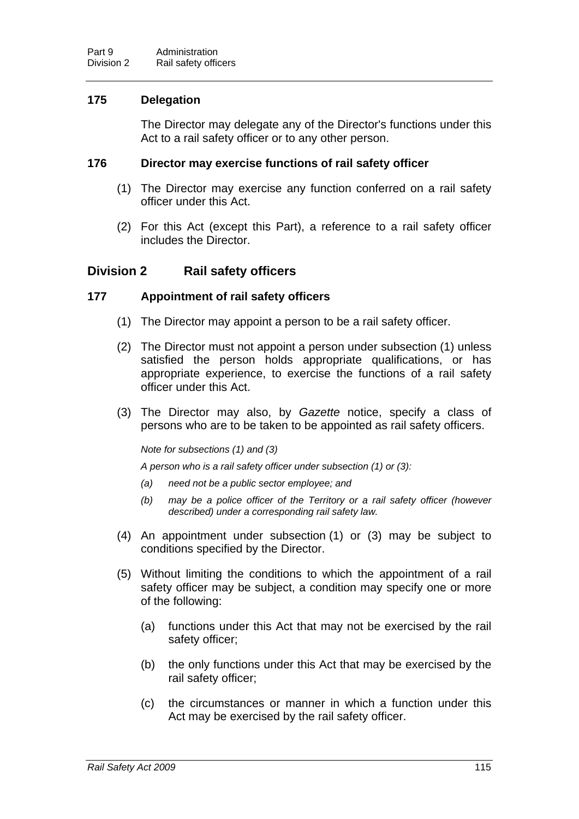### **175 Delegation**

The Director may delegate any of the Director's functions under this Act to a rail safety officer or to any other person.

### **176 Director may exercise functions of rail safety officer**

- (1) The Director may exercise any function conferred on a rail safety officer under this Act.
- (2) For this Act (except this Part), a reference to a rail safety officer includes the Director.

# **Division 2 Rail safety officers**

### <span id="page-123-0"></span>**177 Appointment of rail safety officers**

- (1) The Director may appoint a person to be a rail safety officer.
- (2) The Director must not appoint a person under subsection (1) unless satisfied the person holds appropriate qualifications, or has appropriate experience, to exercise the functions of a rail safety officer under this Act.
- (3) The Director may also, by *Gazette* notice, specify a class of persons who are to be taken to be appointed as rail safety officers.

*Note for subsections (1) and (3)* 

*A person who is a rail safety officer under subsection (1) or (3):* 

- *(a) need not be a public sector employee; and*
- *(b) may be a police officer of the Territory or a rail safety officer (however described) under a corresponding rail safety law.*
- (4) An appointment under subsection (1) or (3) may be subject to conditions specified by the Director.
- (5) Without limiting the conditions to which the appointment of a rail safety officer may be subject, a condition may specify one or more of the following:
	- (a) functions under this Act that may not be exercised by the rail safety officer;
	- (b) the only functions under this Act that may be exercised by the rail safety officer;
	- (c) the circumstances or manner in which a function under this Act may be exercised by the rail safety officer.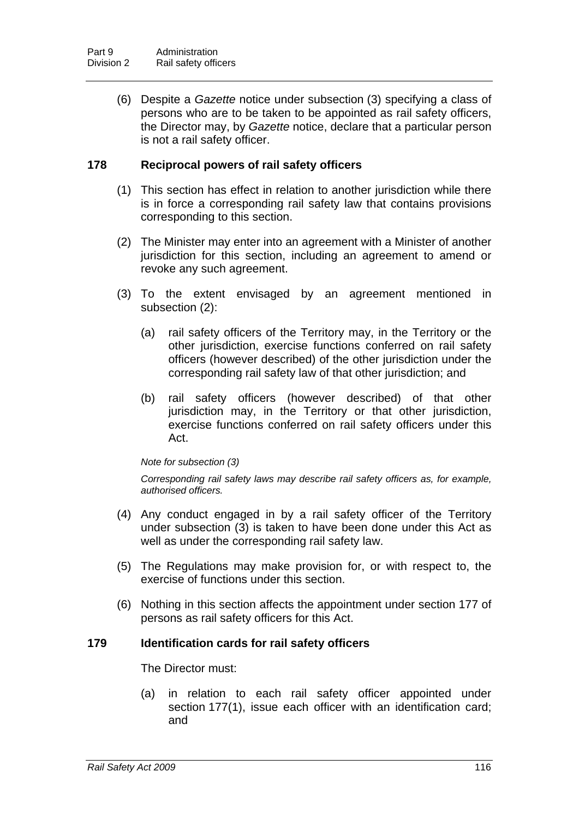(6) Despite a *Gazette* notice under subsection (3) specifying a class of persons who are to be taken to be appointed as rail safety officers, the Director may, by *Gazette* notice, declare that a particular person is not a rail safety officer.

### **178 Reciprocal powers of rail safety officers**

- (1) This section has effect in relation to another jurisdiction while there is in force a corresponding rail safety law that contains provisions corresponding to this section.
- (2) The Minister may enter into an agreement with a Minister of another jurisdiction for this section, including an agreement to amend or revoke any such agreement.
- (3) To the extent envisaged by an agreement mentioned in subsection (2):
	- (a) rail safety officers of the Territory may, in the Territory or the other jurisdiction, exercise functions conferred on rail safety officers (however described) of the other jurisdiction under the corresponding rail safety law of that other jurisdiction; and
	- (b) rail safety officers (however described) of that other jurisdiction may, in the Territory or that other jurisdiction, exercise functions conferred on rail safety officers under this Act.

#### *Note for subsection (3)*

*Corresponding rail safety laws may describe rail safety officers as, for example, authorised officers.* 

- (4) Any conduct engaged in by a rail safety officer of the Territory under subsection (3) is taken to have been done under this Act as well as under the corresponding rail safety law.
- (5) The Regulations may make provision for, or with respect to, the exercise of functions under this section.
- (6) Nothing in this section affects the appointment under section [177](#page-123-0) of persons as rail safety officers for this Act.

### <span id="page-124-0"></span>**179 Identification cards for rail safety officers**

The Director must:

(a) in relation to each rail safety officer appointed under section [177\(](#page-123-0)1), issue each officer with an identification card; and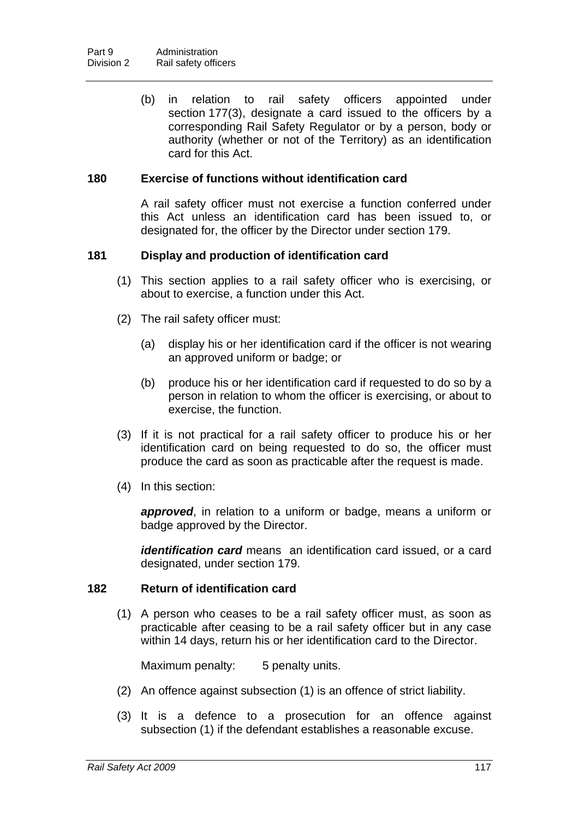(b) in relation to rail safety officers appointed under section [177\(](#page-123-0)3), designate a card issued to the officers by a corresponding Rail Safety Regulator or by a person, body or authority (whether or not of the Territory) as an identification card for this Act.

### **180 Exercise of functions without identification card**

A rail safety officer must not exercise a function conferred under this Act unless an identification card has been issued to, or designated for, the officer by the Director under section [179](#page-124-0).

### **181 Display and production of identification card**

- (1) This section applies to a rail safety officer who is exercising, or about to exercise, a function under this Act.
- (2) The rail safety officer must:
	- (a) display his or her identification card if the officer is not wearing an approved uniform or badge; or
	- (b) produce his or her identification card if requested to do so by a person in relation to whom the officer is exercising, or about to exercise, the function.
- (3) If it is not practical for a rail safety officer to produce his or her identification card on being requested to do so, the officer must produce the card as soon as practicable after the request is made.
- (4) In this section:

*approved*, in relation to a uniform or badge, means a uniform or badge approved by the Director.

*identification card* means an identification card issued, or a card designated, under section [179.](#page-124-0)

#### **182 Return of identification card**

 (1) A person who ceases to be a rail safety officer must, as soon as practicable after ceasing to be a rail safety officer but in any case within 14 days, return his or her identification card to the Director.

Maximum penalty: 5 penalty units.

- (2) An offence against subsection (1) is an offence of strict liability.
- (3) It is a defence to a prosecution for an offence against subsection (1) if the defendant establishes a reasonable excuse.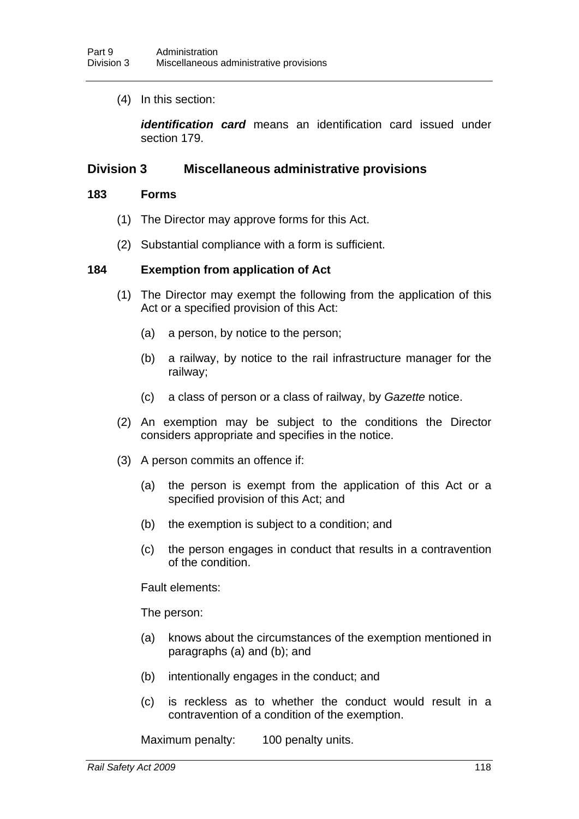(4) In this section:

*identification card* means an identification card issued under section [179](#page-124-0).

### **Division 3 Miscellaneous administrative provisions**

#### **183 Forms**

- (1) The Director may approve forms for this Act.
- (2) Substantial compliance with a form is sufficient.

#### <span id="page-126-0"></span>**184 Exemption from application of Act**

- (1) The Director may exempt the following from the application of this Act or a specified provision of this Act:
	- (a) a person, by notice to the person;
	- (b) a railway, by notice to the rail infrastructure manager for the railway;
	- (c) a class of person or a class of railway, by *Gazette* notice.
- (2) An exemption may be subject to the conditions the Director considers appropriate and specifies in the notice.
- (3) A person commits an offence if:
	- (a) the person is exempt from the application of this Act or a specified provision of this Act; and
	- (b) the exemption is subject to a condition; and
	- (c) the person engages in conduct that results in a contravention of the condition.

Fault elements:

The person:

- (a) knows about the circumstances of the exemption mentioned in paragraphs (a) and (b); and
- (b) intentionally engages in the conduct; and
- (c) is reckless as to whether the conduct would result in a contravention of a condition of the exemption.

Maximum penalty: 100 penalty units.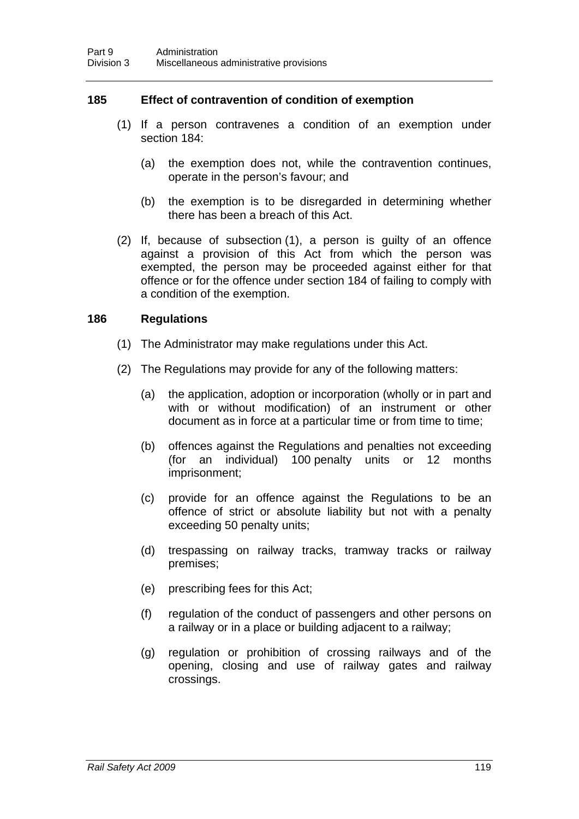### **185 Effect of contravention of condition of exemption**

- (1) If a person contravenes a condition of an exemption under section [184](#page-126-0):
	- (a) the exemption does not, while the contravention continues, operate in the person's favour; and
	- (b) the exemption is to be disregarded in determining whether there has been a breach of this Act.
- (2) If, because of subsection (1), a person is guilty of an offence against a provision of this Act from which the person was exempted, the person may be proceeded against either for that offence or for the offence under section [184](#page-126-0) of failing to comply with a condition of the exemption.

#### **186 Regulations**

- (1) The Administrator may make regulations under this Act.
- (2) The Regulations may provide for any of the following matters:
	- (a) the application, adoption or incorporation (wholly or in part and with or without modification) of an instrument or other document as in force at a particular time or from time to time;
	- (b) offences against the Regulations and penalties not exceeding (for an individual) 100 penalty units or 12 months imprisonment;
	- (c) provide for an offence against the Regulations to be an offence of strict or absolute liability but not with a penalty exceeding 50 penalty units;
	- (d) trespassing on railway tracks, tramway tracks or railway premises;
	- (e) prescribing fees for this Act;
	- (f) regulation of the conduct of passengers and other persons on a railway or in a place or building adjacent to a railway;
	- (g) regulation or prohibition of crossing railways and of the opening, closing and use of railway gates and railway crossings.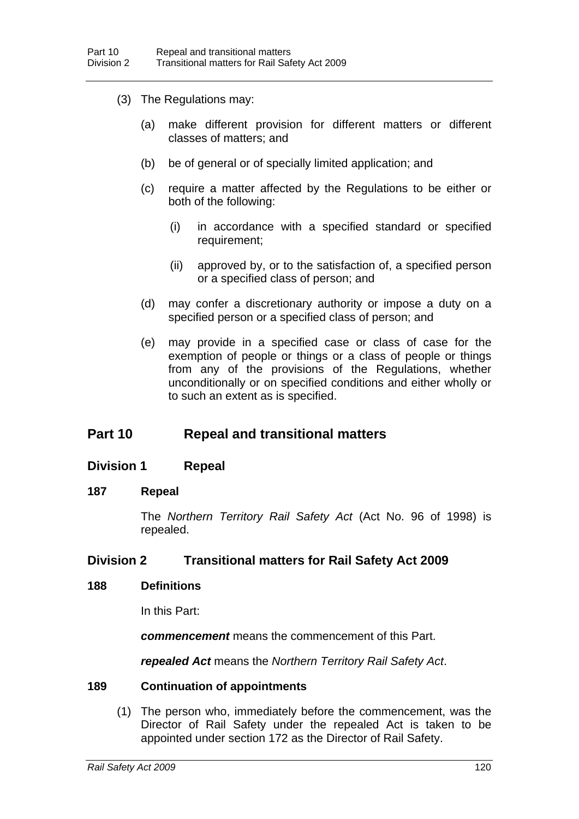- (3) The Regulations may:
	- (a) make different provision for different matters or different classes of matters; and
	- (b) be of general or of specially limited application; and
	- (c) require a matter affected by the Regulations to be either or both of the following:
		- (i) in accordance with a specified standard or specified requirement;
		- (ii) approved by, or to the satisfaction of, a specified person or a specified class of person; and
	- (d) may confer a discretionary authority or impose a duty on a specified person or a specified class of person; and
	- (e) may provide in a specified case or class of case for the exemption of people or things or a class of people or things from any of the provisions of the Regulations, whether unconditionally or on specified conditions and either wholly or to such an extent as is specified.

# **Part 10 Repeal and transitional matters**

### **Division 1 Repeal**

#### **187 Repeal**

The *Northern Territory Rail Safety Act* (Act No. 96 of 1998) is repealed.

### **Division 2 Transitional matters for Rail Safety Act 2009**

#### **188 Definitions**

In this Part:

*commencement* means the commencement of this Part.

*repealed Act* means the *Northern Territory Rail Safety Act*.

### **189 Continuation of appointments**

 (1) The person who, immediately before the commencement, was the Director of Rail Safety under the repealed Act is taken to be appointed under section [172](#page-121-1) as the Director of Rail Safety.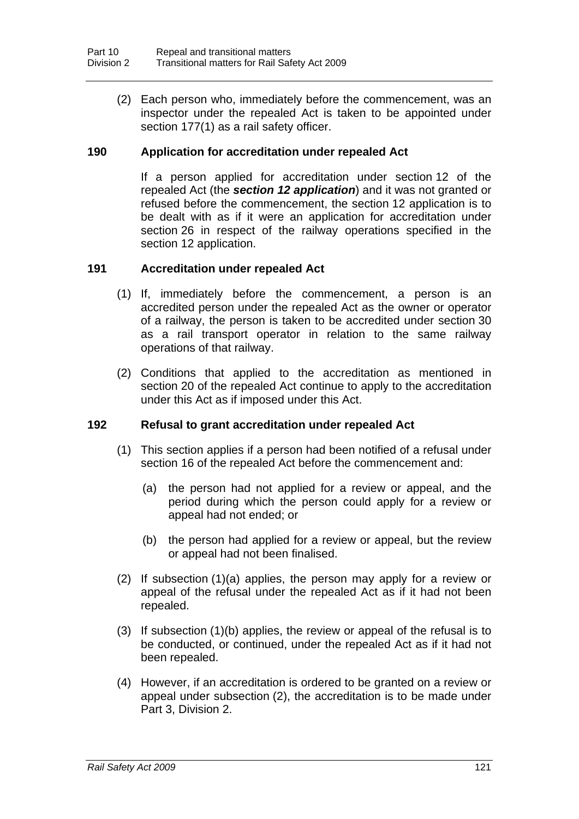(2) Each person who, immediately before the commencement, was an inspector under the repealed Act is taken to be appointed under section [177](#page-123-0)(1) as a rail safety officer.

### **190 Application for accreditation under repealed Act**

If a person applied for accreditation under section 12 of the repealed Act (the *section 12 application*) and it was not granted or refused before the commencement, the section 12 application is to be dealt with as if it were an application for accreditation under section [26](#page-28-0) in respect of the railway operations specified in the section 12 application.

### **191 Accreditation under repealed Act**

- (1) If, immediately before the commencement, a person is an accredited person under the repealed Act as the owner or operator of a railway, the person is taken to be accredited under section [30](#page-31-0) as a rail transport operator in relation to the same railway operations of that railway.
- (2) Conditions that applied to the accreditation as mentioned in section 20 of the repealed Act continue to apply to the accreditation under this Act as if imposed under this Act.

#### **192 Refusal to grant accreditation under repealed Act**

- (1) This section applies if a person had been notified of a refusal under section 16 of the repealed Act before the commencement and:
	- (a) the person had not applied for a review or appeal, and the period during which the person could apply for a review or appeal had not ended; or
	- (b) the person had applied for a review or appeal, but the review or appeal had not been finalised.
- (2) If subsection (1)(a) applies, the person may apply for a review or appeal of the refusal under the repealed Act as if it had not been repealed.
- (3) If subsection (1)(b) applies, the review or appeal of the refusal is to be conducted, or continued, under the repealed Act as if it had not been repealed.
- (4) However, if an accreditation is ordered to be granted on a review or appeal under subsection (2), the accreditation is to be made under Part 3, Division 2.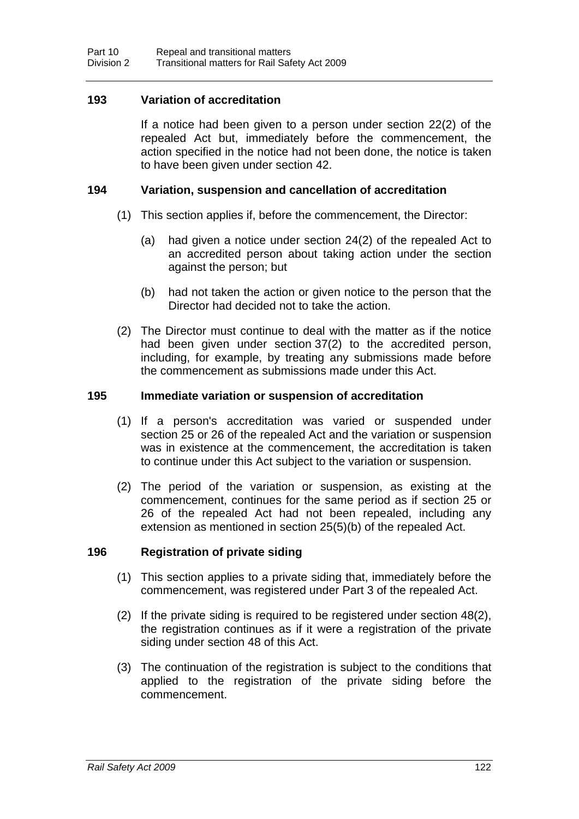### **193 Variation of accreditation**

If a notice had been given to a person under section 22(2) of the repealed Act but, immediately before the commencement, the action specified in the notice had not been done, the notice is taken to have been given under section [42](#page-37-0).

### **194 Variation, suspension and cancellation of accreditation**

- (1) This section applies if, before the commencement, the Director:
	- (a) had given a notice under section 24(2) of the repealed Act to an accredited person about taking action under the section against the person; but
	- (b) had not taken the action or given notice to the person that the Director had decided not to take the action.
- (2) The Director must continue to deal with the matter as if the notice had been given under section [37](#page-33-0)(2) to the accredited person, including, for example, by treating any submissions made before the commencement as submissions made under this Act.

#### **195 Immediate variation or suspension of accreditation**

- (1) If a person's accreditation was varied or suspended under section 25 or 26 of the repealed Act and the variation or suspension was in existence at the commencement, the accreditation is taken to continue under this Act subject to the variation or suspension.
- (2) The period of the variation or suspension, as existing at the commencement, continues for the same period as if section 25 or 26 of the repealed Act had not been repealed, including any extension as mentioned in section 25(5)(b) of the repealed Act.

#### **196 Registration of private siding**

- (1) This section applies to a private siding that, immediately before the commencement, was registered under Part 3 of the repealed Act.
- (2) If the private siding is required to be registered under section [48](#page-40-0)(2), the registration continues as if it were a registration of the private siding under section [48](#page-40-0) of this Act.
- (3) The continuation of the registration is subject to the conditions that applied to the registration of the private siding before the commencement.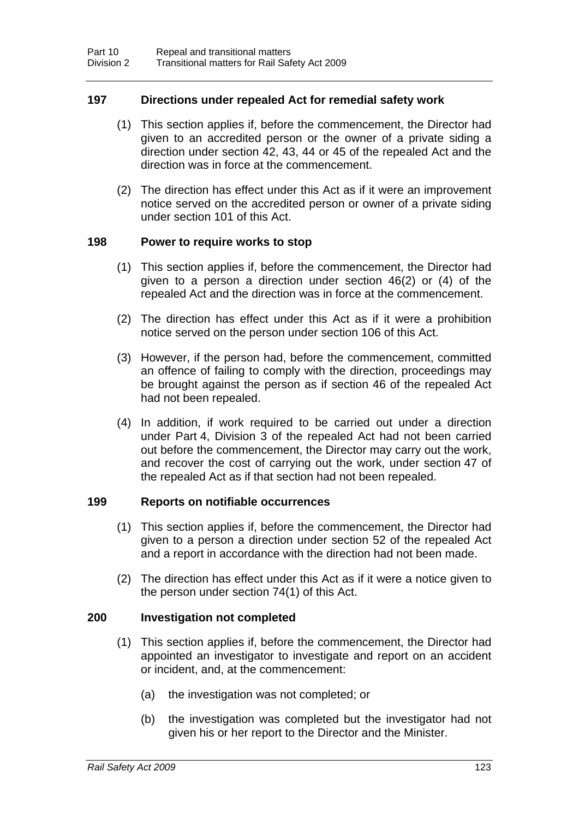### **197 Directions under repealed Act for remedial safety work**

- (1) This section applies if, before the commencement, the Director had given to an accredited person or the owner of a private siding a direction under section 42, 43, 44 or 45 of the repealed Act and the direction was in force at the commencement.
- (2) The direction has effect under this Act as if it were an improvement notice served on the accredited person or owner of a private siding under section [101](#page-78-0) of this Act.

### **198 Power to require works to stop**

- (1) This section applies if, before the commencement, the Director had given to a person a direction under section 46(2) or (4) of the repealed Act and the direction was in force at the commencement.
- (2) The direction has effect under this Act as if it were a prohibition notice served on the person under section [106](#page-81-0) of this Act.
- (3) However, if the person had, before the commencement, committed an offence of failing to comply with the direction, proceedings may be brought against the person as if section 46 of the repealed Act had not been repealed.
- (4) In addition, if work required to be carried out under a direction under Part 4, Division 3 of the repealed Act had not been carried out before the commencement, the Director may carry out the work, and recover the cost of carrying out the work, under section 47 of the repealed Act as if that section had not been repealed.

### **199 Reports on notifiable occurrences**

- (1) This section applies if, before the commencement, the Director had given to a person a direction under section 52 of the repealed Act and a report in accordance with the direction had not been made.
- (2) The direction has effect under this Act as if it were a notice given to the person under section [74\(](#page-60-0)1) of this Act.

#### **200 Investigation not completed**

- (1) This section applies if, before the commencement, the Director had appointed an investigator to investigate and report on an accident or incident, and, at the commencement:
	- (a) the investigation was not completed; or
	- (b) the investigation was completed but the investigator had not given his or her report to the Director and the Minister.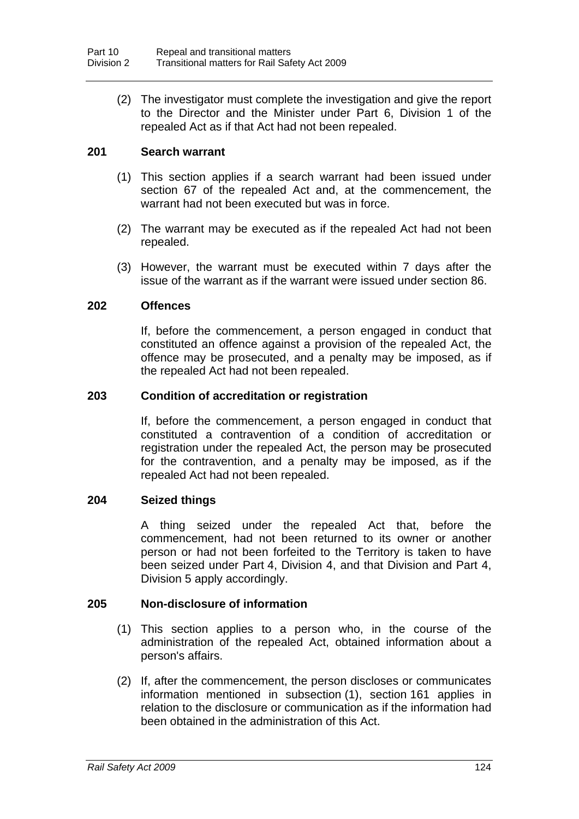(2) The investigator must complete the investigation and give the report to the Director and the Minister under Part 6, Division 1 of the repealed Act as if that Act had not been repealed.

# **201 Search warrant**

- (1) This section applies if a search warrant had been issued under section 67 of the repealed Act and, at the commencement, the warrant had not been executed but was in force.
- (2) The warrant may be executed as if the repealed Act had not been repealed.
- (3) However, the warrant must be executed within 7 days after the issue of the warrant as if the warrant were issued under section [86.](#page-68-0)

### **202 Offences**

If, before the commencement, a person engaged in conduct that constituted an offence against a provision of the repealed Act, the offence may be prosecuted, and a penalty may be imposed, as if the repealed Act had not been repealed.

### **203 Condition of accreditation or registration**

If, before the commencement, a person engaged in conduct that constituted a contravention of a condition of accreditation or registration under the repealed Act, the person may be prosecuted for the contravention, and a penalty may be imposed, as if the repealed Act had not been repealed.

### **204 Seized things**

A thing seized under the repealed Act that, before the commencement, had not been returned to its owner or another person or had not been forfeited to the Territory is taken to have been seized under Part 4, Division 4, and that Division and Part 4, Division 5 apply accordingly.

#### **205 Non-disclosure of information**

- (1) This section applies to a person who, in the course of the administration of the repealed Act, obtained information about a person's affairs.
- (2) If, after the commencement, the person discloses or communicates information mentioned in subsection (1), section [161](#page-117-0) applies in relation to the disclosure or communication as if the information had been obtained in the administration of this Act.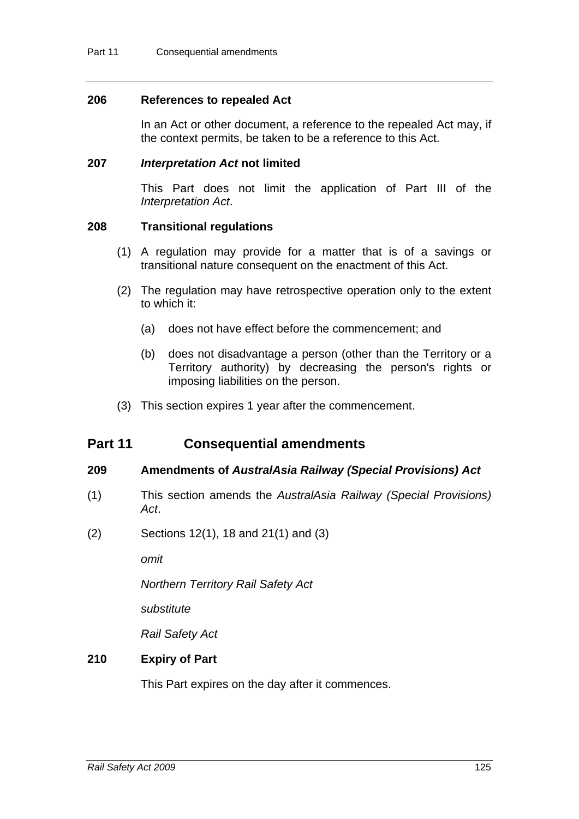#### **206 References to repealed Act**

In an Act or other document, a reference to the repealed Act may, if the context permits, be taken to be a reference to this Act.

#### **207** *Interpretation Act* **not limited**

This Part does not limit the application of Part III of the *Interpretation Act*.

#### **208 Transitional regulations**

- (1) A regulation may provide for a matter that is of a savings or transitional nature consequent on the enactment of this Act.
- (2) The regulation may have retrospective operation only to the extent to which it:
	- (a) does not have effect before the commencement; and
	- (b) does not disadvantage a person (other than the Territory or a Territory authority) by decreasing the person's rights or imposing liabilities on the person.
- (3) This section expires 1 year after the commencement.

# **Part 11 Consequential amendments**

#### **209 Amendments of** *AustralAsia Railway (Special Provisions) Act*

- (1) This section amends the *AustralAsia Railway (Special Provisions) Act*.
- (2) Sections 12(1), 18 and 21(1) and (3)

*omit* 

*Northern Territory Rail Safety Act* 

*substitute* 

*Rail Safety Act* 

### **210 Expiry of Part**

This Part expires on the day after it commences.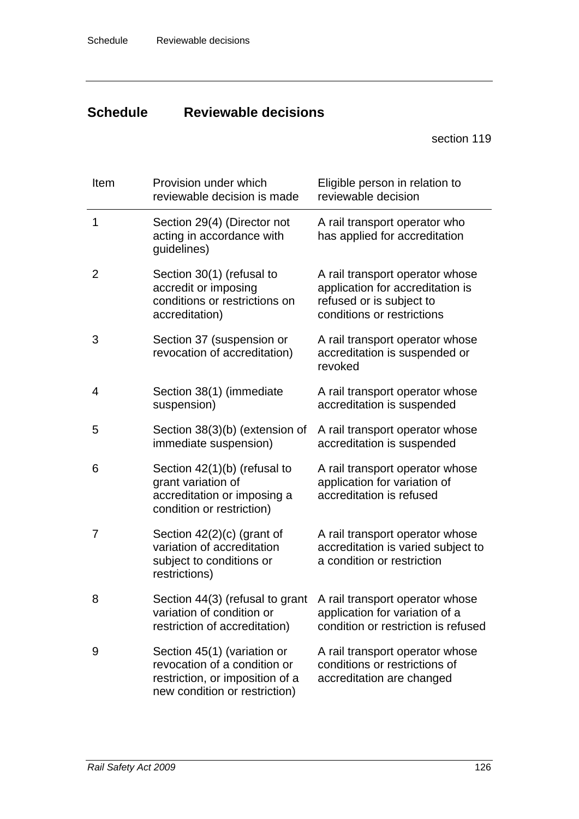# **Schedule Reviewable decisions**

section [119](#page-88-0) 

| Item           | Provision under which<br>reviewable decision is made                                                                            | Eligible person in relation to<br>reviewable decision                                                                         |
|----------------|---------------------------------------------------------------------------------------------------------------------------------|-------------------------------------------------------------------------------------------------------------------------------|
| 1              | Section 29(4) (Director not<br>acting in accordance with<br>guidelines)                                                         | A rail transport operator who<br>has applied for accreditation                                                                |
| $\overline{2}$ | Section 30(1) (refusal to<br>accredit or imposing<br>conditions or restrictions on<br>accreditation)                            | A rail transport operator whose<br>application for accreditation is<br>refused or is subject to<br>conditions or restrictions |
| 3              | Section 37 (suspension or<br>revocation of accreditation)                                                                       | A rail transport operator whose<br>accreditation is suspended or<br>revoked                                                   |
| 4              | Section 38(1) (immediate<br>suspension)                                                                                         | A rail transport operator whose<br>accreditation is suspended                                                                 |
| 5              | Section 38(3)(b) (extension of<br>immediate suspension)                                                                         | A rail transport operator whose<br>accreditation is suspended                                                                 |
| 6              | Section 42(1)(b) (refusal to<br>grant variation of<br>accreditation or imposing a<br>condition or restriction)                  | A rail transport operator whose<br>application for variation of<br>accreditation is refused                                   |
| 7              | Section $42(2)(c)$ (grant of<br>variation of accreditation<br>subject to conditions or<br>restrictions)                         | A rail transport operator whose<br>accreditation is varied subject to<br>a condition or restriction                           |
| 8              | Section 44(3) (refusal to grant<br>variation of condition or<br>restriction of accreditation)                                   | A rail transport operator whose<br>application for variation of a<br>condition or restriction is refused                      |
| 9              | Section 45(1) (variation or<br>revocation of a condition or<br>restriction, or imposition of a<br>new condition or restriction) | A rail transport operator whose<br>conditions or restrictions of<br>accreditation are changed                                 |